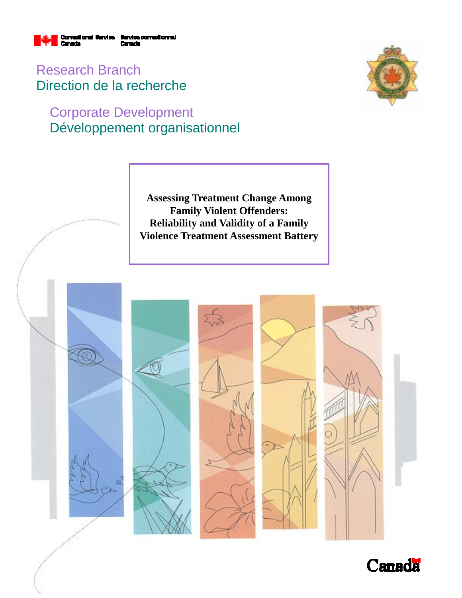

Research Branch Direction de la recherche

# Corporate Development Développement organisationnel



**Assessing Treatment Change Among Family Violent Offenders: Reliability and Validity of a Family Violence Treatment Assessment Battery** 



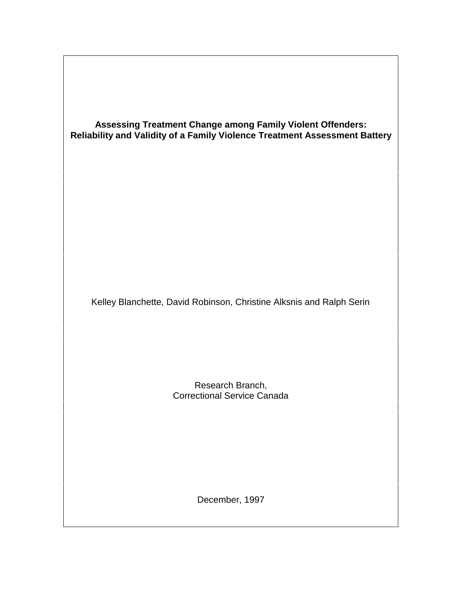| <b>Assessing Treatment Change among Family Violent Offenders:</b><br>Reliability and Validity of a Family Violence Treatment Assessment Battery |  |
|-------------------------------------------------------------------------------------------------------------------------------------------------|--|
| Kelley Blanchette, David Robinson, Christine Alksnis and Ralph Serin                                                                            |  |
| Research Branch,<br><b>Correctional Service Canada</b>                                                                                          |  |
| December, 1997                                                                                                                                  |  |

 $\sqrt{ }$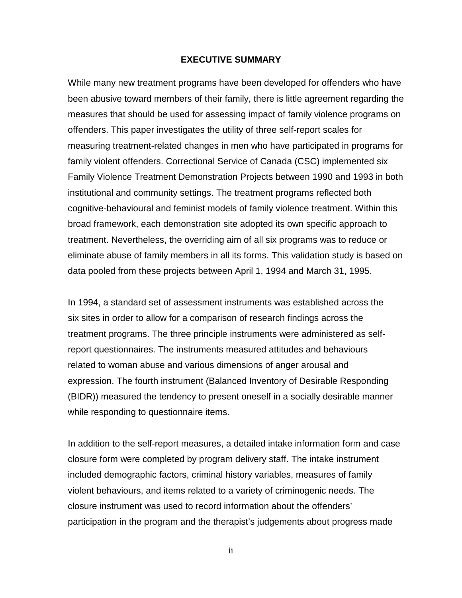#### **EXECUTIVE SUMMARY**

While many new treatment programs have been developed for offenders who have been abusive toward members of their family, there is little agreement regarding the measures that should be used for assessing impact of family violence programs on offenders. This paper investigates the utility of three self-report scales for measuring treatment-related changes in men who have participated in programs for family violent offenders. Correctional Service of Canada (CSC) implemented six Family Violence Treatment Demonstration Projects between 1990 and 1993 in both institutional and community settings. The treatment programs reflected both cognitive-behavioural and feminist models of family violence treatment. Within this broad framework, each demonstration site adopted its own specific approach to treatment. Nevertheless, the overriding aim of all six programs was to reduce or eliminate abuse of family members in all its forms. This validation study is based on data pooled from these projects between April 1, 1994 and March 31, 1995.

In 1994, a standard set of assessment instruments was established across the six sites in order to allow for a comparison of research findings across the treatment programs. The three principle instruments were administered as selfreport questionnaires. The instruments measured attitudes and behaviours related to woman abuse and various dimensions of anger arousal and expression. The fourth instrument (Balanced Inventory of Desirable Responding (BIDR)) measured the tendency to present oneself in a socially desirable manner while responding to questionnaire items.

In addition to the self-report measures, a detailed intake information form and case closure form were completed by program delivery staff. The intake instrument included demographic factors, criminal history variables, measures of family violent behaviours, and items related to a variety of criminogenic needs. The closure instrument was used to record information about the offenders' participation in the program and the therapist's judgements about progress made

ii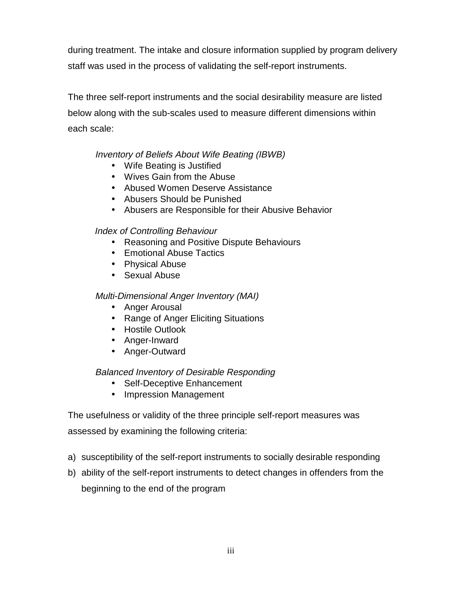during treatment. The intake and closure information supplied by program delivery staff was used in the process of validating the self-report instruments.

The three self-report instruments and the social desirability measure are listed below along with the sub-scales used to measure different dimensions within each scale:

### Inventory of Beliefs About Wife Beating (IBWB)

- Wife Beating is Justified
- Wives Gain from the Abuse
- Abused Women Deserve Assistance
- Abusers Should be Punished
- Abusers are Responsible for their Abusive Behavior

### Index of Controlling Behaviour

- Reasoning and Positive Dispute Behaviours
- Emotional Abuse Tactics
- Physical Abuse
- Sexual Abuse

### Multi-Dimensional Anger Inventory (MAI)

- Anger Arousal
- Range of Anger Eliciting Situations
- Hostile Outlook
- Anger-Inward
- Anger-Outward

### Balanced Inventory of Desirable Responding

- Self-Deceptive Enhancement
- Impression Management

The usefulness or validity of the three principle self-report measures was assessed by examining the following criteria:

- a) susceptibility of the self-report instruments to socially desirable responding
- b) ability of the self-report instruments to detect changes in offenders from the beginning to the end of the program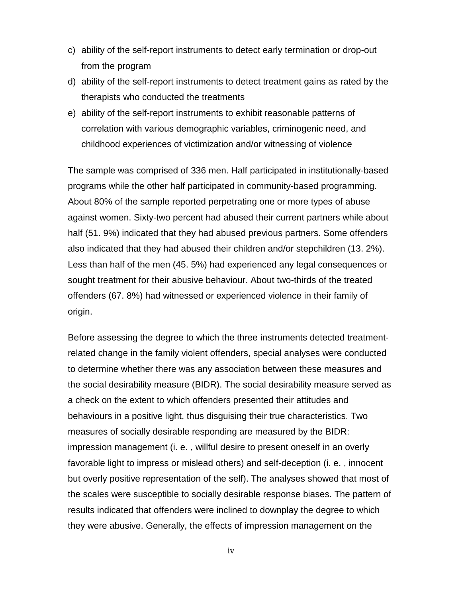- c) ability of the self-report instruments to detect early termination or drop-out from the program
- d) ability of the self-report instruments to detect treatment gains as rated by the therapists who conducted the treatments
- e) ability of the self-report instruments to exhibit reasonable patterns of correlation with various demographic variables, criminogenic need, and childhood experiences of victimization and/or witnessing of violence

The sample was comprised of 336 men. Half participated in institutionally-based programs while the other half participated in community-based programming. About 80% of the sample reported perpetrating one or more types of abuse against women. Sixty-two percent had abused their current partners while about half (51. 9%) indicated that they had abused previous partners. Some offenders also indicated that they had abused their children and/or stepchildren (13. 2%). Less than half of the men (45. 5%) had experienced any legal consequences or sought treatment for their abusive behaviour. About two-thirds of the treated offenders (67. 8%) had witnessed or experienced violence in their family of origin.

Before assessing the degree to which the three instruments detected treatmentrelated change in the family violent offenders, special analyses were conducted to determine whether there was any association between these measures and the social desirability measure (BIDR). The social desirability measure served as a check on the extent to which offenders presented their attitudes and behaviours in a positive light, thus disguising their true characteristics. Two measures of socially desirable responding are measured by the BIDR: impression management (i. e. , willful desire to present oneself in an overly favorable light to impress or mislead others) and self-deception (i. e. , innocent but overly positive representation of the self). The analyses showed that most of the scales were susceptible to socially desirable response biases. The pattern of results indicated that offenders were inclined to downplay the degree to which they were abusive. Generally, the effects of impression management on the

iv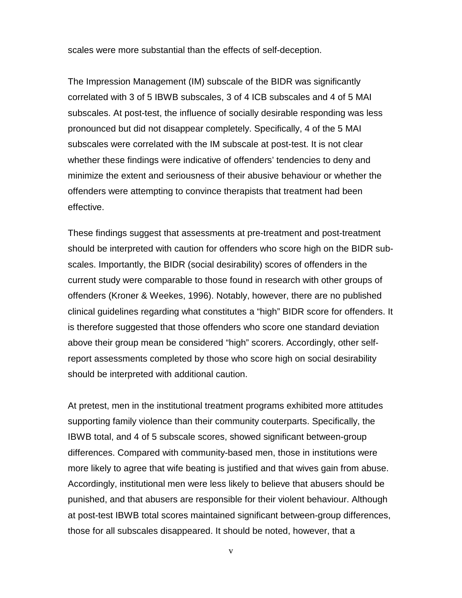scales were more substantial than the effects of self-deception.

The Impression Management (IM) subscale of the BIDR was significantly correlated with 3 of 5 IBWB subscales, 3 of 4 ICB subscales and 4 of 5 MAI subscales. At post-test, the influence of socially desirable responding was less pronounced but did not disappear completely. Specifically, 4 of the 5 MAI subscales were correlated with the IM subscale at post-test. It is not clear whether these findings were indicative of offenders' tendencies to deny and minimize the extent and seriousness of their abusive behaviour or whether the offenders were attempting to convince therapists that treatment had been effective.

These findings suggest that assessments at pre-treatment and post-treatment should be interpreted with caution for offenders who score high on the BIDR subscales. Importantly, the BIDR (social desirability) scores of offenders in the current study were comparable to those found in research with other groups of offenders (Kroner & Weekes, 1996). Notably, however, there are no published clinical guidelines regarding what constitutes a "high" BIDR score for offenders. It is therefore suggested that those offenders who score one standard deviation above their group mean be considered "high" scorers. Accordingly, other selfreport assessments completed by those who score high on social desirability should be interpreted with additional caution.

At pretest, men in the institutional treatment programs exhibited more attitudes supporting family violence than their community couterparts. Specifically, the IBWB total, and 4 of 5 subscale scores, showed significant between-group differences. Compared with community-based men, those in institutions were more likely to agree that wife beating is justified and that wives gain from abuse. Accordingly, institutional men were less likely to believe that abusers should be punished, and that abusers are responsible for their violent behaviour. Although at post-test IBWB total scores maintained significant between-group differences, those for all subscales disappeared. It should be noted, however, that a

v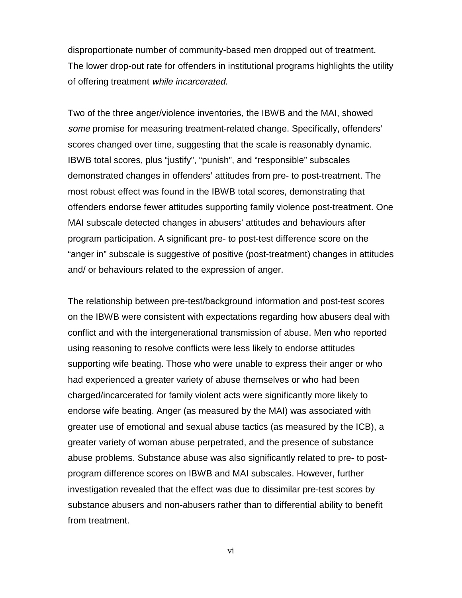disproportionate number of community-based men dropped out of treatment. The lower drop-out rate for offenders in institutional programs highlights the utility of offering treatment while incarcerated.

Two of the three anger/violence inventories, the IBWB and the MAI, showed some promise for measuring treatment-related change. Specifically, offenders' scores changed over time, suggesting that the scale is reasonably dynamic. IBWB total scores, plus "justify", "punish", and "responsible" subscales demonstrated changes in offenders' attitudes from pre- to post-treatment. The most robust effect was found in the IBWB total scores, demonstrating that offenders endorse fewer attitudes supporting family violence post-treatment. One MAI subscale detected changes in abusers' attitudes and behaviours after program participation. A significant pre- to post-test difference score on the "anger in" subscale is suggestive of positive (post-treatment) changes in attitudes and/ or behaviours related to the expression of anger.

The relationship between pre-test/background information and post-test scores on the IBWB were consistent with expectations regarding how abusers deal with conflict and with the intergenerational transmission of abuse. Men who reported using reasoning to resolve conflicts were less likely to endorse attitudes supporting wife beating. Those who were unable to express their anger or who had experienced a greater variety of abuse themselves or who had been charged/incarcerated for family violent acts were significantly more likely to endorse wife beating. Anger (as measured by the MAI) was associated with greater use of emotional and sexual abuse tactics (as measured by the ICB), a greater variety of woman abuse perpetrated, and the presence of substance abuse problems. Substance abuse was also significantly related to pre- to postprogram difference scores on IBWB and MAI subscales. However, further investigation revealed that the effect was due to dissimilar pre-test scores by substance abusers and non-abusers rather than to differential ability to benefit from treatment.

vi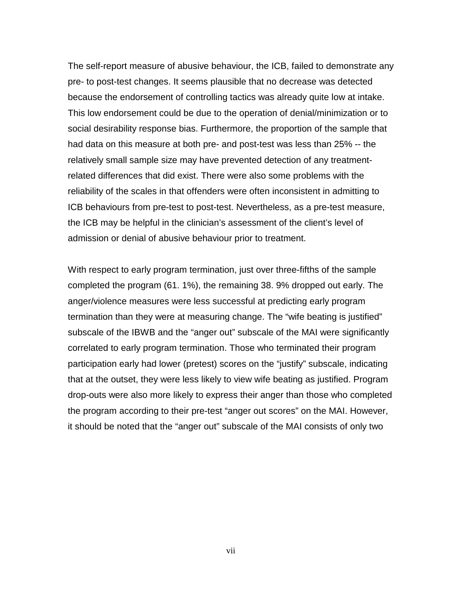The self-report measure of abusive behaviour, the ICB, failed to demonstrate any pre- to post-test changes. It seems plausible that no decrease was detected because the endorsement of controlling tactics was already quite low at intake. This low endorsement could be due to the operation of denial/minimization or to social desirability response bias. Furthermore, the proportion of the sample that had data on this measure at both pre- and post-test was less than 25% -- the relatively small sample size may have prevented detection of any treatmentrelated differences that did exist. There were also some problems with the reliability of the scales in that offenders were often inconsistent in admitting to ICB behaviours from pre-test to post-test. Nevertheless, as a pre-test measure, the ICB may be helpful in the clinician's assessment of the client's level of admission or denial of abusive behaviour prior to treatment.

With respect to early program termination, just over three-fifths of the sample completed the program (61. 1%), the remaining 38. 9% dropped out early. The anger/violence measures were less successful at predicting early program termination than they were at measuring change. The "wife beating is justified" subscale of the IBWB and the "anger out" subscale of the MAI were significantly correlated to early program termination. Those who terminated their program participation early had lower (pretest) scores on the "justify" subscale, indicating that at the outset, they were less likely to view wife beating as justified. Program drop-outs were also more likely to express their anger than those who completed the program according to their pre-test "anger out scores" on the MAI. However, it should be noted that the "anger out" subscale of the MAI consists of only two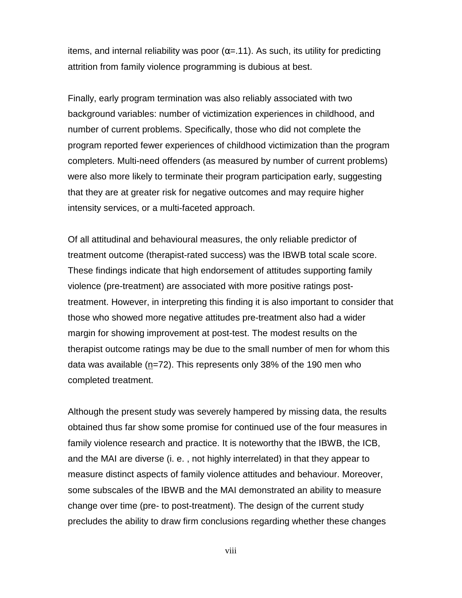items, and internal reliability was poor ( $\alpha$ =.11). As such, its utility for predicting attrition from family violence programming is dubious at best.

Finally, early program termination was also reliably associated with two background variables: number of victimization experiences in childhood, and number of current problems. Specifically, those who did not complete the program reported fewer experiences of childhood victimization than the program completers. Multi-need offenders (as measured by number of current problems) were also more likely to terminate their program participation early, suggesting that they are at greater risk for negative outcomes and may require higher intensity services, or a multi-faceted approach.

Of all attitudinal and behavioural measures, the only reliable predictor of treatment outcome (therapist-rated success) was the IBWB total scale score. These findings indicate that high endorsement of attitudes supporting family violence (pre-treatment) are associated with more positive ratings posttreatment. However, in interpreting this finding it is also important to consider that those who showed more negative attitudes pre-treatment also had a wider margin for showing improvement at post-test. The modest results on the therapist outcome ratings may be due to the small number of men for whom this data was available (n=72). This represents only 38% of the 190 men who completed treatment.

Although the present study was severely hampered by missing data, the results obtained thus far show some promise for continued use of the four measures in family violence research and practice. It is noteworthy that the IBWB, the ICB, and the MAI are diverse (i. e. , not highly interrelated) in that they appear to measure distinct aspects of family violence attitudes and behaviour. Moreover, some subscales of the IBWB and the MAI demonstrated an ability to measure change over time (pre- to post-treatment). The design of the current study precludes the ability to draw firm conclusions regarding whether these changes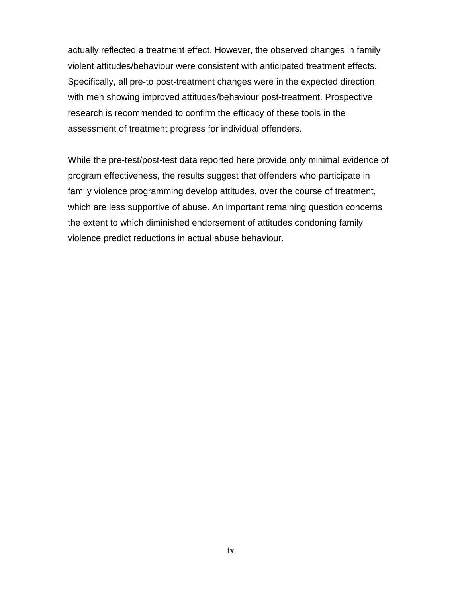actually reflected a treatment effect. However, the observed changes in family violent attitudes/behaviour were consistent with anticipated treatment effects. Specifically, all pre-to post-treatment changes were in the expected direction, with men showing improved attitudes/behaviour post-treatment. Prospective research is recommended to confirm the efficacy of these tools in the assessment of treatment progress for individual offenders.

While the pre-test/post-test data reported here provide only minimal evidence of program effectiveness, the results suggest that offenders who participate in family violence programming develop attitudes, over the course of treatment, which are less supportive of abuse. An important remaining question concerns the extent to which diminished endorsement of attitudes condoning family violence predict reductions in actual abuse behaviour.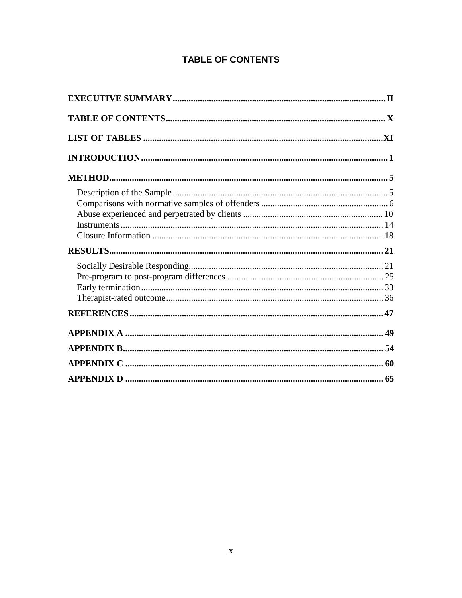### **TABLE OF CONTENTS**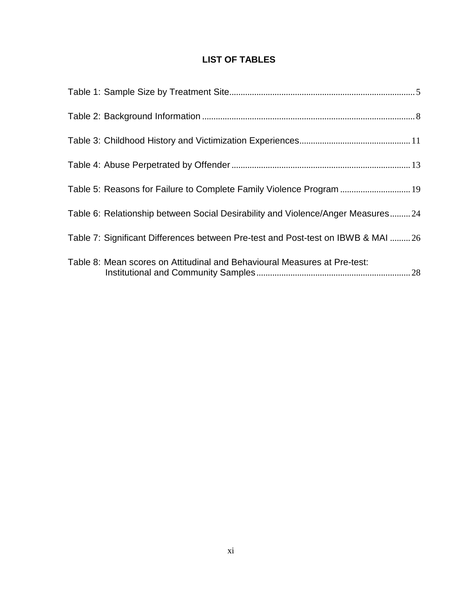### **LIST OF TABLES**

| Table 5: Reasons for Failure to Complete Family Violence Program  19              |  |
|-----------------------------------------------------------------------------------|--|
| Table 6: Relationship between Social Desirability and Violence/Anger Measures24   |  |
| Table 7: Significant Differences between Pre-test and Post-test on IBWB & MAI  26 |  |
| Table 8: Mean scores on Attitudinal and Behavioural Measures at Pre-test:         |  |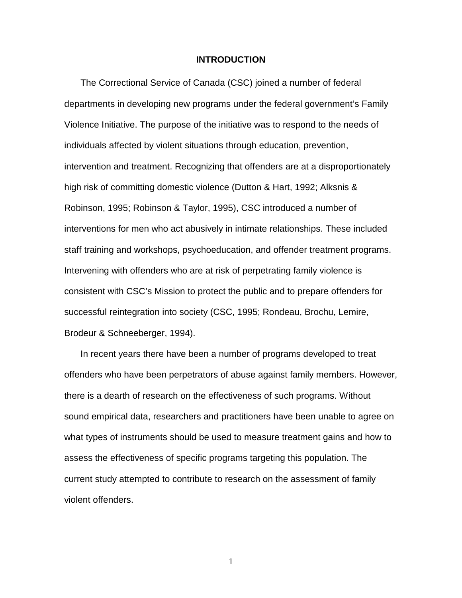#### **INTRODUCTION**

The Correctional Service of Canada (CSC) joined a number of federal departments in developing new programs under the federal government's Family Violence Initiative. The purpose of the initiative was to respond to the needs of individuals affected by violent situations through education, prevention, intervention and treatment. Recognizing that offenders are at a disproportionately high risk of committing domestic violence (Dutton & Hart, 1992; Alksnis & Robinson, 1995; Robinson & Taylor, 1995), CSC introduced a number of interventions for men who act abusively in intimate relationships. These included staff training and workshops, psychoeducation, and offender treatment programs. Intervening with offenders who are at risk of perpetrating family violence is consistent with CSC's Mission to protect the public and to prepare offenders for successful reintegration into society (CSC, 1995; Rondeau, Brochu, Lemire, Brodeur & Schneeberger, 1994).

In recent years there have been a number of programs developed to treat offenders who have been perpetrators of abuse against family members. However, there is a dearth of research on the effectiveness of such programs. Without sound empirical data, researchers and practitioners have been unable to agree on what types of instruments should be used to measure treatment gains and how to assess the effectiveness of specific programs targeting this population. The current study attempted to contribute to research on the assessment of family violent offenders.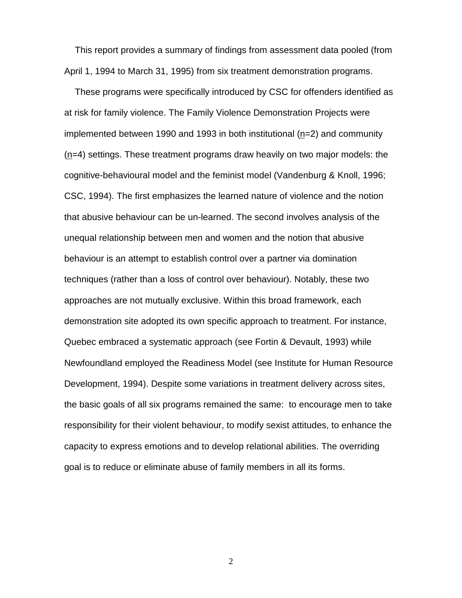This report provides a summary of findings from assessment data pooled (from April 1, 1994 to March 31, 1995) from six treatment demonstration programs.

These programs were specifically introduced by CSC for offenders identified as at risk for family violence. The Family Violence Demonstration Projects were implemented between 1990 and 1993 in both institutional (n=2) and community (n=4) settings. These treatment programs draw heavily on two major models: the cognitive-behavioural model and the feminist model (Vandenburg & Knoll, 1996; CSC, 1994). The first emphasizes the learned nature of violence and the notion that abusive behaviour can be un-learned. The second involves analysis of the unequal relationship between men and women and the notion that abusive behaviour is an attempt to establish control over a partner via domination techniques (rather than a loss of control over behaviour). Notably, these two approaches are not mutually exclusive. Within this broad framework, each demonstration site adopted its own specific approach to treatment. For instance, Quebec embraced a systematic approach (see Fortin & Devault, 1993) while Newfoundland employed the Readiness Model (see Institute for Human Resource Development, 1994). Despite some variations in treatment delivery across sites, the basic goals of all six programs remained the same: to encourage men to take responsibility for their violent behaviour, to modify sexist attitudes, to enhance the capacity to express emotions and to develop relational abilities. The overriding goal is to reduce or eliminate abuse of family members in all its forms.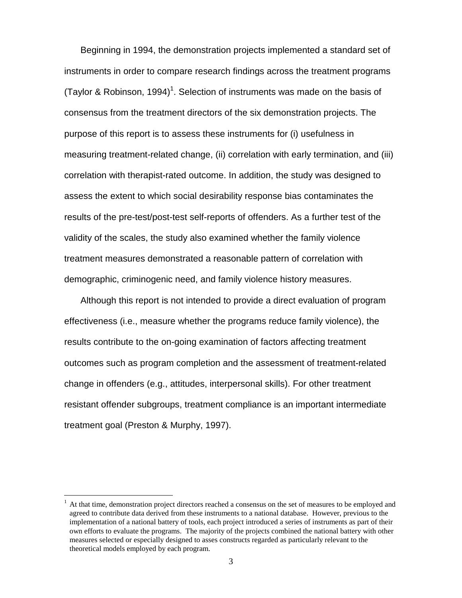Beginning in 1994, the demonstration projects implemented a standard set of instruments in order to compare research findings across the treatment programs (Taylor & Robinson, 1994)<sup>1</sup>. Selection of instruments was made on the basis of consensus from the treatment directors of the six demonstration projects. The purpose of this report is to assess these instruments for (i) usefulness in measuring treatment-related change, (ii) correlation with early termination, and (iii) correlation with therapist-rated outcome. In addition, the study was designed to assess the extent to which social desirability response bias contaminates the results of the pre-test/post-test self-reports of offenders. As a further test of the validity of the scales, the study also examined whether the family violence treatment measures demonstrated a reasonable pattern of correlation with demographic, criminogenic need, and family violence history measures.

Although this report is not intended to provide a direct evaluation of program effectiveness (i.e., measure whether the programs reduce family violence), the results contribute to the on-going examination of factors affecting treatment outcomes such as program completion and the assessment of treatment-related change in offenders (e.g., attitudes, interpersonal skills). For other treatment resistant offender subgroups, treatment compliance is an important intermediate treatment goal (Preston & Murphy, 1997).

 $\overline{a}$ 

<sup>1</sup> At that time, demonstration project directors reached a consensus on the set of measures to be employed and agreed to contribute data derived from these instruments to a national database. However, previous to the implementation of a national battery of tools, each project introduced a series of instruments as part of their own efforts to evaluate the programs. The majority of the projects combined the national battery with other measures selected or especially designed to asses constructs regarded as particularly relevant to the theoretical models employed by each program.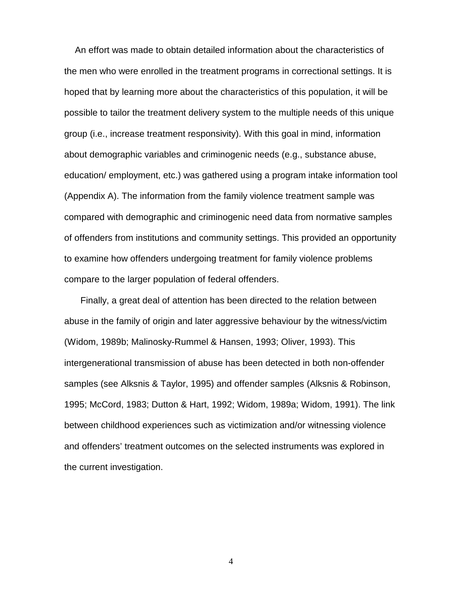An effort was made to obtain detailed information about the characteristics of the men who were enrolled in the treatment programs in correctional settings. It is hoped that by learning more about the characteristics of this population, it will be possible to tailor the treatment delivery system to the multiple needs of this unique group (i.e., increase treatment responsivity). With this goal in mind, information about demographic variables and criminogenic needs (e.g., substance abuse, education/ employment, etc.) was gathered using a program intake information tool (Appendix A). The information from the family violence treatment sample was compared with demographic and criminogenic need data from normative samples of offenders from institutions and community settings. This provided an opportunity to examine how offenders undergoing treatment for family violence problems compare to the larger population of federal offenders.

Finally, a great deal of attention has been directed to the relation between abuse in the family of origin and later aggressive behaviour by the witness/victim (Widom, 1989b; Malinosky-Rummel & Hansen, 1993; Oliver, 1993). This intergenerational transmission of abuse has been detected in both non-offender samples (see Alksnis & Taylor, 1995) and offender samples (Alksnis & Robinson, 1995; McCord, 1983; Dutton & Hart, 1992; Widom, 1989a; Widom, 1991). The link between childhood experiences such as victimization and/or witnessing violence and offenders' treatment outcomes on the selected instruments was explored in the current investigation.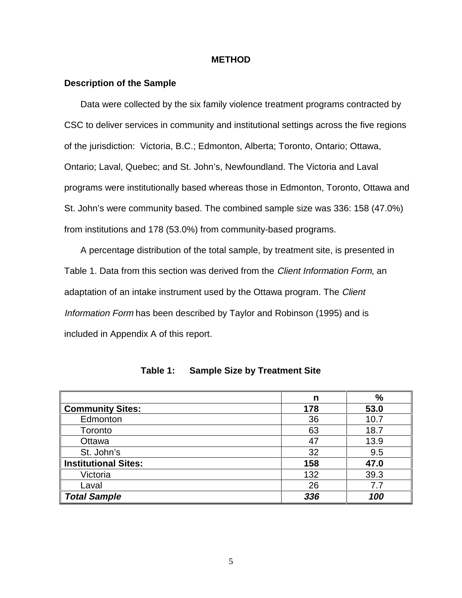#### **METHOD**

#### **Description of the Sample**

Data were collected by the six family violence treatment programs contracted by CSC to deliver services in community and institutional settings across the five regions of the jurisdiction: Victoria, B.C.; Edmonton, Alberta; Toronto, Ontario; Ottawa, Ontario; Laval, Quebec; and St. John's, Newfoundland. The Victoria and Laval programs were institutionally based whereas those in Edmonton, Toronto, Ottawa and St. John's were community based. The combined sample size was 336: 158 (47.0%) from institutions and 178 (53.0%) from community-based programs.

A percentage distribution of the total sample, by treatment site, is presented in Table 1. Data from this section was derived from the *Client Information Form*, an adaptation of an intake instrument used by the Ottawa program. The Client Information Form has been described by Taylor and Robinson (1995) and is included in Appendix A of this report.

|                             | n   | $\%$ |
|-----------------------------|-----|------|
| <b>Community Sites:</b>     | 178 | 53.0 |
| Edmonton                    | 36  | 10.7 |
| Toronto                     | 63  | 18.7 |
| Ottawa                      | 47  | 13.9 |
| St. John's                  | 32  | 9.5  |
| <b>Institutional Sites:</b> | 158 | 47.0 |
| Victoria                    | 132 | 39.3 |
| Laval                       | 26  | 7.7  |
| <b>Total Sample</b>         | 336 | 100  |

| Table 1: |  |  | <b>Sample Size by Treatment Site</b> |  |
|----------|--|--|--------------------------------------|--|
|----------|--|--|--------------------------------------|--|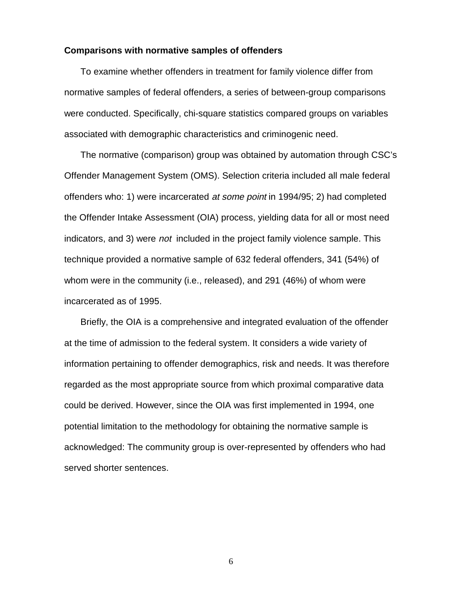#### **Comparisons with normative samples of offenders**

To examine whether offenders in treatment for family violence differ from normative samples of federal offenders, a series of between-group comparisons were conducted. Specifically, chi-square statistics compared groups on variables associated with demographic characteristics and criminogenic need.

The normative (comparison) group was obtained by automation through CSC's Offender Management System (OMS). Selection criteria included all male federal offenders who: 1) were incarcerated at some point in 1994/95; 2) had completed the Offender Intake Assessment (OIA) process, yielding data for all or most need indicators, and 3) were not included in the project family violence sample. This technique provided a normative sample of 632 federal offenders, 341 (54%) of whom were in the community (i.e., released), and 291 (46%) of whom were incarcerated as of 1995.

Briefly, the OIA is a comprehensive and integrated evaluation of the offender at the time of admission to the federal system. It considers a wide variety of information pertaining to offender demographics, risk and needs. It was therefore regarded as the most appropriate source from which proximal comparative data could be derived. However, since the OIA was first implemented in 1994, one potential limitation to the methodology for obtaining the normative sample is acknowledged: The community group is over-represented by offenders who had served shorter sentences.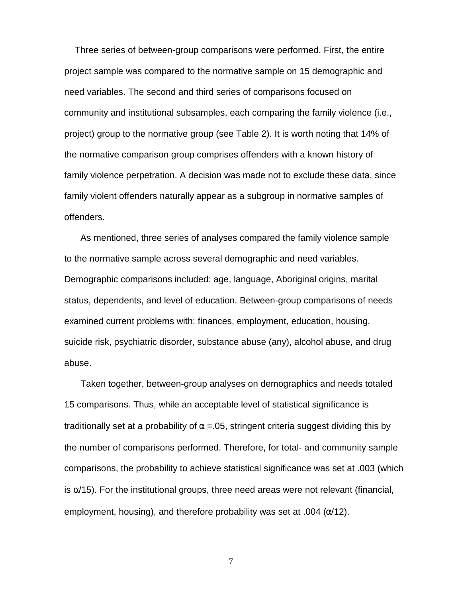Three series of between-group comparisons were performed. First, the entire project sample was compared to the normative sample on 15 demographic and need variables. The second and third series of comparisons focused on community and institutional subsamples, each comparing the family violence (i.e., project) group to the normative group (see Table 2). It is worth noting that 14% of the normative comparison group comprises offenders with a known history of family violence perpetration. A decision was made not to exclude these data, since family violent offenders naturally appear as a subgroup in normative samples of offenders.

As mentioned, three series of analyses compared the family violence sample to the normative sample across several demographic and need variables. Demographic comparisons included: age, language, Aboriginal origins, marital status, dependents, and level of education. Between-group comparisons of needs examined current problems with: finances, employment, education, housing, suicide risk, psychiatric disorder, substance abuse (any), alcohol abuse, and drug abuse.

Taken together, between-group analyses on demographics and needs totaled 15 comparisons. Thus, while an acceptable level of statistical significance is traditionally set at a probability of  $\alpha$  = 05, stringent criteria suggest dividing this by the number of comparisons performed. Therefore, for total- and community sample comparisons, the probability to achieve statistical significance was set at .003 (which is  $\alpha$ /15). For the institutional groups, three need areas were not relevant (financial, employment, housing), and therefore probability was set at .004 ( $\alpha$ /12).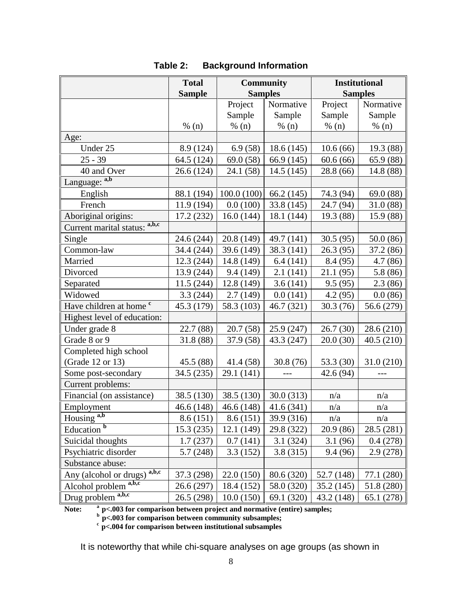|                                    | <b>Total</b>  | <b>Community</b> |            | <b>Institutional</b> |            |
|------------------------------------|---------------|------------------|------------|----------------------|------------|
|                                    | <b>Sample</b> | <b>Samples</b>   |            | <b>Samples</b>       |            |
|                                    |               | Project          | Normative  | Project              | Normative  |
|                                    |               | Sample           | Sample     | Sample               | Sample     |
|                                    | % (n)         | % (n)            | % (n)      | % (n)                | % (n)      |
| Age:                               |               |                  |            |                      |            |
| Under 25                           | 8.9 (124)     | 6.9(58)          | 18.6(145)  | 10.6(66)             | 19.3 (88)  |
| $25 - 39$                          | 64.5 (124)    | 69.0 (58)        | 66.9 (145) | 60.6(66)             | 65.9 (88)  |
| 40 and Over                        | 26.6 (124)    | 24.1 (58)        | 14.5(145)  | 28.8 (66)            | 14.8 (88)  |
| Language: a,b                      |               |                  |            |                      |            |
| English                            | 88.1 (194)    | 100.0(100)       | 66.2(145)  | 74.3 (94)            | 69.0 (88)  |
| French                             | 11.9 (194)    | 0.0(100)         | 33.8 (145) | 24.7 (94)            | 31.0(88)   |
| Aboriginal origins:                | 17.2(232)     | 16.0(144)        | 18.1 (144) | 19.3 (88)            | 15.9 (88)  |
| Current marital status: a,b,c      |               |                  |            |                      |            |
| Single                             | 24.6 (244)    | 20.8 (149)       | 49.7 (141) | 30.5(95)             | 50.0(86)   |
| Common-law                         | 34.4 (244)    | 39.6 (149)       | 38.3 (141) | 26.3(95)             | 37.2 (86)  |
| Married                            | 12.3 (244)    | 14.8 (149)       | 6.4(141)   | 8.4(95)              | 4.7(86)    |
| Divorced                           | 13.9 (244)    | 9.4 (149)        | 2.1(141)   | 21.1(95)             | 5.8(86)    |
| Separated                          | 11.5(244)     | 12.8 (149)       | 3.6(141)   | 9.5(95)              | 2.3(86)    |
| Widowed                            | 3.3(244)      | 2.7(149)         | 0.0(141)   | 4.2(95)              | 0.0(86)    |
| Have children at home <sup>c</sup> | 45.3 (179)    | 58.3 (103)       | 46.7 (321) | 30.3(76)             | 56.6 (279) |
| Highest level of education:        |               |                  |            |                      |            |
| Under grade 8                      | 22.7 (88)     | 20.7(58)         | 25.9(247)  | 26.7(30)             | 28.6 (210) |
| Grade 8 or 9                       | 31.8 (88)     | 37.9 (58)        | 43.3 (247) | 20.0(30)             | 40.5(210)  |
| Completed high school              |               |                  |            |                      |            |
| (Grade 12 or 13)                   | 45.5 (88)     | 41.4 (58)        | 30.8(76)   | 53.3 (30)            | 31.0(210)  |
| Some post-secondary                | 34.5 (235)    | 29.1 (141)       | $---$      | 42.6 (94)            | $ -$       |
| Current problems:                  |               |                  |            |                      |            |
| Financial (on assistance)          | 38.5 (130)    | 38.5 (130)       | 30.0(313)  | n/a                  | n/a        |
| Employment                         | 46.6(148)     | 46.6(148)        | 41.6(341)  | n/a                  | n/a        |
| Housing <sup>a,b</sup>             | 8.6(151)      | 8.6(151)         | 39.9 (316) | n/a                  | n/a        |
| Education <sup>b</sup>             | 15.3 (235)    | 12.1 (149)       | 29.8 (322) | 20.9 (86)            | 28.5 (281) |
| Suicidal thoughts                  | 1.7(237)      | 0.7(141)         | 3.1(324)   | 3.1(96)              | 0.4(278)   |
| Psychiatric disorder               | 5.7(248)      | 3.3(152)         | 3.8(315)   | 9.4(96)              | 2.9 (278)  |
| Substance abuse:                   |               |                  |            |                      |            |
| a,b,c<br>Any (alcohol or drugs)    | 37.3 (298)    | 22.0(150)        | 80.6 (320) | 52.7 (148)           | 77.1 (280) |
| a,b,c<br>Alcohol problem           | 26.6 (297)    | 18.4 (152)       | 58.0 (320) | 35.2 (145)           | 51.8 (280) |
| Drug problem <sup>a,b,c</sup>      | 26.5 (298)    | 10.0(150)        | 69.1 (320) | 43.2 (148)           | 65.1 (278) |

### **Table 2: Background Information**

**Note: a p<.003 for comparison between project and normative (entire) samples;**

**b p<.003 for comparison between community subsamples;**

**c p<.004 for comparison between institutional subsamples**

It is noteworthy that while chi-square analyses on age groups (as shown in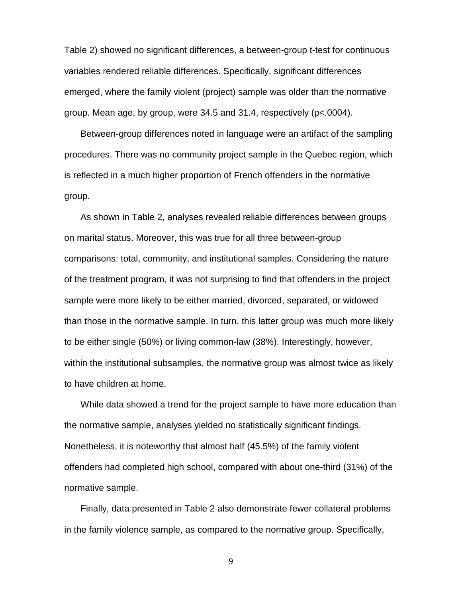Table 2) showed no significant differences, a between-group t-test for continuous variables rendered reliable differences. Specifically, significant differences emerged, where the family violent (project) sample was older than the normative group. Mean age, by group, were 34.5 and 31.4, respectively (p<.0004).

Between-group differences noted in language were an artifact of the sampling procedures. There was no community project sample in the Quebec region, which is reflected in a much higher proportion of French offenders in the normative group.

As shown in Table 2, analyses revealed reliable differences between groups on marital status. Moreover, this was true for all three between-group comparisons: total, community, and institutional samples. Considering the nature of the treatment program, it was not surprising to find that offenders in the project sample were more likely to be either married, divorced, separated, or widowed than those in the normative sample. In turn, this latter group was much more likely to be either single (50%) or living common-law (38%). Interestingly, however, within the institutional subsamples, the normative group was almost twice as likely to have children at home.

While data showed a trend for the project sample to have more education than the normative sample, analyses yielded no statistically significant findings. Nonetheless, it is noteworthy that almost half (45.5%) of the family violent offenders had completed high school, compared with about one-third (31%) of the normative sample.

Finally, data presented in Table 2 also demonstrate fewer collateral problems in the family violence sample, as compared to the normative group. Specifically,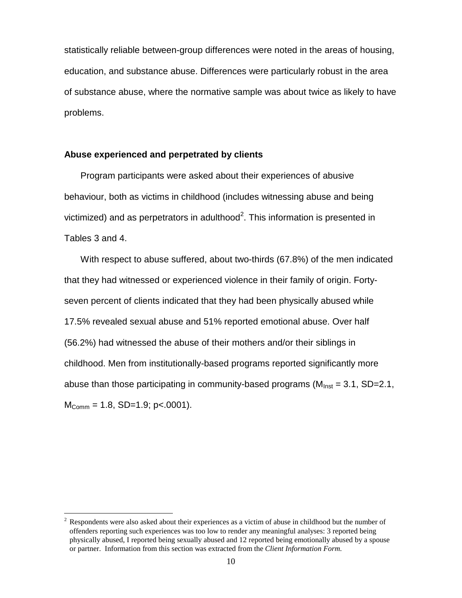statistically reliable between-group differences were noted in the areas of housing, education, and substance abuse. Differences were particularly robust in the area of substance abuse, where the normative sample was about twice as likely to have problems.

#### **Abuse experienced and perpetrated by clients**

Program participants were asked about their experiences of abusive behaviour, both as victims in childhood (includes witnessing abuse and being victimized) and as perpetrators in adulthood<sup>2</sup>. This information is presented in Tables 3 and 4.

With respect to abuse suffered, about two-thirds (67.8%) of the men indicated that they had witnessed or experienced violence in their family of origin. Fortyseven percent of clients indicated that they had been physically abused while 17.5% revealed sexual abuse and 51% reported emotional abuse. Over half (56.2%) had witnessed the abuse of their mothers and/or their siblings in childhood. Men from institutionally-based programs reported significantly more abuse than those participating in community-based programs ( $M<sub>inst</sub> = 3.1$ , SD=2.1,  $M_{\text{Comm}} = 1.8$ , SD=1.9; p<.0001).

 $\overline{a}$ 

 $2^2$  Respondents were also asked about their experiences as a victim of abuse in childhood but the number of offenders reporting such experiences was too low to render any meaningful analyses: 3 reported being physically abused, I reported being sexually abused and 12 reported being emotionally abused by a spouse or partner. Information from this section was extracted from the *Client Information Form.*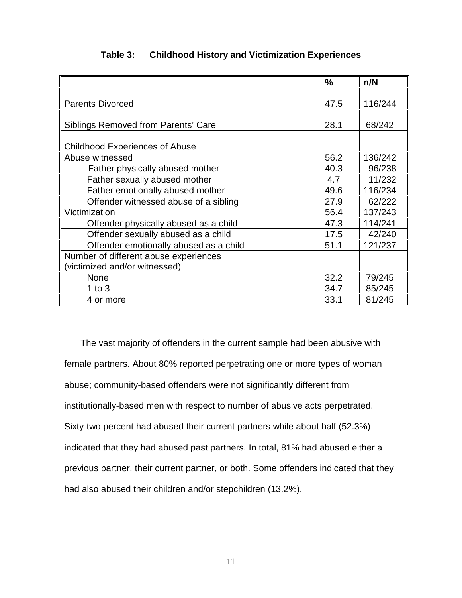|                                        | $\frac{0}{0}$ | n/N     |
|----------------------------------------|---------------|---------|
|                                        |               |         |
| <b>Parents Divorced</b>                | 47.5          | 116/244 |
|                                        |               |         |
| Siblings Removed from Parents' Care    | 28.1          | 68/242  |
|                                        |               |         |
| <b>Childhood Experiences of Abuse</b>  |               |         |
| Abuse witnessed                        | 56.2          | 136/242 |
| Father physically abused mother        | 40.3          | 96/238  |
| Father sexually abused mother          | 4.7           | 11/232  |
| Father emotionally abused mother       | 49.6          | 116/234 |
| Offender witnessed abuse of a sibling  | 27.9          | 62/222  |
| Victimization                          | 56.4          | 137/243 |
| Offender physically abused as a child  | 47.3          | 114/241 |
| Offender sexually abused as a child    | 17.5          | 42/240  |
| Offender emotionally abused as a child | 51.1          | 121/237 |
| Number of different abuse experiences  |               |         |
| (victimized and/or witnessed)          |               |         |
| <b>None</b>                            | 32.2          | 79/245  |
| 1 to $3$                               | 34.7          | 85/245  |
| 4 or more                              | 33.1          | 81/245  |

### **Table 3: Childhood History and Victimization Experiences**

The vast majority of offenders in the current sample had been abusive with female partners. About 80% reported perpetrating one or more types of woman abuse; community-based offenders were not significantly different from institutionally-based men with respect to number of abusive acts perpetrated. Sixty-two percent had abused their current partners while about half (52.3%) indicated that they had abused past partners. In total, 81% had abused either a previous partner, their current partner, or both. Some offenders indicated that they had also abused their children and/or stepchildren (13.2%).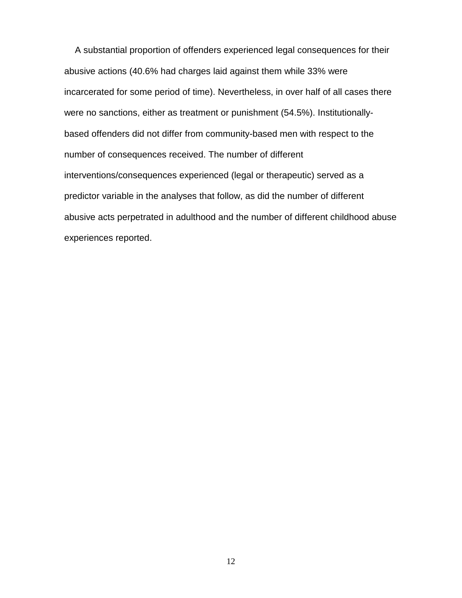A substantial proportion of offenders experienced legal consequences for their abusive actions (40.6% had charges laid against them while 33% were incarcerated for some period of time). Nevertheless, in over half of all cases there were no sanctions, either as treatment or punishment (54.5%). Institutionallybased offenders did not differ from community-based men with respect to the number of consequences received. The number of different interventions/consequences experienced (legal or therapeutic) served as a predictor variable in the analyses that follow, as did the number of different abusive acts perpetrated in adulthood and the number of different childhood abuse experiences reported.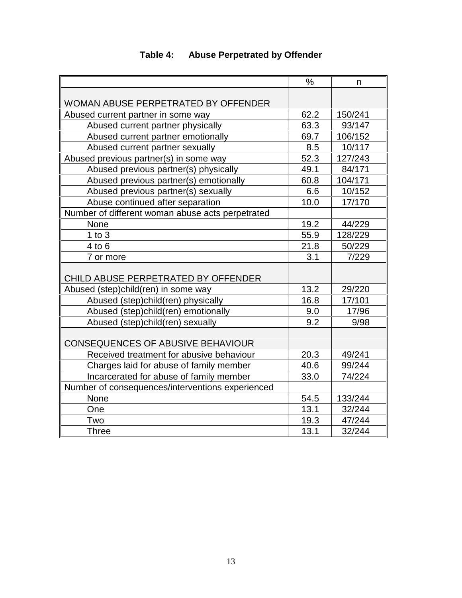|                                                  | $\frac{0}{0}$ | n       |
|--------------------------------------------------|---------------|---------|
|                                                  |               |         |
| WOMAN ABUSE PERPETRATED BY OFFENDER              |               |         |
| Abused current partner in some way               | 62.2          | 150/241 |
| Abused current partner physically                | 63.3          | 93/147  |
| Abused current partner emotionally               | 69.7          | 106/152 |
| Abused current partner sexually                  | 8.5           | 10/117  |
| Abused previous partner(s) in some way           | 52.3          | 127/243 |
| Abused previous partner(s) physically            | 49.1          | 84/171  |
| Abused previous partner(s) emotionally           | 60.8          | 104/171 |
| Abused previous partner(s) sexually              | 6.6           | 10/152  |
| Abuse continued after separation                 | 10.0          | 17/170  |
| Number of different woman abuse acts perpetrated |               |         |
| None                                             | 19.2          | 44/229  |
| $1$ to $3$                                       | 55.9          | 128/229 |
| $4$ to $6$                                       | 21.8          | 50/229  |
| 7 or more                                        | 3.1           | 7/229   |
|                                                  |               |         |
| CHILD ABUSE PERPETRATED BY OFFENDER              |               |         |
| Abused (step)child(ren) in some way              | 13.2          | 29/220  |
| Abused (step)child(ren) physically               | 16.8          | 17/101  |
| Abused (step)child(ren) emotionally              | 9.0           | 17/96   |
| Abused (step)child(ren) sexually                 | 9.2           | 9/98    |
| <b>CONSEQUENCES OF ABUSIVE BEHAVIOUR</b>         |               |         |
| Received treatment for abusive behaviour         | 20.3          | 49/241  |
| Charges laid for abuse of family member          | 40.6          | 99/244  |
| Incarcerated for abuse of family member          | 33.0          | 74/224  |
| Number of consequences/interventions experienced |               |         |
| None                                             | 54.5          | 133/244 |
| One                                              | 13.1          | 32/244  |
| Two                                              | 19.3          | 47/244  |
| <b>Three</b>                                     | 13.1          | 32/244  |

## **Table 4: Abuse Perpetrated by Offender**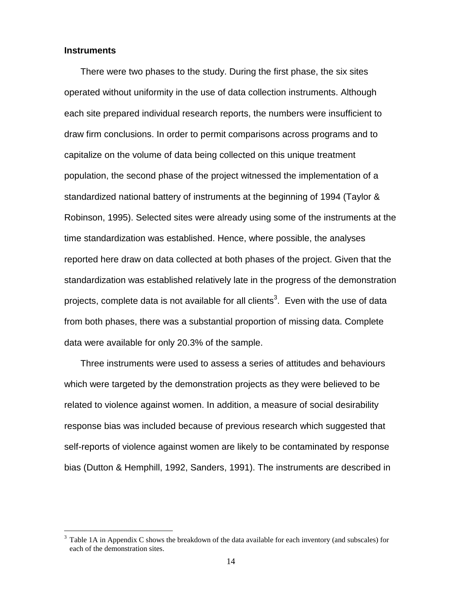#### **Instruments**

 $\overline{a}$ 

There were two phases to the study. During the first phase, the six sites operated without uniformity in the use of data collection instruments. Although each site prepared individual research reports, the numbers were insufficient to draw firm conclusions. In order to permit comparisons across programs and to capitalize on the volume of data being collected on this unique treatment population, the second phase of the project witnessed the implementation of a standardized national battery of instruments at the beginning of 1994 (Taylor & Robinson, 1995). Selected sites were already using some of the instruments at the time standardization was established. Hence, where possible, the analyses reported here draw on data collected at both phases of the project. Given that the standardization was established relatively late in the progress of the demonstration projects, complete data is not available for all clients<sup>3</sup>. Even with the use of data from both phases, there was a substantial proportion of missing data. Complete data were available for only 20.3% of the sample.

Three instruments were used to assess a series of attitudes and behaviours which were targeted by the demonstration projects as they were believed to be related to violence against women. In addition, a measure of social desirability response bias was included because of previous research which suggested that self-reports of violence against women are likely to be contaminated by response bias (Dutton & Hemphill, 1992, Sanders, 1991). The instruments are described in

<sup>3</sup> Table 1A in Appendix C shows the breakdown of the data available for each inventory (and subscales) for each of the demonstration sites.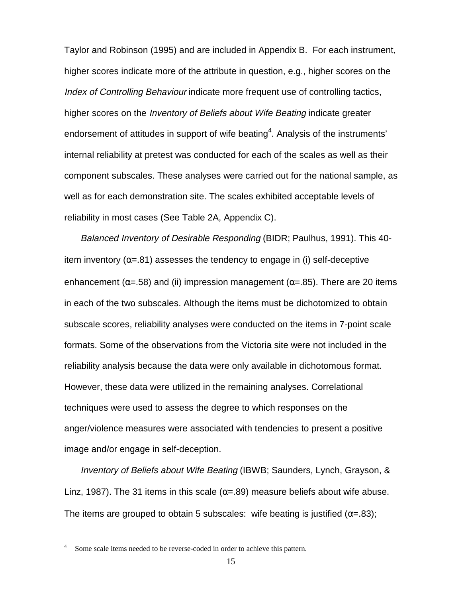Taylor and Robinson (1995) and are included in Appendix B. For each instrument, higher scores indicate more of the attribute in question, e.g., higher scores on the Index of Controlling Behaviour indicate more frequent use of controlling tactics, higher scores on the Inventory of Beliefs about Wife Beating indicate greater endorsement of attitudes in support of wife beating<sup>4</sup>. Analysis of the instruments' internal reliability at pretest was conducted for each of the scales as well as their component subscales. These analyses were carried out for the national sample, as well as for each demonstration site. The scales exhibited acceptable levels of reliability in most cases (See Table 2A, Appendix C).

Balanced Inventory of Desirable Responding (BIDR; Paulhus, 1991). This 40 item inventory ( $\alpha$ =.81) assesses the tendency to engage in (i) self-deceptive enhancement ( $\alpha$ =.58) and (ii) impression management ( $\alpha$ =.85). There are 20 items in each of the two subscales. Although the items must be dichotomized to obtain subscale scores, reliability analyses were conducted on the items in 7-point scale formats. Some of the observations from the Victoria site were not included in the reliability analysis because the data were only available in dichotomous format. However, these data were utilized in the remaining analyses. Correlational techniques were used to assess the degree to which responses on the anger/violence measures were associated with tendencies to present a positive image and/or engage in self-deception.

Inventory of Beliefs about Wife Beating (IBWB; Saunders, Lynch, Grayson, & Linz, 1987). The 31 items in this scale ( $\alpha$ =.89) measure beliefs about wife abuse. The items are grouped to obtain 5 subscales: wife beating is justified ( $\alpha = .83$ );

 $\overline{a}$ 

<sup>4</sup> Some scale items needed to be reverse-coded in order to achieve this pattern.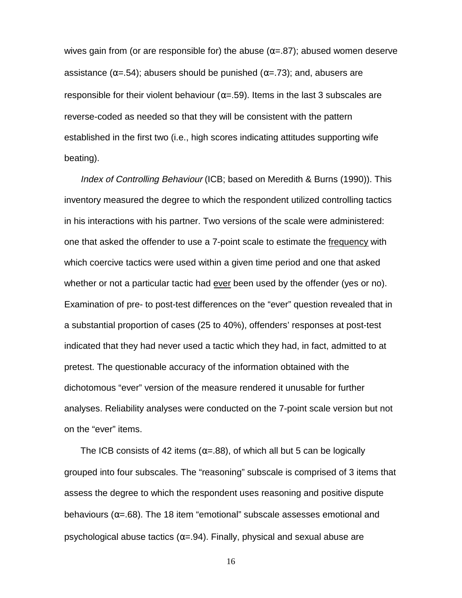wives gain from (or are responsible for) the abuse ( $\alpha$ =.87); abused women deserve assistance ( $\alpha$ =.54); abusers should be punished ( $\alpha$ =.73); and, abusers are responsible for their violent behaviour ( $\alpha$ =.59). Items in the last 3 subscales are reverse-coded as needed so that they will be consistent with the pattern established in the first two (i.e., high scores indicating attitudes supporting wife beating).

Index of Controlling Behaviour (ICB; based on Meredith & Burns (1990)). This inventory measured the degree to which the respondent utilized controlling tactics in his interactions with his partner. Two versions of the scale were administered: one that asked the offender to use a 7-point scale to estimate the frequency with which coercive tactics were used within a given time period and one that asked whether or not a particular tactic had ever been used by the offender (yes or no). Examination of pre- to post-test differences on the "ever" question revealed that in a substantial proportion of cases (25 to 40%), offenders' responses at post-test indicated that they had never used a tactic which they had, in fact, admitted to at pretest. The questionable accuracy of the information obtained with the dichotomous "ever" version of the measure rendered it unusable for further analyses. Reliability analyses were conducted on the 7-point scale version but not on the "ever" items.

The ICB consists of 42 items ( $\alpha$ =.88), of which all but 5 can be logically grouped into four subscales. The "reasoning" subscale is comprised of 3 items that assess the degree to which the respondent uses reasoning and positive dispute behaviours ( $\alpha$ =.68). The 18 item "emotional" subscale assesses emotional and psychological abuse tactics ( $\alpha$ =.94). Finally, physical and sexual abuse are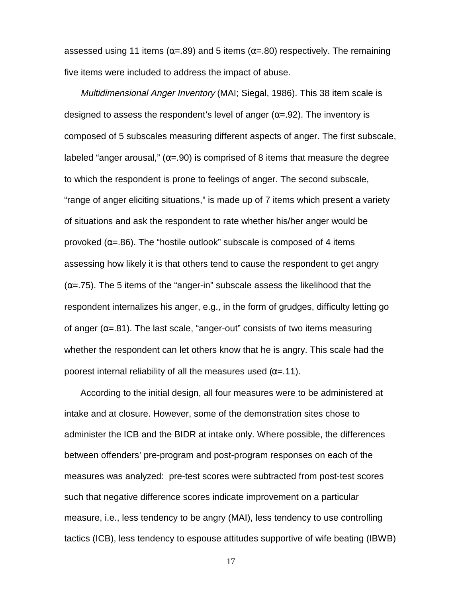assessed using 11 items ( $\alpha$ =.89) and 5 items ( $\alpha$ =.80) respectively. The remaining five items were included to address the impact of abuse.

Multidimensional Anger Inventory (MAI; Siegal, 1986). This 38 item scale is designed to assess the respondent's level of anger ( $\alpha$ =.92). The inventory is composed of 5 subscales measuring different aspects of anger. The first subscale, labeled "anger arousal," ( $\alpha$ =.90) is comprised of 8 items that measure the degree to which the respondent is prone to feelings of anger. The second subscale, "range of anger eliciting situations," is made up of 7 items which present a variety of situations and ask the respondent to rate whether his/her anger would be provoked  $(\alpha = .86)$ . The "hostile outlook" subscale is composed of 4 items assessing how likely it is that others tend to cause the respondent to get angry  $(\alpha = .75)$ . The 5 items of the "anger-in" subscale assess the likelihood that the respondent internalizes his anger, e.g., in the form of grudges, difficulty letting go of anger ( $\alpha$ =.81). The last scale, "anger-out" consists of two items measuring whether the respondent can let others know that he is angry. This scale had the poorest internal reliability of all the measures used  $(α=0.11)$ .

According to the initial design, all four measures were to be administered at intake and at closure. However, some of the demonstration sites chose to administer the ICB and the BIDR at intake only. Where possible, the differences between offenders' pre-program and post-program responses on each of the measures was analyzed: pre-test scores were subtracted from post-test scores such that negative difference scores indicate improvement on a particular measure, i.e., less tendency to be angry (MAI), less tendency to use controlling tactics (ICB), less tendency to espouse attitudes supportive of wife beating (IBWB)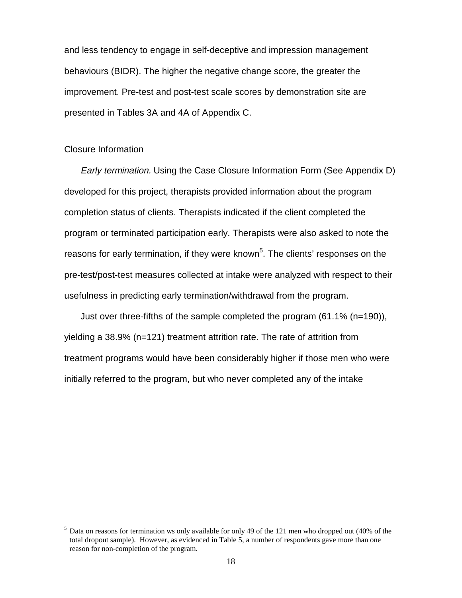and less tendency to engage in self-deceptive and impression management behaviours (BIDR). The higher the negative change score, the greater the improvement. Pre-test and post-test scale scores by demonstration site are presented in Tables 3A and 4A of Appendix C.

#### Closure Information

 $\overline{a}$ 

Early termination. Using the Case Closure Information Form (See Appendix D) developed for this project, therapists provided information about the program completion status of clients. Therapists indicated if the client completed the program or terminated participation early. Therapists were also asked to note the reasons for early termination, if they were known<sup>5</sup>. The clients' responses on the pre-test/post-test measures collected at intake were analyzed with respect to their usefulness in predicting early termination/withdrawal from the program.

Just over three-fifths of the sample completed the program (61.1% (n=190)), yielding a 38.9% (n=121) treatment attrition rate. The rate of attrition from treatment programs would have been considerably higher if those men who were initially referred to the program, but who never completed any of the intake

<sup>&</sup>lt;sup>5</sup> Data on reasons for termination ws only available for only 49 of the 121 men who dropped out (40% of the total dropout sample). However, as evidenced in Table 5, a number of respondents gave more than one reason for non-completion of the program.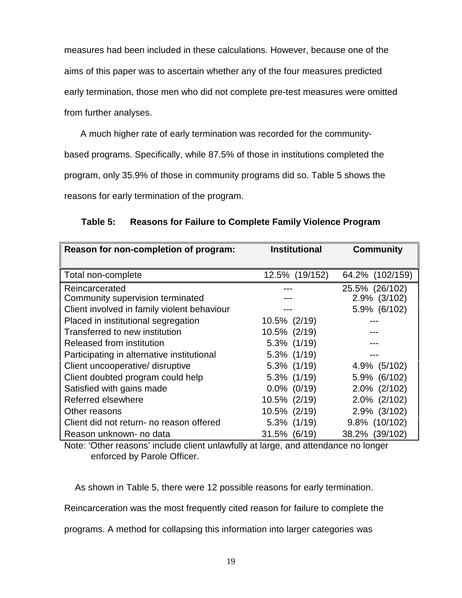measures had been included in these calculations. However, because one of the aims of this paper was to ascertain whether any of the four measures predicted early termination, those men who did not complete pre-test measures were omitted from further analyses.

A much higher rate of early termination was recorded for the communitybased programs. Specifically, while 87.5% of those in institutions completed the program, only 35.9% of those in community programs did so. Table 5 shows the reasons for early termination of the program.

| Reason for non-completion of program:              | <b>Institutional</b> | <b>Community</b>               |  |
|----------------------------------------------------|----------------------|--------------------------------|--|
|                                                    |                      |                                |  |
| Total non-complete                                 | 12.5% (19/152)       | 64.2% (102/159)                |  |
| Reincarcerated<br>Community supervision terminated |                      | 25.5% (26/102)<br>2.9% (3/102) |  |
| Client involved in family violent behaviour        |                      | 5.9% (6/102)                   |  |
| Placed in institutional segregation                | 10.5% (2/19)         |                                |  |
| Transferred to new institution                     | 10.5% (2/19)         |                                |  |
| Released from institution                          | 5.3% (1/19)          |                                |  |
| Participating in alternative institutional         | $5.3\%$ (1/19)       |                                |  |
| Client uncooperative/ disruptive                   | $5.3\%$ (1/19)       | 4.9% (5/102)                   |  |
| Client doubted program could help                  | 5.3% (1/19)          | 5.9% (6/102)                   |  |
| Satisfied with gains made                          | $0.0\%$ (0/19)       | $2.0\%$ ( $2/102$ )            |  |
| Referred elsewhere                                 | 10.5% (2/19)         | $2.0\%$ ( $2/102$ )            |  |
| Other reasons                                      | 10.5% (2/19)         | 2.9% (3/102)                   |  |
| Client did not return- no reason offered           | 5.3% (1/19)          | 9.8% (10/102)                  |  |
| Reason unknown- no data                            | 31.5% (6/19)         | 38.2% (39/102)                 |  |

**Table 5: Reasons for Failure to Complete Family Violence Program**

Note: 'Other reasons' include client unlawfully at large, and attendance no longer enforced by Parole Officer.

As shown in Table 5, there were 12 possible reasons for early termination.

Reincarceration was the most frequently cited reason for failure to complete the

programs. A method for collapsing this information into larger categories was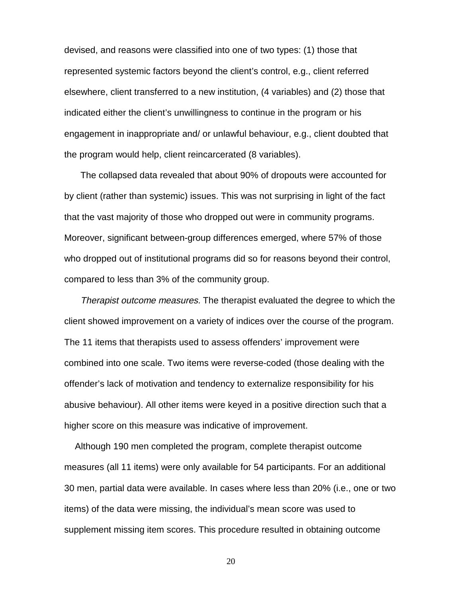devised, and reasons were classified into one of two types: (1) those that represented systemic factors beyond the client's control, e.g., client referred elsewhere, client transferred to a new institution, (4 variables) and (2) those that indicated either the client's unwillingness to continue in the program or his engagement in inappropriate and/ or unlawful behaviour, e.g., client doubted that the program would help, client reincarcerated (8 variables).

The collapsed data revealed that about 90% of dropouts were accounted for by client (rather than systemic) issues. This was not surprising in light of the fact that the vast majority of those who dropped out were in community programs. Moreover, significant between-group differences emerged, where 57% of those who dropped out of institutional programs did so for reasons beyond their control, compared to less than 3% of the community group.

Therapist outcome measures. The therapist evaluated the degree to which the client showed improvement on a variety of indices over the course of the program. The 11 items that therapists used to assess offenders' improvement were combined into one scale. Two items were reverse-coded (those dealing with the offender's lack of motivation and tendency to externalize responsibility for his abusive behaviour). All other items were keyed in a positive direction such that a higher score on this measure was indicative of improvement.

Although 190 men completed the program, complete therapist outcome measures (all 11 items) were only available for 54 participants. For an additional 30 men, partial data were available. In cases where less than 20% (i.e., one or two items) of the data were missing, the individual's mean score was used to supplement missing item scores. This procedure resulted in obtaining outcome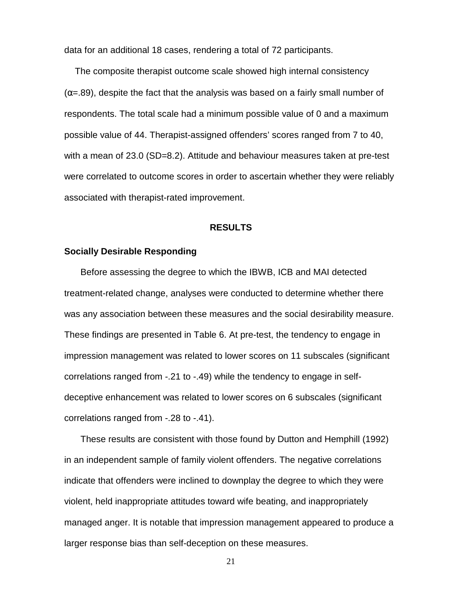data for an additional 18 cases, rendering a total of 72 participants.

The composite therapist outcome scale showed high internal consistency  $(\alpha = .89)$ , despite the fact that the analysis was based on a fairly small number of respondents. The total scale had a minimum possible value of 0 and a maximum possible value of 44. Therapist-assigned offenders' scores ranged from 7 to 40, with a mean of 23.0 (SD=8.2). Attitude and behaviour measures taken at pre-test were correlated to outcome scores in order to ascertain whether they were reliably associated with therapist-rated improvement.

#### **RESULTS**

#### **Socially Desirable Responding**

Before assessing the degree to which the IBWB, ICB and MAI detected treatment-related change, analyses were conducted to determine whether there was any association between these measures and the social desirability measure. These findings are presented in Table 6. At pre-test, the tendency to engage in impression management was related to lower scores on 11 subscales (significant correlations ranged from -.21 to -.49) while the tendency to engage in selfdeceptive enhancement was related to lower scores on 6 subscales (significant correlations ranged from -.28 to -.41).

These results are consistent with those found by Dutton and Hemphill (1992) in an independent sample of family violent offenders. The negative correlations indicate that offenders were inclined to downplay the degree to which they were violent, held inappropriate attitudes toward wife beating, and inappropriately managed anger. It is notable that impression management appeared to produce a larger response bias than self-deception on these measures.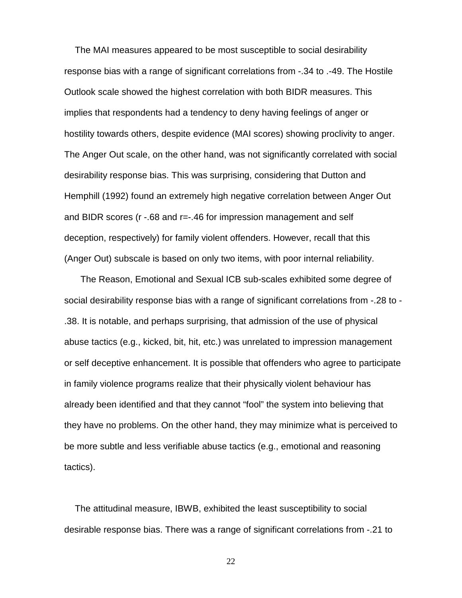The MAI measures appeared to be most susceptible to social desirability response bias with a range of significant correlations from -.34 to .-49. The Hostile Outlook scale showed the highest correlation with both BIDR measures. This implies that respondents had a tendency to deny having feelings of anger or hostility towards others, despite evidence (MAI scores) showing proclivity to anger. The Anger Out scale, on the other hand, was not significantly correlated with social desirability response bias. This was surprising, considering that Dutton and Hemphill (1992) found an extremely high negative correlation between Anger Out and BIDR scores (r -.68 and r=-.46 for impression management and self deception, respectively) for family violent offenders. However, recall that this (Anger Out) subscale is based on only two items, with poor internal reliability.

The Reason, Emotional and Sexual ICB sub-scales exhibited some degree of social desirability response bias with a range of significant correlations from -.28 to - .38. It is notable, and perhaps surprising, that admission of the use of physical abuse tactics (e.g., kicked, bit, hit, etc.) was unrelated to impression management or self deceptive enhancement. It is possible that offenders who agree to participate in family violence programs realize that their physically violent behaviour has already been identified and that they cannot "fool" the system into believing that they have no problems. On the other hand, they may minimize what is perceived to be more subtle and less verifiable abuse tactics (e.g., emotional and reasoning tactics).

The attitudinal measure, IBWB, exhibited the least susceptibility to social desirable response bias. There was a range of significant correlations from -.21 to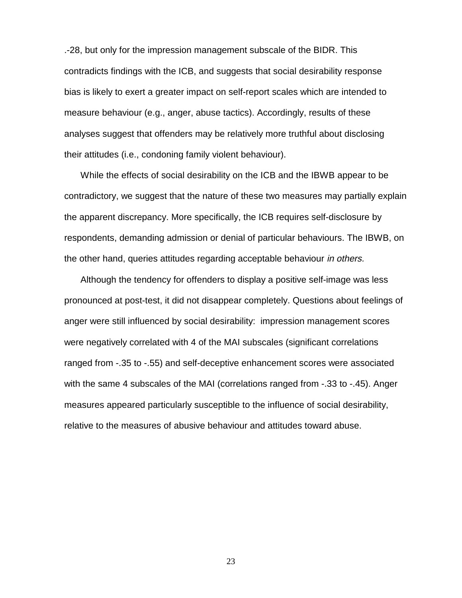.-28, but only for the impression management subscale of the BIDR. This contradicts findings with the ICB, and suggests that social desirability response bias is likely to exert a greater impact on self-report scales which are intended to measure behaviour (e.g., anger, abuse tactics). Accordingly, results of these analyses suggest that offenders may be relatively more truthful about disclosing their attitudes (i.e., condoning family violent behaviour).

While the effects of social desirability on the ICB and the IBWB appear to be contradictory, we suggest that the nature of these two measures may partially explain the apparent discrepancy. More specifically, the ICB requires self-disclosure by respondents, demanding admission or denial of particular behaviours. The IBWB, on the other hand, queries attitudes regarding acceptable behaviour in others.

Although the tendency for offenders to display a positive self-image was less pronounced at post-test, it did not disappear completely. Questions about feelings of anger were still influenced by social desirability: impression management scores were negatively correlated with 4 of the MAI subscales (significant correlations ranged from -.35 to -.55) and self-deceptive enhancement scores were associated with the same 4 subscales of the MAI (correlations ranged from -.33 to -.45). Anger measures appeared particularly susceptible to the influence of social desirability, relative to the measures of abusive behaviour and attitudes toward abuse.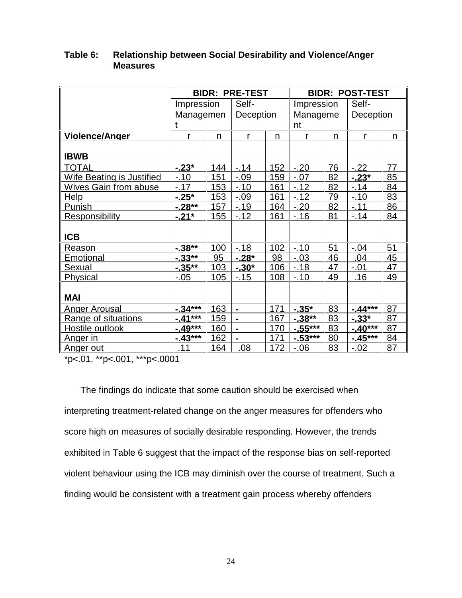|                                  |            |     | <b>BIDR: PRE-TEST</b> |     |            | <b>BIDR: POST-TEST</b> |              |    |  |
|----------------------------------|------------|-----|-----------------------|-----|------------|------------------------|--------------|----|--|
|                                  | Impression |     | Self-                 |     | Impression |                        | Self-        |    |  |
|                                  | Managemen  |     | Deception             |     | Manageme   |                        | Deception    |    |  |
|                                  | t          |     |                       |     | nt         |                        |              |    |  |
| <b>Violence/Anger</b>            | r          | n   | r                     | n   | r          | n                      | $\mathsf{r}$ | n  |  |
|                                  |            |     |                       |     |            |                        |              |    |  |
| <b>IBWB</b>                      |            |     |                       |     |            |                        |              |    |  |
| <b>TOTAL</b>                     | $-0.23*$   | 144 | $-.14$                | 152 | $-20$      | 76                     | $-.22$       | 77 |  |
| <b>Wife Beating is Justified</b> | $-.10$     | 151 | $-.09$                | 159 | $-.07$     | 82                     | $-.23*$      | 85 |  |
| Wives Gain from abuse            | $-17$      | 153 | $-.10$                | 161 | $-12$      | 82                     | $-.14$       | 84 |  |
| <b>Help</b>                      | $-25*$     | 153 | $-0.09$               | 161 | $-.12$     | 79                     | $-.10$       | 83 |  |
| Punish                           | $-0.28**$  | 157 | $-.19$                | 164 | $-20$      | 82                     | $-.11$       | 86 |  |
| <b>Responsibility</b>            | $-21*$     | 155 | $-12$                 | 161 | $-16$      | 81                     | $-.14$       | 84 |  |
|                                  |            |     |                       |     |            |                        |              |    |  |
| <b>ICB</b>                       |            |     |                       |     |            |                        |              |    |  |
| Reason                           | $-.38**$   | 100 | $-18$                 | 102 | $-.10$     | 51                     | $-.04$       | 51 |  |
| Emotional                        | $-0.33**$  | 95  | $-.28*$               | 98  | $-.03$     | 46                     | .04          | 45 |  |
| Sexual                           | $-0.35**$  | 103 | $-0.30*$              | 106 | $-18$      | 47                     | $-.01$       | 47 |  |
| Physical                         | $-0.05$    | 105 | $-15$                 | 108 | $-.10$     | 49                     | .16          | 49 |  |
|                                  |            |     |                       |     |            |                        |              |    |  |
| <b>MAI</b>                       |            |     |                       |     |            |                        |              |    |  |
| <b>Anger Arousal</b>             | $-34***$   | 163 | $\blacksquare$        | 171 | $-.35*$    | 83                     | $-44***$     | 87 |  |
| Range of situations              | $-41***$   | 159 | $\blacksquare$        | 167 | $-.38**$   | 83                     | $-0.33*$     | 87 |  |
| Hostile outlook                  | $-49***$   | 160 | $\blacksquare$        | 170 | $-0.55***$ | 83                     | $-40***$     | 87 |  |
| Anger in                         | $-43***$   | 162 | $\blacksquare$        | 171 | $-0.53***$ | 80                     | $-45***$     | 84 |  |
| <u>Anger out</u>                 | .11        | 164 | .08                   | 172 | $-0.06$    | 83                     | $-.02$       | 87 |  |

### **Table 6: Relationship between Social Desirability and Violence/Anger Measures**

\*p<.01, \*\*p<.001, \*\*\*p<.0001

The findings do indicate that some caution should be exercised when interpreting treatment-related change on the anger measures for offenders who score high on measures of socially desirable responding. However, the trends exhibited in Table 6 suggest that the impact of the response bias on self-reported violent behaviour using the ICB may diminish over the course of treatment. Such a finding would be consistent with a treatment gain process whereby offenders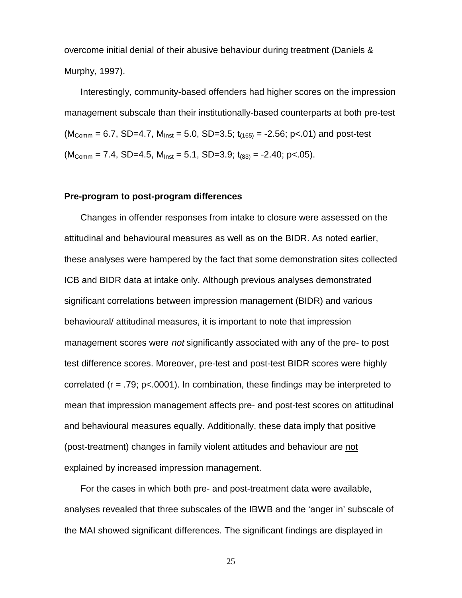overcome initial denial of their abusive behaviour during treatment (Daniels & Murphy, 1997).

Interestingly, community-based offenders had higher scores on the impression management subscale than their institutionally-based counterparts at both pre-test  $(M_{\text{Comm}} = 6.7, SD=4.7, M_{\text{inst}} = 5.0, SD=3.5; t_{(165)} = -2.56; p<.01)$  and post-test  $(M_{\text{Comm}} = 7.4, SD=4.5, M_{\text{inst}} = 5.1, SD=3.9; t_{(83)} = -2.40; p<.05).$ 

#### **Pre-program to post-program differences**

Changes in offender responses from intake to closure were assessed on the attitudinal and behavioural measures as well as on the BIDR. As noted earlier, these analyses were hampered by the fact that some demonstration sites collected ICB and BIDR data at intake only. Although previous analyses demonstrated significant correlations between impression management (BIDR) and various behavioural/ attitudinal measures, it is important to note that impression management scores were not significantly associated with any of the pre- to post test difference scores. Moreover, pre-test and post-test BIDR scores were highly correlated ( $r = .79$ ;  $p < .0001$ ). In combination, these findings may be interpreted to mean that impression management affects pre- and post-test scores on attitudinal and behavioural measures equally. Additionally, these data imply that positive (post-treatment) changes in family violent attitudes and behaviour are not explained by increased impression management.

For the cases in which both pre- and post-treatment data were available, analyses revealed that three subscales of the IBWB and the 'anger in' subscale of the MAI showed significant differences. The significant findings are displayed in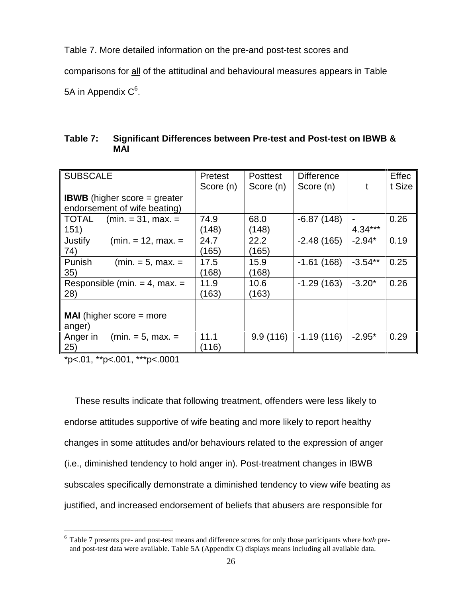Table 7. More detailed information on the pre-and post-test scores and comparisons for all of the attitudinal and behavioural measures appears in Table 5A in Appendix  $\textsf{C}^6$ .

| Table 7: Significant Differences between Pre-test and Post-test on IBWB & |
|---------------------------------------------------------------------------|
| <b>MAI</b>                                                                |

| <b>SUBSCALE</b>                       | <b>Pretest</b> | <b>Posttest</b> | <b>Difference</b> |           | <b>Effec</b> |
|---------------------------------------|----------------|-----------------|-------------------|-----------|--------------|
|                                       | Score (n)      | Score (n)       | Score (n)         |           | t Size       |
| <b>IBWB</b> (higher score $=$ greater |                |                 |                   |           |              |
| endorsement of wife beating)          |                |                 |                   |           |              |
| $(min = 31, max. =$<br>TOTAL          | 74.9           | 68.0            | $-6.87(148)$      |           | 0.26         |
| 151)                                  | (148)          | (148)           |                   | $4.34***$ |              |
| $(min = 12, max =$<br>Justify         | 24.7           | 22.2            | $-2.48(165)$      | $-2.94*$  | 0.19         |
| 74)                                   | (165)          | (165)           |                   |           |              |
| Punish<br>$(min = 5, max. =$          | 17.5           | 15.9            | $-1.61(168)$      | $-3.54**$ | 0.25         |
| 35)                                   | (168)          | (168)           |                   |           |              |
| Responsible (min. $=$ 4, max. $=$     | 11.9           | 10.6            | $-1.29(163)$      | $-3.20*$  | 0.26         |
| 28)                                   | (163)          | (163)           |                   |           |              |
|                                       |                |                 |                   |           |              |
| <b>MAI</b> (higher score $=$ more     |                |                 |                   |           |              |
| anger)                                |                |                 |                   |           |              |
| $(min = 5, max. =$<br>Anger in        | 11.1           | 9.9(116)        | $-1.19(116)$      | $-2.95*$  | 0.29         |
| 25)                                   | (116)          |                 |                   |           |              |

\*p<.01, \*\*p<.001, \*\*\*p<.0001

 $\overline{a}$ 

These results indicate that following treatment, offenders were less likely to endorse attitudes supportive of wife beating and more likely to report healthy changes in some attitudes and/or behaviours related to the expression of anger (i.e., diminished tendency to hold anger in). Post-treatment changes in IBWB subscales specifically demonstrate a diminished tendency to view wife beating as justified, and increased endorsement of beliefs that abusers are responsible for

<sup>6</sup> Table 7 presents pre- and post-test means and difference scores for only those participants where *both* preand post-test data were available. Table 5A (Appendix C) displays means including all available data.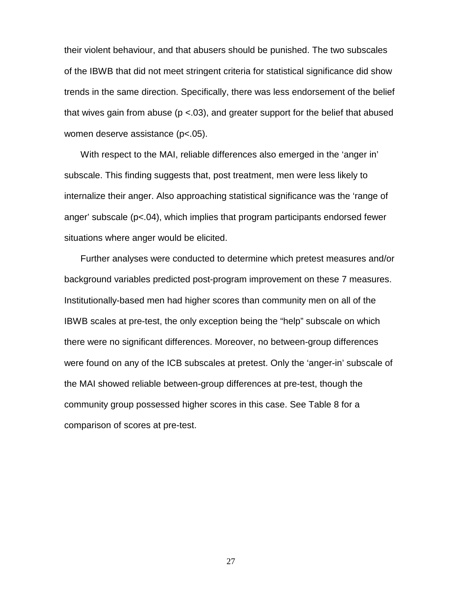their violent behaviour, and that abusers should be punished. The two subscales of the IBWB that did not meet stringent criteria for statistical significance did show trends in the same direction. Specifically, there was less endorsement of the belief that wives gain from abuse ( $p < .03$ ), and greater support for the belief that abused women deserve assistance (p<.05).

With respect to the MAI, reliable differences also emerged in the 'anger in' subscale. This finding suggests that, post treatment, men were less likely to internalize their anger. Also approaching statistical significance was the 'range of anger' subscale  $(p<.04)$ , which implies that program participants endorsed fewer situations where anger would be elicited.

Further analyses were conducted to determine which pretest measures and/or background variables predicted post-program improvement on these 7 measures. Institutionally-based men had higher scores than community men on all of the IBWB scales at pre-test, the only exception being the "help" subscale on which there were no significant differences. Moreover, no between-group differences were found on any of the ICB subscales at pretest. Only the 'anger-in' subscale of the MAI showed reliable between-group differences at pre-test, though the community group possessed higher scores in this case. See Table 8 for a comparison of scores at pre-test.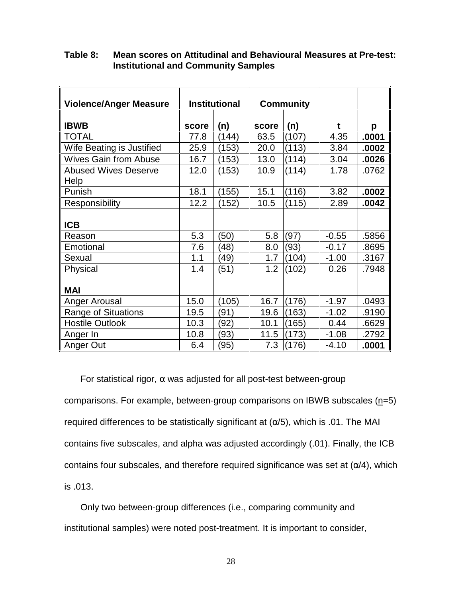| <b>Violence/Anger Measure</b>       |       | <b>Institutional</b> |       | <b>Community</b> |         |       |
|-------------------------------------|-------|----------------------|-------|------------------|---------|-------|
|                                     |       |                      |       |                  |         |       |
| <b>IBWB</b>                         | score | (n)                  | score | (n)              | t       | p     |
| <b>TOTAL</b>                        | 77.8  | (144)                | 63.5  | (107)            | 4.35    | .0001 |
| Wife Beating is Justified           | 25.9  | (153)                | 20.0  | (113)            | 3.84    | .0002 |
| <b>Wives Gain from Abuse</b>        | 16.7  | (153)                | 13.0  | (114)            | 3.04    | .0026 |
| <b>Abused Wives Deserve</b><br>Help | 12.0  | (153)                | 10.9  | (114)            | 1.78    | .0762 |
| Punish                              | 18.1  | (155)                | 15.1  | (116)            | 3.82    | .0002 |
| Responsibility                      | 12.2  | (152)                | 10.5  | (115)            | 2.89    | .0042 |
| <b>ICB</b>                          |       |                      |       |                  |         |       |
| Reason                              | 5.3   | (50)                 | 5.8   | (97)             | $-0.55$ | .5856 |
| Emotional                           | 7.6   | 48)                  | 8.0   | (93)             | $-0.17$ | .8695 |
| Sexual                              | 1.1   | (49)                 | 1.7   | (104)            | $-1.00$ | .3167 |
| Physical                            | 1.4   | (51)                 | 1.2   | (102)            | 0.26    | .7948 |
| <b>MAI</b>                          |       |                      |       |                  |         |       |
| Anger Arousal                       | 15.0  | (105)                | 16.7  | (176)            | $-1.97$ | .0493 |
| <b>Range of Situations</b>          | 19.5  | (91)                 | 19.6  | (163)            | $-1.02$ | .9190 |
| <b>Hostile Outlook</b>              | 10.3  | (92)                 | 10.1  | (165)            | 0.44    | .6629 |
| Anger In                            | 10.8  | (93)                 | 11.5  | (173)            | $-1.08$ | .2792 |
| Anger Out                           | 6.4   | (95)                 | 7.3   | (176)            | $-4.10$ | .0001 |

## **Table 8: Mean scores on Attitudinal and Behavioural Measures at Pre-test: Institutional and Community Samples**

For statistical rigor,  $\alpha$  was adjusted for all post-test between-group comparisons. For example, between-group comparisons on IBWB subscales  $(n=5)$ required differences to be statistically significant at  $(\alpha/5)$ , which is .01. The MAI contains five subscales, and alpha was adjusted accordingly (.01). Finally, the ICB contains four subscales, and therefore required significance was set at  $(\alpha/4)$ , which is .013.

Only two between-group differences (i.e., comparing community and institutional samples) were noted post-treatment. It is important to consider,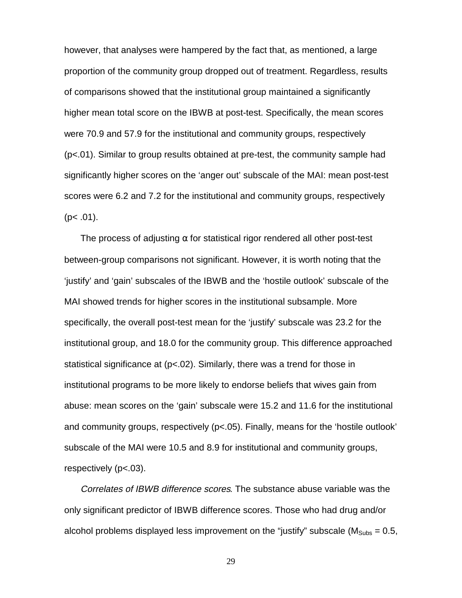however, that analyses were hampered by the fact that, as mentioned, a large proportion of the community group dropped out of treatment. Regardless, results of comparisons showed that the institutional group maintained a significantly higher mean total score on the IBWB at post-test. Specifically, the mean scores were 70.9 and 57.9 for the institutional and community groups, respectively (p<.01). Similar to group results obtained at pre-test, the community sample had significantly higher scores on the 'anger out' subscale of the MAI: mean post-test scores were 6.2 and 7.2 for the institutional and community groups, respectively  $(p< .01)$ .

The process of adjusting  $\alpha$  for statistical rigor rendered all other post-test between-group comparisons not significant. However, it is worth noting that the 'justify' and 'gain' subscales of the IBWB and the 'hostile outlook' subscale of the MAI showed trends for higher scores in the institutional subsample. More specifically, the overall post-test mean for the 'justify' subscale was 23.2 for the institutional group, and 18.0 for the community group. This difference approached statistical significance at (p<.02). Similarly, there was a trend for those in institutional programs to be more likely to endorse beliefs that wives gain from abuse: mean scores on the 'gain' subscale were 15.2 and 11.6 for the institutional and community groups, respectively (p<.05). Finally, means for the 'hostile outlook' subscale of the MAI were 10.5 and 8.9 for institutional and community groups, respectively (p<.03).

Correlates of IBWB difference scores. The substance abuse variable was the only significant predictor of IBWB difference scores. Those who had drug and/or alcohol problems displayed less improvement on the "justify" subscale ( $M_{\text{Subs}} = 0.5$ ,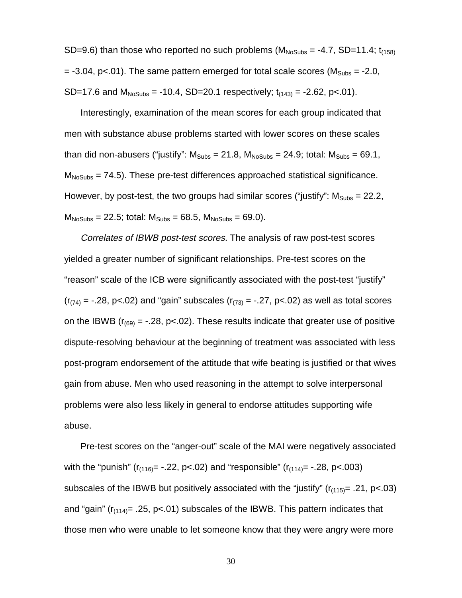SD=9.6) than those who reported no such problems  $(M_{N_0Subs} = -4.7, SD=11.4; t_{(158)}$  $= -3.04$ , p<.01). The same pattern emerged for total scale scores ( $M<sub>Subs</sub> = -2.0$ , SD=17.6 and  $M_{NoSubs} = -10.4$ , SD=20.1 respectively;  $t_{(143)} = -2.62$ , p<.01).

Interestingly, examination of the mean scores for each group indicated that men with substance abuse problems started with lower scores on these scales than did non-abusers ("justify":  $M_{\text{Subs}} = 21.8$ ,  $M_{\text{NoSubs}} = 24.9$ ; total:  $M_{\text{Subs}} = 69.1$ ,  $M<sub>NoSubs</sub> = 74.5$ ). These pre-test differences approached statistical significance. However, by post-test, the two groups had similar scores ("justify":  $M<sub>Subs</sub> = 22.2$ ,  $M_{NoSubs} = 22.5$ ; total:  $M_{Subs} = 68.5$ ,  $M_{NoSubs} = 69.0$ ).

Correlates of IBWB post-test scores. The analysis of raw post-test scores yielded a greater number of significant relationships. Pre-test scores on the "reason" scale of the ICB were significantly associated with the post-test "justify"  $(r_{(74)} = -.28, p < .02)$  and "gain" subscales  $(r_{(73)} = -.27, p < .02)$  as well as total scores on the IBWB ( $r_{(69)} = -.28$ , p<.02). These results indicate that greater use of positive dispute-resolving behaviour at the beginning of treatment was associated with less post-program endorsement of the attitude that wife beating is justified or that wives gain from abuse. Men who used reasoning in the attempt to solve interpersonal problems were also less likely in general to endorse attitudes supporting wife abuse.

Pre-test scores on the "anger-out" scale of the MAI were negatively associated with the "punish" ( $r_{(116)} = -0.22$ , p<.02) and "responsible" ( $r_{(114)} = -0.28$ , p<.003) subscales of the IBWB but positively associated with the "justify" ( $r_{(115)} = .21$ , p<.03) and "gain" ( $r_{(114)} = .25$ , p<.01) subscales of the IBWB. This pattern indicates that those men who were unable to let someone know that they were angry were more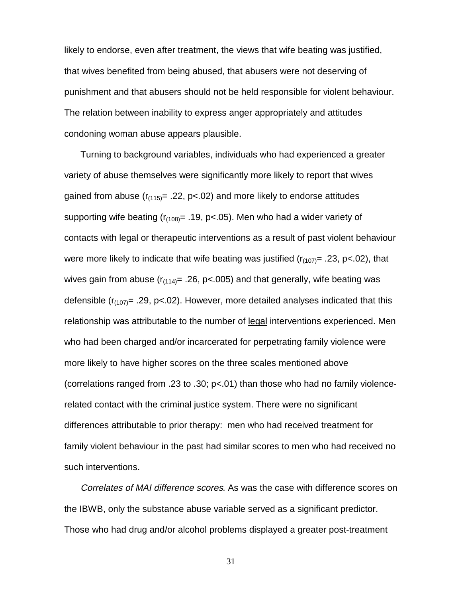likely to endorse, even after treatment, the views that wife beating was justified, that wives benefited from being abused, that abusers were not deserving of punishment and that abusers should not be held responsible for violent behaviour. The relation between inability to express anger appropriately and attitudes condoning woman abuse appears plausible.

Turning to background variables, individuals who had experienced a greater variety of abuse themselves were significantly more likely to report that wives gained from abuse  $(r_{(115)} = .22, p<0.02)$  and more likely to endorse attitudes supporting wife beating  $(r_{(108)} = .19, p < .05)$ . Men who had a wider variety of contacts with legal or therapeutic interventions as a result of past violent behaviour were more likely to indicate that wife beating was justified  $(r_{(107)} = .23, p < .02)$ , that wives gain from abuse  $(r_{(114)} = .26, p<0.05)$  and that generally, wife beating was defensible ( $r_{(107)}$ = .29, p<.02). However, more detailed analyses indicated that this relationship was attributable to the number of legal interventions experienced. Men who had been charged and/or incarcerated for perpetrating family violence were more likely to have higher scores on the three scales mentioned above (correlations ranged from .23 to .30; p<.01) than those who had no family violencerelated contact with the criminal justice system. There were no significant differences attributable to prior therapy: men who had received treatment for family violent behaviour in the past had similar scores to men who had received no such interventions.

Correlates of MAI difference scores. As was the case with difference scores on the IBWB, only the substance abuse variable served as a significant predictor. Those who had drug and/or alcohol problems displayed a greater post-treatment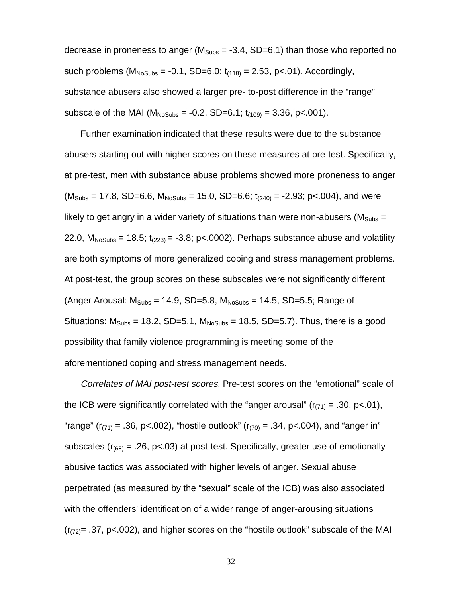decrease in proneness to anger ( $M_{\text{Subs}} = -3.4$ , SD=6.1) than those who reported no such problems  $(M_{NoSubs} = -0.1, SD=6.0; t_{(118)} = 2.53, p<0.01)$ . Accordingly, substance abusers also showed a larger pre- to-post difference in the "range" subscale of the MAI ( $M_{N_0Subs} = -0.2$ , SD=6.1;  $t_{(109)} = 3.36$ , p<.001).

Further examination indicated that these results were due to the substance abusers starting out with higher scores on these measures at pre-test. Specifically, at pre-test, men with substance abuse problems showed more proneness to anger  $(M_{\text{Subs}} = 17.8, SD=6.6, M_{\text{NoSubs}} = 15.0, SD=6.6; t_{(240)} = -2.93; p<.004)$ , and were likely to get angry in a wider variety of situations than were non-abusers ( $M<sub>Subs</sub>$  = 22.0,  $M_{NoSubs} = 18.5$ ;  $t_{(223)} = -3.8$ ; p<.0002). Perhaps substance abuse and volatility are both symptoms of more generalized coping and stress management problems. At post-test, the group scores on these subscales were not significantly different (Anger Arousal:  $M_{\text{Subs}} = 14.9$ , SD=5.8,  $M_{\text{NoSubs}} = 14.5$ , SD=5.5; Range of Situations:  $M<sub>Subs</sub> = 18.2$ , SD=5.1,  $M<sub>NoSubs</sub> = 18.5$ , SD=5.7). Thus, there is a good possibility that family violence programming is meeting some of the aforementioned coping and stress management needs.

Correlates of MAI post-test scores. Pre-test scores on the "emotional" scale of the ICB were significantly correlated with the "anger arousal" ( $r_{(71)} = .30$ , p<.01), "range" ( $r_{(71)} = .36$ , p<.002), "hostile outlook" ( $r_{(70)} = .34$ , p<.004), and "anger in" subscales ( $r_{(68)} = .26$ , p<.03) at post-test. Specifically, greater use of emotionally abusive tactics was associated with higher levels of anger. Sexual abuse perpetrated (as measured by the "sexual" scale of the ICB) was also associated with the offenders' identification of a wider range of anger-arousing situations  $(r<sub>(72)</sub>= .37, p<.002)$ , and higher scores on the "hostile outlook" subscale of the MAI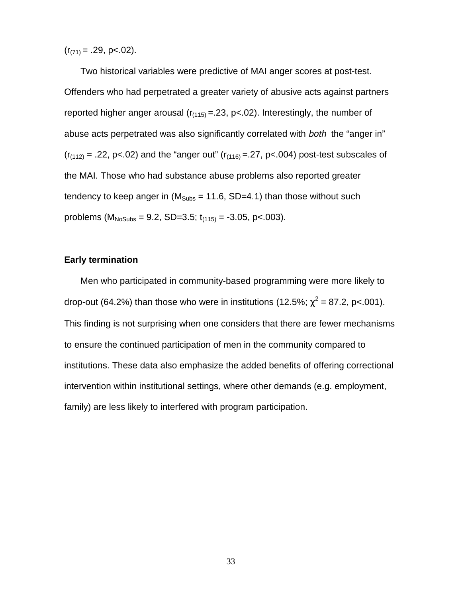$(r_{(71)} = .29, p < .02)$ .

Two historical variables were predictive of MAI anger scores at post-test. Offenders who had perpetrated a greater variety of abusive acts against partners reported higher anger arousal  $(r<sub>(115)</sub> = .23, p < .02)$ . Interestingly, the number of abuse acts perpetrated was also significantly correlated with both the "anger in"  $(r_{(112)} = .22, p<0.02)$  and the "anger out"  $(r_{(116)} = .27, p<0.04)$  post-test subscales of the MAI. Those who had substance abuse problems also reported greater tendency to keep anger in ( $M<sub>Subs</sub> = 11.6$ , SD=4.1) than those without such problems ( $M_{NoSubs}$  = 9.2, SD=3.5;  $t_{(115)}$  = -3.05, p<.003).

### **Early termination**

Men who participated in community-based programming were more likely to drop-out (64.2%) than those who were in institutions (12.5%;  $\chi^2$  = 87.2, p<.001). This finding is not surprising when one considers that there are fewer mechanisms to ensure the continued participation of men in the community compared to institutions. These data also emphasize the added benefits of offering correctional intervention within institutional settings, where other demands (e.g. employment, family) are less likely to interfered with program participation.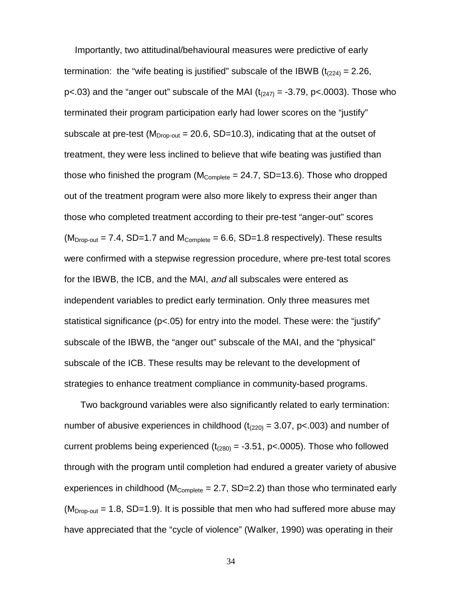Importantly, two attitudinal/behavioural measures were predictive of early termination: the "wife beating is justified" subscale of the IBWB  $(t_{(224)} = 2.26$ , p $<03$ ) and the "anger out" subscale of the MAI ( $t<sub>(247)</sub> = -3.79$ , p $<0.003$ ). Those who terminated their program participation early had lower scores on the "justify" subscale at pre-test ( $M<sub>Drop-out</sub> = 20.6$ , SD=10.3), indicating that at the outset of treatment, they were less inclined to believe that wife beating was justified than those who finished the program ( $M_{Complete} = 24.7$ , SD=13.6). Those who dropped out of the treatment program were also more likely to express their anger than those who completed treatment according to their pre-test "anger-out" scores  $(M_{\text{Drop-out}} = 7.4, SD=1.7$  and  $M_{\text{Complete}} = 6.6, SD=1.8$  respectively). These results were confirmed with a stepwise regression procedure, where pre-test total scores for the IBWB, the ICB, and the MAI, and all subscales were entered as independent variables to predict early termination. Only three measures met statistical significance ( $p < 05$ ) for entry into the model. These were: the "justify" subscale of the IBWB, the "anger out" subscale of the MAI, and the "physical" subscale of the ICB. These results may be relevant to the development of strategies to enhance treatment compliance in community-based programs.

Two background variables were also significantly related to early termination: number of abusive experiences in childhood ( $t_{(220)} = 3.07$ , p<.003) and number of current problems being experienced  $(t_{(280)} = -3.51, p<.0005)$ . Those who followed through with the program until completion had endured a greater variety of abusive experiences in childhood ( $M_{Complete} = 2.7$ , SD=2.2) than those who terminated early  $(M_{\text{Drop-out}} = 1.8, SD=1.9)$ . It is possible that men who had suffered more abuse may have appreciated that the "cycle of violence" (Walker, 1990) was operating in their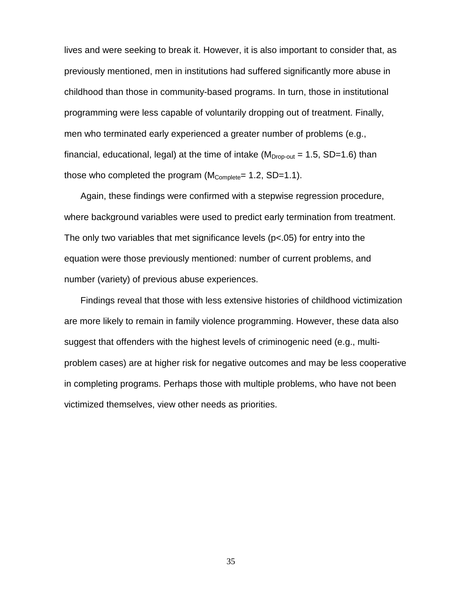lives and were seeking to break it. However, it is also important to consider that, as previously mentioned, men in institutions had suffered significantly more abuse in childhood than those in community-based programs. In turn, those in institutional programming were less capable of voluntarily dropping out of treatment. Finally, men who terminated early experienced a greater number of problems (e.g., financial, educational, legal) at the time of intake ( $M<sub>Drop-out</sub> = 1.5$ , SD=1.6) than those who completed the program  $(M_{Complete}= 1.2, SD=1.1)$ .

Again, these findings were confirmed with a stepwise regression procedure, where background variables were used to predict early termination from treatment. The only two variables that met significance levels (p<.05) for entry into the equation were those previously mentioned: number of current problems, and number (variety) of previous abuse experiences.

Findings reveal that those with less extensive histories of childhood victimization are more likely to remain in family violence programming. However, these data also suggest that offenders with the highest levels of criminogenic need (e.g., multiproblem cases) are at higher risk for negative outcomes and may be less cooperative in completing programs. Perhaps those with multiple problems, who have not been victimized themselves, view other needs as priorities.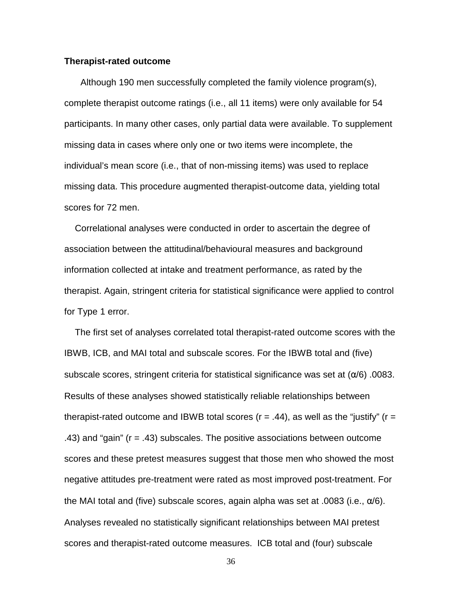#### **Therapist-rated outcome**

Although 190 men successfully completed the family violence program(s), complete therapist outcome ratings (i.e., all 11 items) were only available for 54 participants. In many other cases, only partial data were available. To supplement missing data in cases where only one or two items were incomplete, the individual's mean score (i.e., that of non-missing items) was used to replace missing data. This procedure augmented therapist-outcome data, yielding total scores for 72 men.

Correlational analyses were conducted in order to ascertain the degree of association between the attitudinal/behavioural measures and background information collected at intake and treatment performance, as rated by the therapist. Again, stringent criteria for statistical significance were applied to control for Type 1 error.

The first set of analyses correlated total therapist-rated outcome scores with the IBWB, ICB, and MAI total and subscale scores. For the IBWB total and (five) subscale scores, stringent criteria for statistical significance was set at  $(\alpha/6)$ .0083. Results of these analyses showed statistically reliable relationships between therapist-rated outcome and IBWB total scores ( $r = .44$ ), as well as the "justify" ( $r =$ .43) and "gain" (r = .43) subscales. The positive associations between outcome scores and these pretest measures suggest that those men who showed the most negative attitudes pre-treatment were rated as most improved post-treatment. For the MAI total and (five) subscale scores, again alpha was set at .0083 (i.e.,  $\alpha/6$ ). Analyses revealed no statistically significant relationships between MAI pretest scores and therapist-rated outcome measures. ICB total and (four) subscale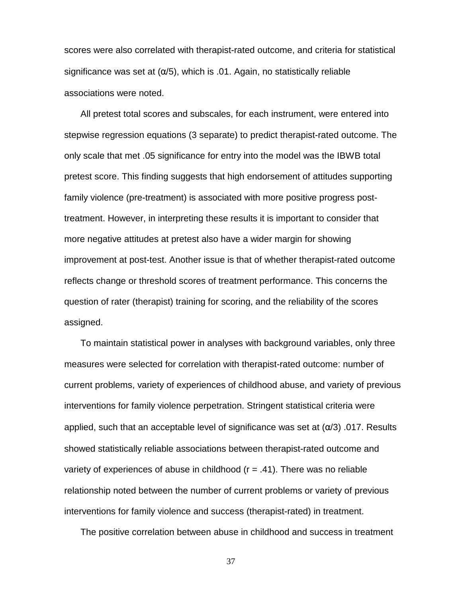scores were also correlated with therapist-rated outcome, and criteria for statistical significance was set at  $(\alpha/5)$ , which is .01. Again, no statistically reliable associations were noted.

All pretest total scores and subscales, for each instrument, were entered into stepwise regression equations (3 separate) to predict therapist-rated outcome. The only scale that met .05 significance for entry into the model was the IBWB total pretest score. This finding suggests that high endorsement of attitudes supporting family violence (pre-treatment) is associated with more positive progress posttreatment. However, in interpreting these results it is important to consider that more negative attitudes at pretest also have a wider margin for showing improvement at post-test. Another issue is that of whether therapist-rated outcome reflects change or threshold scores of treatment performance. This concerns the question of rater (therapist) training for scoring, and the reliability of the scores assigned.

To maintain statistical power in analyses with background variables, only three measures were selected for correlation with therapist-rated outcome: number of current problems, variety of experiences of childhood abuse, and variety of previous interventions for family violence perpetration. Stringent statistical criteria were applied, such that an acceptable level of significance was set at  $(\alpha/3)$  .017. Results showed statistically reliable associations between therapist-rated outcome and variety of experiences of abuse in childhood  $(r = .41)$ . There was no reliable relationship noted between the number of current problems or variety of previous interventions for family violence and success (therapist-rated) in treatment.

The positive correlation between abuse in childhood and success in treatment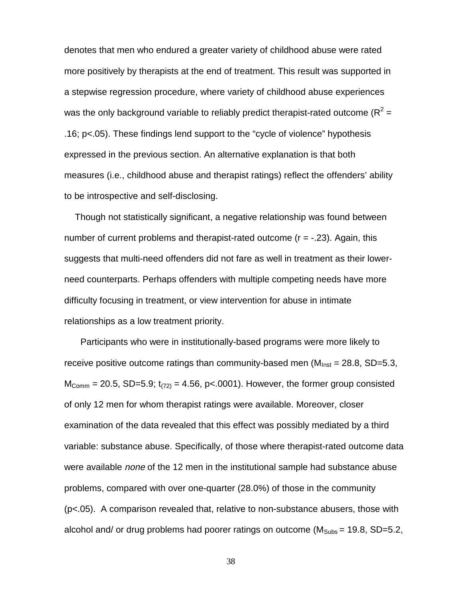denotes that men who endured a greater variety of childhood abuse were rated more positively by therapists at the end of treatment. This result was supported in a stepwise regression procedure, where variety of childhood abuse experiences was the only background variable to reliably predict therapist-rated outcome (R<sup>2</sup> = .16; p<.05). These findings lend support to the "cycle of violence" hypothesis expressed in the previous section. An alternative explanation is that both measures (i.e., childhood abuse and therapist ratings) reflect the offenders' ability to be introspective and self-disclosing.

Though not statistically significant, a negative relationship was found between number of current problems and therapist-rated outcome  $(r = -0.23)$ . Again, this suggests that multi-need offenders did not fare as well in treatment as their lowerneed counterparts. Perhaps offenders with multiple competing needs have more difficulty focusing in treatment, or view intervention for abuse in intimate relationships as a low treatment priority.

Participants who were in institutionally-based programs were more likely to receive positive outcome ratings than community-based men  $(M<sub>inst</sub> = 28.8, SD=5.3,$  $M_{\text{Comm}} = 20.5$ , SD=5.9;  $t_{(72)} = 4.56$ , p<.0001). However, the former group consisted of only 12 men for whom therapist ratings were available. Moreover, closer examination of the data revealed that this effect was possibly mediated by a third variable: substance abuse. Specifically, of those where therapist-rated outcome data were available *none* of the 12 men in the institutional sample had substance abuse problems, compared with over one-quarter (28.0%) of those in the community (p<.05). A comparison revealed that, relative to non-substance abusers, those with alcohol and/ or drug problems had poorer ratings on outcome ( $M<sub>Subs</sub> = 19.8$ , SD=5.2,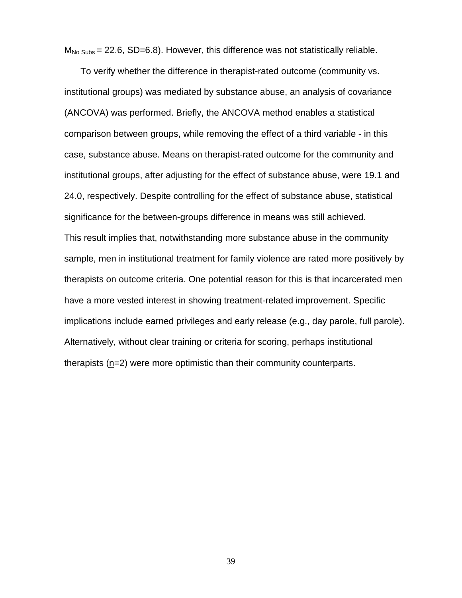$M_{\text{No Subs}} = 22.6$ , SD=6.8). However, this difference was not statistically reliable.

To verify whether the difference in therapist-rated outcome (community vs. institutional groups) was mediated by substance abuse, an analysis of covariance (ANCOVA) was performed. Briefly, the ANCOVA method enables a statistical comparison between groups, while removing the effect of a third variable - in this case, substance abuse. Means on therapist-rated outcome for the community and institutional groups, after adjusting for the effect of substance abuse, were 19.1 and 24.0, respectively. Despite controlling for the effect of substance abuse, statistical significance for the between-groups difference in means was still achieved. This result implies that, notwithstanding more substance abuse in the community sample, men in institutional treatment for family violence are rated more positively by therapists on outcome criteria. One potential reason for this is that incarcerated men have a more vested interest in showing treatment-related improvement. Specific implications include earned privileges and early release (e.g., day parole, full parole). Alternatively, without clear training or criteria for scoring, perhaps institutional therapists (n=2) were more optimistic than their community counterparts.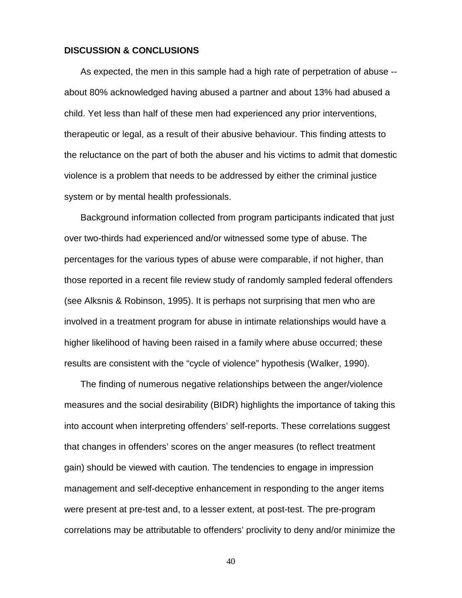#### **DISCUSSION & CONCLUSIONS**

As expected, the men in this sample had a high rate of perpetration of abuse - about 80% acknowledged having abused a partner and about 13% had abused a child. Yet less than half of these men had experienced any prior interventions, therapeutic or legal, as a result of their abusive behaviour. This finding attests to the reluctance on the part of both the abuser and his victims to admit that domestic violence is a problem that needs to be addressed by either the criminal justice system or by mental health professionals.

Background information collected from program participants indicated that just over two-thirds had experienced and/or witnessed some type of abuse. The percentages for the various types of abuse were comparable, if not higher, than those reported in a recent file review study of randomly sampled federal offenders (see Alksnis & Robinson, 1995). It is perhaps not surprising that men who are involved in a treatment program for abuse in intimate relationships would have a higher likelihood of having been raised in a family where abuse occurred; these results are consistent with the "cycle of violence" hypothesis (Walker, 1990).

The finding of numerous negative relationships between the anger/violence measures and the social desirability (BIDR) highlights the importance of taking this into account when interpreting offenders' self-reports. These correlations suggest that changes in offenders' scores on the anger measures (to reflect treatment gain) should be viewed with caution. The tendencies to engage in impression management and self-deceptive enhancement in responding to the anger items were present at pre-test and, to a lesser extent, at post-test. The pre-program correlations may be attributable to offenders' proclivity to deny and/or minimize the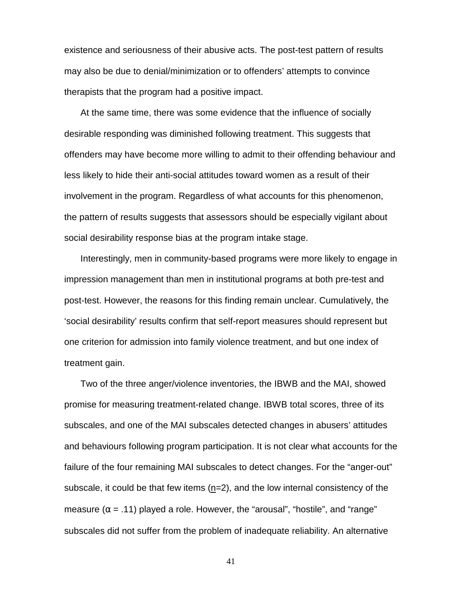existence and seriousness of their abusive acts. The post-test pattern of results may also be due to denial/minimization or to offenders' attempts to convince therapists that the program had a positive impact.

At the same time, there was some evidence that the influence of socially desirable responding was diminished following treatment. This suggests that offenders may have become more willing to admit to their offending behaviour and less likely to hide their anti-social attitudes toward women as a result of their involvement in the program. Regardless of what accounts for this phenomenon, the pattern of results suggests that assessors should be especially vigilant about social desirability response bias at the program intake stage.

Interestingly, men in community-based programs were more likely to engage in impression management than men in institutional programs at both pre-test and post-test. However, the reasons for this finding remain unclear. Cumulatively, the 'social desirability' results confirm that self-report measures should represent but one criterion for admission into family violence treatment, and but one index of treatment gain.

Two of the three anger/violence inventories, the IBWB and the MAI, showed promise for measuring treatment-related change. IBWB total scores, three of its subscales, and one of the MAI subscales detected changes in abusers' attitudes and behaviours following program participation. It is not clear what accounts for the failure of the four remaining MAI subscales to detect changes. For the "anger-out" subscale, it could be that few items (n=2), and the low internal consistency of the measure ( $\alpha$  = .11) played a role. However, the "arousal", "hostile", and "range" subscales did not suffer from the problem of inadequate reliability. An alternative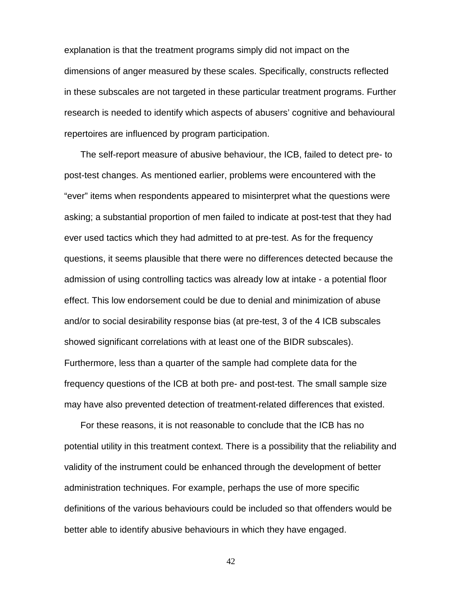explanation is that the treatment programs simply did not impact on the dimensions of anger measured by these scales. Specifically, constructs reflected in these subscales are not targeted in these particular treatment programs. Further research is needed to identify which aspects of abusers' cognitive and behavioural repertoires are influenced by program participation.

The self-report measure of abusive behaviour, the ICB, failed to detect pre- to post-test changes. As mentioned earlier, problems were encountered with the "ever" items when respondents appeared to misinterpret what the questions were asking; a substantial proportion of men failed to indicate at post-test that they had ever used tactics which they had admitted to at pre-test. As for the frequency questions, it seems plausible that there were no differences detected because the admission of using controlling tactics was already low at intake - a potential floor effect. This low endorsement could be due to denial and minimization of abuse and/or to social desirability response bias (at pre-test, 3 of the 4 ICB subscales showed significant correlations with at least one of the BIDR subscales). Furthermore, less than a quarter of the sample had complete data for the frequency questions of the ICB at both pre- and post-test. The small sample size may have also prevented detection of treatment-related differences that existed.

For these reasons, it is not reasonable to conclude that the ICB has no potential utility in this treatment context. There is a possibility that the reliability and validity of the instrument could be enhanced through the development of better administration techniques. For example, perhaps the use of more specific definitions of the various behaviours could be included so that offenders would be better able to identify abusive behaviours in which they have engaged.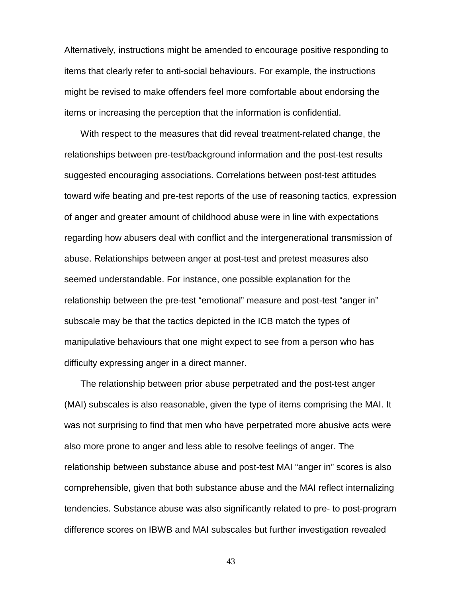Alternatively, instructions might be amended to encourage positive responding to items that clearly refer to anti-social behaviours. For example, the instructions might be revised to make offenders feel more comfortable about endorsing the items or increasing the perception that the information is confidential.

With respect to the measures that did reveal treatment-related change, the relationships between pre-test/background information and the post-test results suggested encouraging associations. Correlations between post-test attitudes toward wife beating and pre-test reports of the use of reasoning tactics, expression of anger and greater amount of childhood abuse were in line with expectations regarding how abusers deal with conflict and the intergenerational transmission of abuse. Relationships between anger at post-test and pretest measures also seemed understandable. For instance, one possible explanation for the relationship between the pre-test "emotional" measure and post-test "anger in" subscale may be that the tactics depicted in the ICB match the types of manipulative behaviours that one might expect to see from a person who has difficulty expressing anger in a direct manner.

The relationship between prior abuse perpetrated and the post-test anger (MAI) subscales is also reasonable, given the type of items comprising the MAI. It was not surprising to find that men who have perpetrated more abusive acts were also more prone to anger and less able to resolve feelings of anger. The relationship between substance abuse and post-test MAI "anger in" scores is also comprehensible, given that both substance abuse and the MAI reflect internalizing tendencies. Substance abuse was also significantly related to pre- to post-program difference scores on IBWB and MAI subscales but further investigation revealed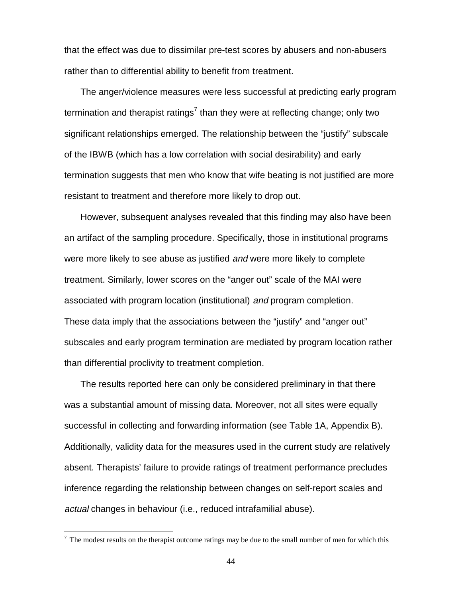that the effect was due to dissimilar pre-test scores by abusers and non-abusers rather than to differential ability to benefit from treatment.

The anger/violence measures were less successful at predicting early program termination and therapist ratings<sup>7</sup> than they were at reflecting change; only two significant relationships emerged. The relationship between the "justify" subscale of the IBWB (which has a low correlation with social desirability) and early termination suggests that men who know that wife beating is not justified are more resistant to treatment and therefore more likely to drop out.

However, subsequent analyses revealed that this finding may also have been an artifact of the sampling procedure. Specifically, those in institutional programs were more likely to see abuse as justified *and* were more likely to complete treatment. Similarly, lower scores on the "anger out" scale of the MAI were associated with program location (institutional) and program completion. These data imply that the associations between the "justify" and "anger out" subscales and early program termination are mediated by program location rather than differential proclivity to treatment completion.

The results reported here can only be considered preliminary in that there was a substantial amount of missing data. Moreover, not all sites were equally successful in collecting and forwarding information (see Table 1A, Appendix B). Additionally, validity data for the measures used in the current study are relatively absent. Therapists' failure to provide ratings of treatment performance precludes inference regarding the relationship between changes on self-report scales and actual changes in behaviour (i.e., reduced intrafamilial abuse).

 $\overline{a}$ 

 $<sup>7</sup>$  The modest results on the therapist outcome ratings may be due to the small number of men for which this</sup>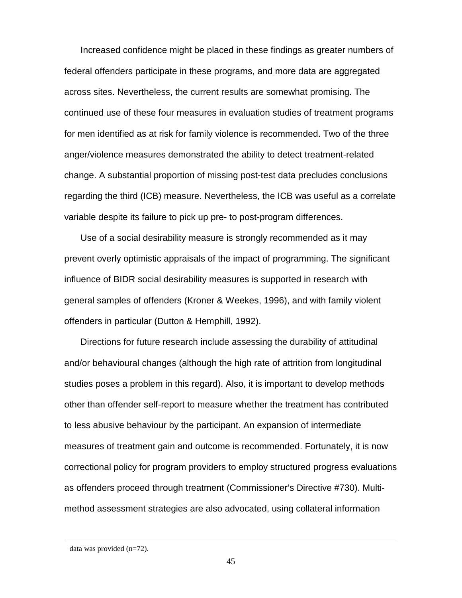Increased confidence might be placed in these findings as greater numbers of federal offenders participate in these programs, and more data are aggregated across sites. Nevertheless, the current results are somewhat promising. The continued use of these four measures in evaluation studies of treatment programs for men identified as at risk for family violence is recommended. Two of the three anger/violence measures demonstrated the ability to detect treatment-related change. A substantial proportion of missing post-test data precludes conclusions regarding the third (ICB) measure. Nevertheless, the ICB was useful as a correlate variable despite its failure to pick up pre- to post-program differences.

Use of a social desirability measure is strongly recommended as it may prevent overly optimistic appraisals of the impact of programming. The significant influence of BIDR social desirability measures is supported in research with general samples of offenders (Kroner & Weekes, 1996), and with family violent offenders in particular (Dutton & Hemphill, 1992).

Directions for future research include assessing the durability of attitudinal and/or behavioural changes (although the high rate of attrition from longitudinal studies poses a problem in this regard). Also, it is important to develop methods other than offender self-report to measure whether the treatment has contributed to less abusive behaviour by the participant. An expansion of intermediate measures of treatment gain and outcome is recommended. Fortunately, it is now correctional policy for program providers to employ structured progress evaluations as offenders proceed through treatment (Commissioner's Directive #730). Multimethod assessment strategies are also advocated, using collateral information

 $\overline{a}$ 

data was provided (n=72).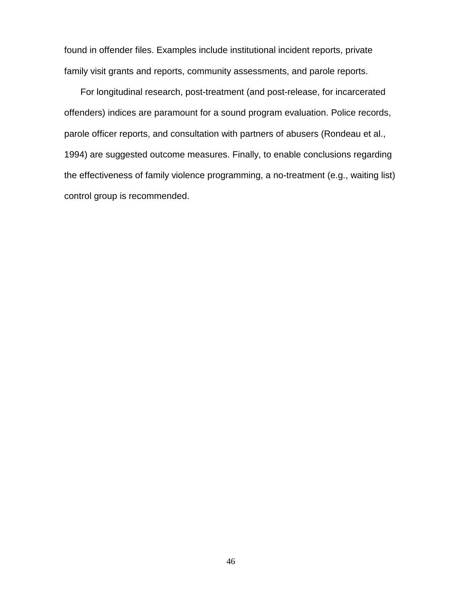found in offender files. Examples include institutional incident reports, private family visit grants and reports, community assessments, and parole reports.

For longitudinal research, post-treatment (and post-release, for incarcerated offenders) indices are paramount for a sound program evaluation. Police records, parole officer reports, and consultation with partners of abusers (Rondeau et al., 1994) are suggested outcome measures. Finally, to enable conclusions regarding the effectiveness of family violence programming, a no-treatment (e.g., waiting list) control group is recommended.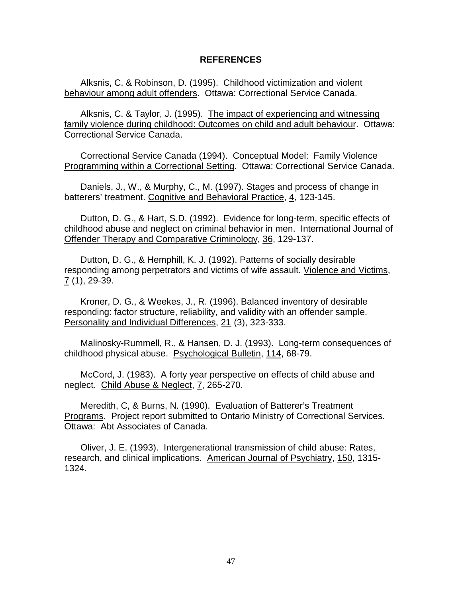#### **REFERENCES**

Alksnis, C. & Robinson, D. (1995). Childhood victimization and violent behaviour among adult offenders. Ottawa: Correctional Service Canada.

Alksnis, C. & Taylor, J. (1995). The impact of experiencing and witnessing family violence during childhood: Outcomes on child and adult behaviour. Ottawa: Correctional Service Canada.

Correctional Service Canada (1994). Conceptual Model: Family Violence Programming within a Correctional Setting. Ottawa: Correctional Service Canada.

Daniels, J., W., & Murphy, C., M. (1997). Stages and process of change in batterers' treatment. Cognitive and Behavioral Practice, 4, 123-145.

Dutton, D. G., & Hart, S.D. (1992). Evidence for long-term, specific effects of childhood abuse and neglect on criminal behavior in men. International Journal of Offender Therapy and Comparative Criminology, 36, 129-137.

Dutton, D. G., & Hemphill, K. J. (1992). Patterns of socially desirable responding among perpetrators and victims of wife assault. Violence and Victims, 7 (1), 29-39.

Kroner, D. G., & Weekes, J., R. (1996). Balanced inventory of desirable responding: factor structure, reliability, and validity with an offender sample. Personality and Individual Differences, 21 (3), 323-333.

Malinosky-Rummell, R., & Hansen, D. J. (1993). Long-term consequences of childhood physical abuse. Psychological Bulletin, 114, 68-79.

McCord, J. (1983). A forty year perspective on effects of child abuse and neglect. Child Abuse & Neglect, 7, 265-270.

Meredith, C, & Burns, N. (1990). Evaluation of Batterer's Treatment Programs. Project report submitted to Ontario Ministry of Correctional Services. Ottawa: Abt Associates of Canada.

Oliver, J. E. (1993). Intergenerational transmission of child abuse: Rates, research, and clinical implications. American Journal of Psychiatry, 150, 1315- 1324.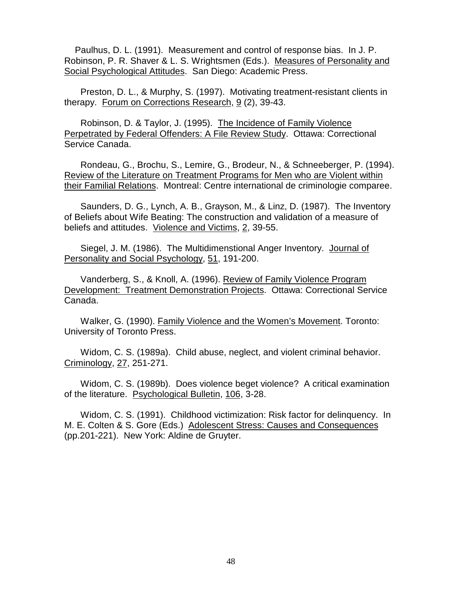Paulhus, D. L. (1991). Measurement and control of response bias. In J. P. Robinson, P. R. Shaver & L. S. Wrightsmen (Eds.). Measures of Personality and Social Psychological Attitudes. San Diego: Academic Press.

Preston, D. L., & Murphy, S. (1997). Motivating treatment-resistant clients in therapy. Forum on Corrections Research, 9 (2), 39-43.

Robinson, D. & Taylor, J. (1995). The Incidence of Family Violence Perpetrated by Federal Offenders: A File Review Study. Ottawa: Correctional Service Canada.

Rondeau, G., Brochu, S., Lemire, G., Brodeur, N., & Schneeberger, P. (1994). Review of the Literature on Treatment Programs for Men who are Violent within their Familial Relations. Montreal: Centre international de criminologie comparee.

Saunders, D. G., Lynch, A. B., Grayson, M., & Linz, D. (1987). The Inventory of Beliefs about Wife Beating: The construction and validation of a measure of beliefs and attitudes. Violence and Victims, 2, 39-55.

Siegel, J. M. (1986). The Multidimenstional Anger Inventory. Journal of Personality and Social Psychology, 51, 191-200.

Vanderberg, S., & Knoll, A. (1996). Review of Family Violence Program Development: Treatment Demonstration Projects. Ottawa: Correctional Service Canada.

Walker, G. (1990). Family Violence and the Women's Movement. Toronto: University of Toronto Press.

Widom, C. S. (1989a). Child abuse, neglect, and violent criminal behavior. Criminology, 27, 251-271.

Widom, C. S. (1989b). Does violence beget violence? A critical examination of the literature. Psychological Bulletin, 106, 3-28.

Widom, C. S. (1991). Childhood victimization: Risk factor for delinquency. In M. E. Colten & S. Gore (Eds.) Adolescent Stress: Causes and Consequences (pp.201-221). New York: Aldine de Gruyter.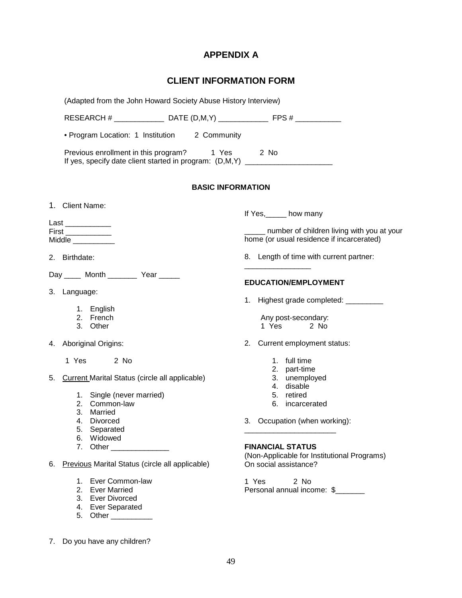# **APPENDIX A**

# **CLIENT INFORMATION FORM**

|    | (Adapted from the John Howard Society Abuse History Interview)                                                                      |                                                                                                |
|----|-------------------------------------------------------------------------------------------------------------------------------------|------------------------------------------------------------------------------------------------|
|    | RESEARCH # _________________________DATE (D,M,Y) ________________________________                                                   |                                                                                                |
|    | • Program Location: 1 Institution 2 Community                                                                                       |                                                                                                |
|    | Previous enrollment in this program? 1 Yes 2 No<br>If yes, specify date client started in program: (D,M,Y) ________________________ |                                                                                                |
|    | <b>BASIC INFORMATION</b>                                                                                                            |                                                                                                |
|    | 1. Client Name:                                                                                                                     | If Yes,______ how many                                                                         |
|    | Last ___________                                                                                                                    |                                                                                                |
|    | Midde                                                                                                                               | ______ number of children living with you at your<br>home (or usual residence if incarcerated) |
|    | 2. Birthdate:                                                                                                                       | 8. Length of time with current partner:                                                        |
|    | Day _____ Month _________ Year _____                                                                                                | <b>EDUCATION/EMPLOYMENT</b>                                                                    |
|    | 3. Language:                                                                                                                        |                                                                                                |
|    |                                                                                                                                     | 1. Highest grade completed: __________                                                         |
|    | 1. English<br>2. French                                                                                                             | Any post-secondary:                                                                            |
|    | 3. Other                                                                                                                            | 1 Yes<br>2 No                                                                                  |
|    | 4. Aboriginal Origins:                                                                                                              | Current employment status:<br>2.                                                               |
|    | 1 Yes 2 No                                                                                                                          | 1. full time                                                                                   |
|    |                                                                                                                                     | 2. part-time                                                                                   |
|    | 5. Current Marital Status (circle all applicable)                                                                                   | 3. unemployed                                                                                  |
|    |                                                                                                                                     | 4. disable                                                                                     |
|    | 1. Single (never married)                                                                                                           | 5. retired                                                                                     |
|    | 2. Common-law<br>3. Married                                                                                                         | 6. incarcerated                                                                                |
|    | 4. Divorced                                                                                                                         | 3. Occupation (when working):                                                                  |
|    | 5. Separated                                                                                                                        |                                                                                                |
|    | 6. Widowed                                                                                                                          |                                                                                                |
|    | 7. Other _______________                                                                                                            | <b>FINANCIAL STATUS</b>                                                                        |
| 6. | Previous Marital Status (circle all applicable)                                                                                     | (Non-Applicable for Institutional Programs)<br>On social assistance?                           |
|    | 1. Ever Common-law                                                                                                                  | 1 Yes<br>2 No                                                                                  |
|    | 2. Ever Married                                                                                                                     | Personal annual income: \$                                                                     |
|    | 3. Ever Divorced                                                                                                                    |                                                                                                |
|    | 4. Ever Separated                                                                                                                   |                                                                                                |
|    |                                                                                                                                     |                                                                                                |

7. Do you have any children?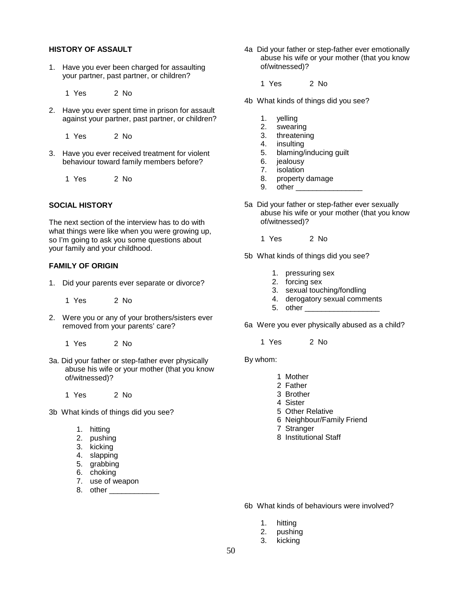#### **HISTORY OF ASSAULT**

- 1. Have you ever been charged for assaulting your partner, past partner, or children?
	- 1 Yes 2 No
- 2. Have you ever spent time in prison for assault against your partner, past partner, or children?
	- 1 Yes 2 No
- 3. Have you ever received treatment for violent behaviour toward family members before?
	- 1 Yes 2 No

#### **SOCIAL HISTORY**

The next section of the interview has to do with what things were like when you were growing up, so I'm going to ask you some questions about your family and your childhood.

#### **FAMILY OF ORIGIN**

1. Did your parents ever separate or divorce?

1 Yes 2 No

- 2. Were you or any of your brothers/sisters ever removed from your parents' care?
	- 1 Yes 2 No
- 3a. Did your father or step-father ever physically abuse his wife or your mother (that you know of/witnessed)?
	- 1 Yes 2 No
- 3b What kinds of things did you see?
	- 1. hitting
	- 2. pushing
	- 3. kicking
	- 4. slapping
	- 5. grabbing
	- 6. choking
	- 7. use of weapon 8. other \_\_\_\_\_\_\_\_\_\_\_\_
- 4a Did your father or step-father ever emotionally abuse his wife or your mother (that you know of/witnessed)?
	- 1 Yes 2 No
- 4b What kinds of things did you see?
	- 1. yelling
	- 2. swearing
	- 3. threatening
	- 4. insulting
	- 5. blaming/inducing guilt
	- 6. jealousy
	- 7. isolation
	- 8. property damage
	- 9. other
- 5a Did your father or step-father ever sexually abuse his wife or your mother (that you know of/witnessed)?
	- 1 Yes 2 No

5b What kinds of things did you see?

- 1. pressuring sex
- 2. forcing sex
- 3. sexual touching/fondling
- 4. derogatory sexual comments
- 5. other

6a Were you ever physically abused as a child?

1 Yes 2 No

By whom:

- 1 Mother
- 2 Father
- 3 Brother
- 4 Sister
- 5 Other Relative
- 6 Neighbour/Family Friend
- 7 Stranger
- 8 Institutional Staff

6b What kinds of behaviours were involved?

- 1. hitting
- 2. pushing
- 3. kicking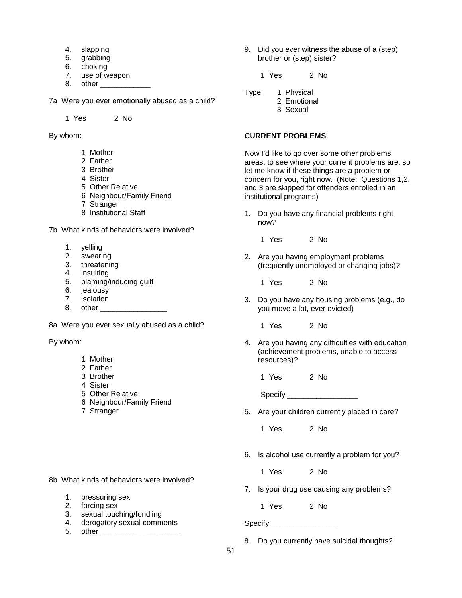- 4. slapping
- 5. grabbing
- 6. choking
- 7. use of weapon
- 8. other \_\_\_\_\_\_\_\_\_\_\_\_

7a Were you ever emotionally abused as a child?

1 Yes 2 No

By whom:

- 1 Mother
- 2 Father
- 3 Brother
- 4 Sister
- 5 Other Relative
- 6 Neighbour/Family Friend
- 7 Stranger
- 8 Institutional Staff

7b What kinds of behaviors were involved?

- 1. yelling
- 2. swearing
- 3. threatening
- 4. insulting
- 5. blaming/inducing guilt
- 6. jealousy
- 7. isolation
- 8. other

8a Were you ever sexually abused as a child?

By whom:

- 1 Mother
- 2 Father
- 3 Brother
- 4 Sister
- 5 Other Relative
- 6 Neighbour/Family Friend
- 7 Stranger

8b What kinds of behaviors were involved?

- 1. pressuring sex
- 2. forcing sex
- 3. sexual touching/fondling
- 4. derogatory sexual comments
- 5. other

9. Did you ever witness the abuse of a (step) brother or (step) sister?

1 Yes 2 No

- Type: 1 Physical
	- 2 Emotional
	- 3 Sexual

#### **CURRENT PROBLEMS**

Now I'd like to go over some other problems areas, to see where your current problems are, so let me know if these things are a problem or concern for you, right now. (Note: Questions 1,2, and 3 are skipped for offenders enrolled in an institutional programs)

1. Do you have any financial problems right now?

1 Yes 2 No

2. Are you having employment problems (frequently unemployed or changing jobs)?

1 Yes 2 No

3. Do you have any housing problems (e.g., do you move a lot, ever evicted)

1 Yes 2 No

4. Are you having any difficulties with education (achievement problems, unable to access resources)?

1 Yes 2 No

Specify \_\_\_\_\_\_\_\_\_\_\_\_\_\_\_\_\_

5. Are your children currently placed in care?

1 Yes 2 No

6. Is alcohol use currently a problem for you?

1 Yes 2 No

7. Is your drug use causing any problems?

1 Yes 2 No

Specify \_\_\_\_\_\_\_\_\_\_\_\_\_\_\_\_\_\_\_\_\_\_\_

8. Do you currently have suicidal thoughts?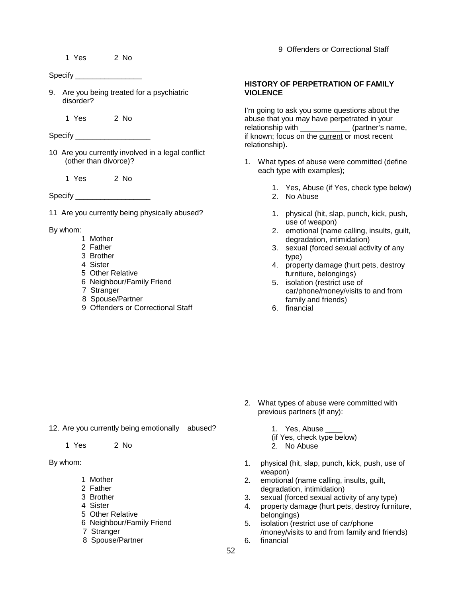1 Yes 2 No

Specify \_\_\_\_\_\_\_\_\_\_\_\_\_\_\_\_\_\_\_\_\_

9. Are you being treated for a psychiatric disorder?

1 Yes 2 No

Specify \_\_\_\_\_\_\_\_\_\_\_\_\_\_\_\_\_\_

10 Are you currently involved in a legal conflict (other than divorce)?

1 Yes 2 No

Specify \_\_\_\_\_\_\_\_\_\_\_\_\_\_\_\_\_\_

11 Are you currently being physically abused?

By whom:

- 1 Mother
- 2 Father
- 3 Brother
- 4 Sister
- 5 Other Relative
- 6 Neighbour/Family Friend
- 7 Stranger
- 8 Spouse/Partner
- 9 Offenders or Correctional Staff

9 Offenders or Correctional Staff

#### **HISTORY OF PERPETRATION OF FAMILY VIOLENCE**

I'm going to ask you some questions about the abuse that you may have perpetrated in your relationship with \_\_\_\_\_\_\_\_\_\_\_\_\_\_\_ (partner's name, if known; focus on the current or most recent relationship).

- 1. What types of abuse were committed (define each type with examples);
	- 1. Yes, Abuse (if Yes, check type below)
	- 2. No Abuse
	- 1. physical (hit, slap, punch, kick, push, use of weapon)
	- 2. emotional (name calling, insults, guilt, degradation, intimidation)
	- 3. sexual (forced sexual activity of any type)
	- 4. property damage (hurt pets, destroy furniture, belongings)
	- 5. isolation (restrict use of car/phone/money/visits to and from family and friends)
	- 6. financial

- 12. Are you currently being emotionally abused?
	- 1 Yes 2 No
- By whom:
	- 1 Mother
	- 2 Father
	- 3 Brother
	- 4 Sister
	- 5 Other Relative
	- 6 Neighbour/Family Friend
	- 7 Stranger
	- 8 Spouse/Partner

1. Yes, Abuse

previous partners (if any):

(if Yes, check type below)

2. What types of abuse were committed with

- 2. No Abuse
- 1. physical (hit, slap, punch, kick, push, use of weapon)
- 2. emotional (name calling, insults, guilt, degradation, intimidation)
- 3. sexual (forced sexual activity of any type)
- 4. property damage (hurt pets, destroy furniture, belongings)
- 5. isolation (restrict use of car/phone /money/visits to and from family and friends)
- 6. financial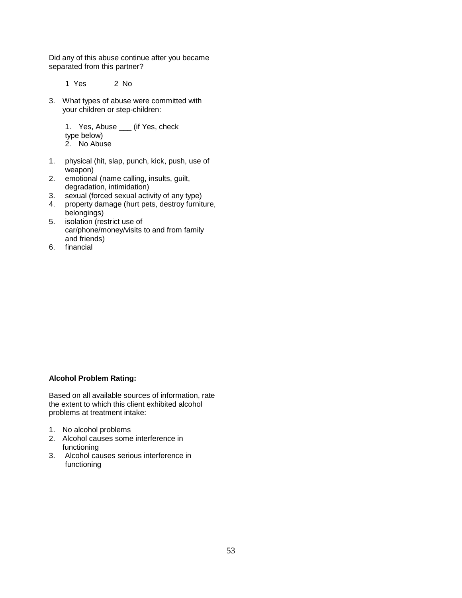Did any of this abuse continue after you became separated from this partner?

1 Yes 2 No

3. What types of abuse were committed with your children or step-children:

> 1. Yes, Abuse \_\_\_ (if Yes, check type below) 2. No Abuse

- 1. physical (hit, slap, punch, kick, push, use of weapon)
- 2. emotional (name calling, insults, guilt, degradation, intimidation)
- 3. sexual (forced sexual activity of any type)
- 4. property damage (hurt pets, destroy furniture, belongings)
- 5. isolation (restrict use of car/phone/money/visits to and from family and friends)
- 6. financial

#### **Alcohol Problem Rating:**

Based on all available sources of information, rate the extent to which this client exhibited alcohol problems at treatment intake:

- 1. No alcohol problems
- 2. Alcohol causes some interference in functioning
- 3. Alcohol causes serious interference in functioning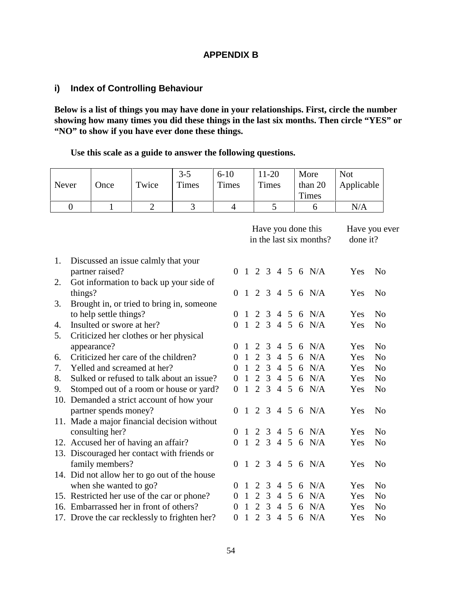### **APPENDIX B**

# **i) Index of Controlling Behaviour**

**Below is a list of things you may have done in your relationships. First, circle the number showing how many times you did these things in the last six months. Then circle "YES" or "NO" to show if you have ever done these things.**

**Use this scale as a guide to answer the following questions.**

|                        |                                             |                                         |                | $3 - 5$                                       | $6 - 10$       |                |                   | $11 - 20$        |                |                 | More                    | <b>Not</b>     |                |
|------------------------|---------------------------------------------|-----------------------------------------|----------------|-----------------------------------------------|----------------|----------------|-------------------|------------------|----------------|-----------------|-------------------------|----------------|----------------|
| Never                  |                                             | Once                                    | Twice          | Times                                         | Times          |                |                   | <b>Times</b>     |                |                 | than 20                 | Applicable     |                |
|                        |                                             |                                         |                |                                               |                |                |                   |                  |                |                 | <b>Times</b>            |                |                |
|                        | $\overline{0}$                              | $\mathbf{1}$                            | $\overline{2}$ | 3                                             | $\overline{4}$ |                |                   |                  | 5              |                 | 6                       | N/A            |                |
|                        |                                             |                                         |                |                                               |                |                |                   |                  |                |                 |                         |                |                |
|                        |                                             |                                         |                |                                               |                |                |                   |                  |                |                 | Have you done this      |                | Have you ever  |
|                        |                                             |                                         |                |                                               |                |                |                   |                  |                |                 | in the last six months? | done it?       |                |
|                        |                                             |                                         |                |                                               |                |                |                   |                  |                |                 |                         |                |                |
| 1.                     |                                             | Discussed an issue calmly that your     |                |                                               |                |                |                   |                  |                |                 |                         |                |                |
|                        |                                             | partner raised?                         |                |                                               | 0              |                |                   |                  |                |                 | $1\ 2\ 3\ 4\ 5\ 6\ N/A$ | Yes            | N <sub>o</sub> |
| 2.                     |                                             |                                         |                | Got information to back up your side of       |                |                |                   |                  |                |                 |                         |                |                |
|                        | things?                                     |                                         |                |                                               | $\Omega$       |                | $1\quad 2\quad 3$ |                  |                |                 | $4\,5\,6\,N/A$          | Yes            | N <sub>0</sub> |
| 3.                     |                                             |                                         |                | Brought in, or tried to bring in, someone     |                |                |                   |                  |                |                 |                         |                |                |
|                        |                                             | to help settle things?                  |                |                                               | $\Omega$       |                | 2                 | $\overline{3}$   |                |                 | 4 5 6 N/A               | Yes            | N <sub>o</sub> |
| 4.                     |                                             | Insulted or swore at her?               |                |                                               | $\Omega$       |                |                   |                  |                |                 | 1 2 3 4 5 6 N/A         | Yes            | N <sub>o</sub> |
| 5.                     |                                             | Criticized her clothes or her physical  |                |                                               |                |                |                   |                  |                |                 |                         |                |                |
|                        |                                             | appearance?                             |                |                                               | $\Omega$       | $\mathbf{1}$   | 2                 | $\overline{3}$   |                | $4\overline{5}$ | 6 N/A                   | Yes            | N <sub>o</sub> |
| 6.                     |                                             | Criticized her care of the children?    |                |                                               | $\Omega$       | $\mathbf{1}$   | 2                 | 3                |                | $4\overline{5}$ | 6 N/A                   | Yes            | N <sub>o</sub> |
| 7.                     |                                             | Yelled and screamed at her?             |                |                                               | 0              | $\mathbf{1}$   | 2                 | 3                |                | $4\quad 5$      | 6 N/A                   | Yes            | N <sub>0</sub> |
| 8.                     |                                             |                                         |                | Sulked or refused to talk about an issue?     | $\Omega$       | $\mathbf{1}$   |                   | $2 \overline{3}$ |                | $4\quad5$       | 6 N/A                   | Yes            | N <sub>o</sub> |
| 9.                     |                                             |                                         |                | Stomped out of a room or house or yard?       | $\Omega$       | $\overline{1}$ |                   | $2 \overline{3}$ |                |                 | 456 N/A                 | Yes            | N <sub>o</sub> |
|                        |                                             |                                         |                | 10. Demanded a strict account of how your     |                |                |                   |                  |                |                 |                         |                |                |
|                        |                                             | partner spends money?                   |                |                                               | 0              |                |                   |                  |                |                 | $1\ 2\ 3\ 4\ 5\ 6\ N/A$ | Yes            | N <sub>o</sub> |
|                        |                                             |                                         |                | 11. Made a major financial decision without   |                |                |                   |                  |                |                 |                         |                |                |
|                        |                                             | consulting her?                         |                |                                               | 0              | $\overline{1}$ |                   |                  |                |                 | 2 3 4 5 6 N/A           | Yes            | N <sub>o</sub> |
|                        |                                             | 12. Accused her of having an affair?    |                |                                               | $\Omega$       | $\overline{1}$ | 2                 |                  |                |                 | 3 4 5 6 N/A             | Yes            | N <sub>o</sub> |
|                        |                                             |                                         |                | 13. Discouraged her contact with friends or   |                |                |                   |                  |                |                 |                         |                |                |
|                        |                                             | family members?                         |                |                                               | $\Omega$       | $\overline{1}$ |                   | 2 3              |                |                 | 456 N/A                 | Yes            | N <sub>o</sub> |
|                        |                                             |                                         |                | 14. Did not allow her to go out of the house  |                |                |                   |                  |                |                 |                         |                |                |
| when she wanted to go? |                                             |                                         |                | 0                                             | $\overline{1}$ | 2              | 3                 |                  | 4 5            | 6 N/A           | Yes                     | N <sub>o</sub> |                |
|                        | 15. Restricted her use of the car or phone? |                                         |                |                                               |                |                | 2                 | 3                |                | $4\quad5$       | 6 N/A                   | Yes            | N <sub>o</sub> |
|                        |                                             | 16. Embarrassed her in front of others? |                |                                               | $\Omega$       | 1              | 2                 | 3                | $\overline{4}$ | 5               | 6 N/A                   | Yes            | N <sub>0</sub> |
|                        |                                             |                                         |                | 17. Drove the car recklessly to frighten her? | $\Omega$       | $\mathbf{1}$   | 2                 | $\overline{3}$   | $\overline{4}$ | $5\overline{)}$ | 6 N/A                   | Yes            | N <sub>o</sub> |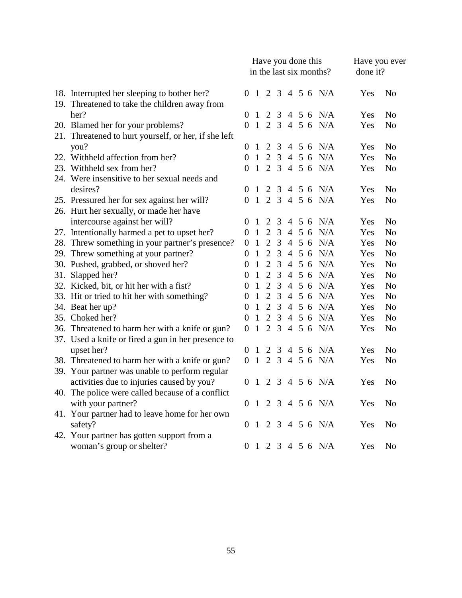|                                                      |                |                | Have you done this |                | in the last six months? | Have you ever<br>done it? |                   |     |                |
|------------------------------------------------------|----------------|----------------|--------------------|----------------|-------------------------|---------------------------|-------------------|-----|----------------|
| 18. Interrupted her sleeping to bother her?          |                |                |                    |                |                         |                           | 0 1 2 3 4 5 6 N/A | Yes | N <sub>o</sub> |
| 19. Threatened to take the children away from        |                |                |                    |                |                         |                           |                   |     |                |
| her?                                                 | 0              | $\mathbf{1}$   | 2                  | $\mathfrak{Z}$ |                         |                           | 4 5 6 N/A         | Yes | N <sub>o</sub> |
| 20. Blamed her for your problems?                    | 0              | $\overline{1}$ |                    |                |                         |                           | 2 3 4 5 6 N/A     | Yes | N <sub>o</sub> |
| 21. Threatened to hurt yourself, or her, if she left |                |                |                    |                |                         |                           |                   |     |                |
| you?                                                 | 0              | 1              | $\overline{2}$     | 3              |                         |                           | 4 5 6 N/A         | Yes | N <sub>o</sub> |
| 22. Withheld affection from her?                     | 0              | $\mathbf{1}$   | $\overline{2}$     | $\mathfrak{Z}$ |                         |                           | 4 5 6 N/A         | Yes | N <sub>o</sub> |
| 23. Withheld sex from her?                           | 0              | $\mathbf{1}$   | $\overline{2}$     |                |                         |                           | 3 4 5 6 N/A       | Yes | N <sub>o</sub> |
| 24. Were insensitive to her sexual needs and         |                |                |                    |                |                         |                           |                   |     |                |
| desires?                                             | 0              | -1             | 2                  | 3              |                         |                           | 4 5 6 N/A         | Yes | N <sub>o</sub> |
| 25. Pressured her for sex against her will?          | 0              | $\mathbf{1}$   | $\overline{2}$     |                |                         |                           | 3 4 5 6 N/A       | Yes | N <sub>o</sub> |
| 26. Hurt her sexually, or made her have              |                |                |                    |                |                         |                           |                   |     |                |
| intercourse against her will?                        | 0              | -1             | 2                  | 3              |                         |                           | 4 5 6 N/A         | Yes | N <sub>o</sub> |
| 27. Intentionally harmed a pet to upset her?         | 0              | $\mathbf{1}$   | $\overline{2}$     | 3              |                         |                           | 4 5 6 N/A         | Yes | N <sub>o</sub> |
| 28. Threw something in your partner's presence?      | 0              | $\mathbf{1}$   | $\overline{2}$     | $\mathfrak{Z}$ |                         |                           | 4 5 6 N/A         | Yes | N <sub>o</sub> |
| 29. Threw something at your partner?                 | 0              | $\mathbf{1}$   | $\overline{2}$     | 3              |                         |                           | 4 5 6 N/A         | Yes | N <sub>o</sub> |
| 30. Pushed, grabbed, or shoved her?                  | 0              | $\mathbf{1}$   | $\overline{2}$     | 3              |                         |                           | 4 5 6 N/A         | Yes | N <sub>o</sub> |
| 31. Slapped her?                                     | 0              | $\mathbf{1}$   | $\overline{2}$     | 3              | $\overline{4}$          |                           | 5 6 N/A           | Yes | N <sub>o</sub> |
| 32. Kicked, bit, or hit her with a fist?             | 0              | $\mathbf{1}$   | $\overline{2}$     | 3              |                         |                           | 4 5 6 N/A         | Yes | N <sub>o</sub> |
| 33. Hit or tried to hit her with something?          | 0              | $\mathbf{1}$   | $\overline{2}$     | 3              |                         |                           | 4 5 6 N/A         | Yes | N <sub>o</sub> |
| 34. Beat her up?                                     | $\overline{0}$ | $\mathbf{1}$   | $\overline{2}$     | 3              |                         |                           | 4 5 6 N/A         | Yes | N <sub>o</sub> |
| 35. Choked her?                                      | 0              | $\mathbf{1}$   | $\overline{2}$     |                |                         |                           | 3 4 5 6 N/A       | Yes | N <sub>o</sub> |
| 36. Threatened to harm her with a knife or gun?      | $\Omega$       | $\overline{1}$ | $\overline{2}$     |                |                         |                           | 3 4 5 6 N/A       | Yes | N <sub>o</sub> |
| 37. Used a knife or fired a gun in her presence to   |                |                |                    |                |                         |                           |                   |     |                |
| upset her?                                           | 0              | 1              | 2                  |                |                         |                           | 3 4 5 6 N/A       | Yes | N <sub>o</sub> |
| 38. Threatened to harm her with a knife or gun?      | $\Omega$       | $\overline{1}$ | $\overline{2}$     |                |                         |                           | 3 4 5 6 N/A       | Yes | N <sub>o</sub> |
| 39. Your partner was unable to perform regular       |                |                |                    |                |                         |                           |                   |     |                |
| activities due to injuries caused by you?            | 0              | $\mathbf{1}$   | 2                  |                |                         |                           | 3 4 5 6 N/A       | Yes | N <sub>o</sub> |
| 40. The police were called because of a conflict     |                |                |                    |                |                         |                           |                   |     |                |
| with your partner?                                   | 0              | $\overline{1}$ | 2                  |                |                         |                           | 3 4 5 6 N/A       | Yes | N <sub>o</sub> |
| 41. Your partner had to leave home for her own       |                |                |                    |                |                         |                           |                   |     |                |
| safety?                                              | 0              | 1              | 2                  |                |                         |                           | 3 4 5 6 N/A       | Yes | N <sub>o</sub> |
| 42. Your partner has gotten support from a           |                |                |                    |                |                         |                           |                   |     |                |
| woman's group or shelter?                            | $\overline{0}$ |                |                    |                |                         |                           | 1 2 3 4 5 6 N/A   | Yes | N <sub>o</sub> |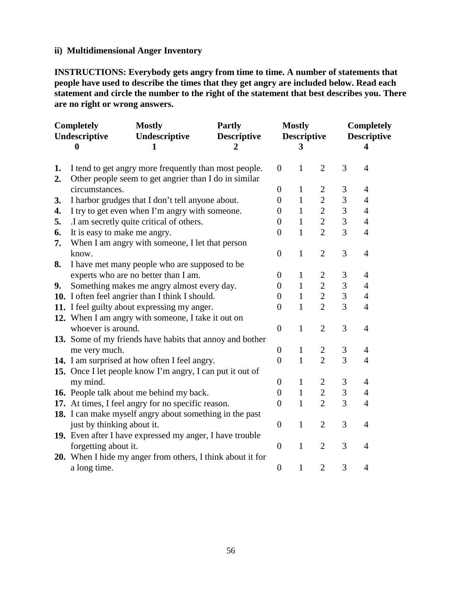### **ii) Multidimensional Anger Inventory**

**INSTRUCTIONS: Everybody gets angry from time to time. A number of statements that people have used to describe the times that they get angry are included below. Read each statement and circle the number to the right of the statement that best describes you. There are no right or wrong answers.**

| <b>Completely</b><br>Undescriptive |                                                          | <b>Mostly</b><br>Undescriptive                                                                                 | <b>Partly</b><br><b>Descriptive</b> |                  | <b>Mostly</b><br><b>Descriptive</b> |                | <b>Completely</b><br><b>Descriptive</b> |                |  |
|------------------------------------|----------------------------------------------------------|----------------------------------------------------------------------------------------------------------------|-------------------------------------|------------------|-------------------------------------|----------------|-----------------------------------------|----------------|--|
|                                    | $\boldsymbol{0}$<br>1<br>$\overline{2}$                  |                                                                                                                |                                     |                  | 3                                   |                |                                         | 4              |  |
| 1.<br>2.                           |                                                          | I tend to get angry more frequently than most people.<br>Other people seem to get angrier than I do in similar |                                     | $\boldsymbol{0}$ | $\mathbf{1}$                        | $\overline{2}$ | 3                                       | $\overline{4}$ |  |
|                                    | circumstances.                                           |                                                                                                                | $\theta$                            | 1                | $\overline{2}$                      | 3              | $\overline{4}$                          |                |  |
| 3.                                 | I harbor grudges that I don't tell anyone about.         | $\theta$                                                                                                       | 1                                   | $\overline{2}$   | $\mathfrak{Z}$                      | $\overline{4}$ |                                         |                |  |
| 4.                                 | I try to get even when I'm angry with someone.           | $\overline{0}$                                                                                                 | 1                                   | $\overline{2}$   | 3                                   | $\overline{4}$ |                                         |                |  |
| 5.                                 |                                                          | .I am secretly quite critical of others.                                                                       |                                     | $\theta$         | 1                                   | $\overline{2}$ | $\mathfrak{Z}$                          | 4              |  |
| 6.                                 | It is easy to make me angry.                             |                                                                                                                |                                     | $\overline{0}$   | $\mathbf{1}$                        | $\overline{2}$ | 3                                       | $\overline{4}$ |  |
| 7.                                 |                                                          | When I am angry with someone, I let that person                                                                |                                     |                  |                                     |                |                                         |                |  |
|                                    | know.                                                    |                                                                                                                |                                     | $\overline{0}$   | $\mathbf{1}$                        | $\overline{2}$ | 3                                       | 4              |  |
| 8.                                 |                                                          | I have met many people who are supposed to be                                                                  |                                     |                  |                                     |                |                                         |                |  |
|                                    |                                                          | experts who are no better than I am.                                                                           |                                     | $\theta$         | 1                                   | $\mathbf{2}$   | $\mathfrak{Z}$                          | $\overline{4}$ |  |
| 9.                                 |                                                          | Something makes me angry almost every day.                                                                     |                                     | $\overline{0}$   | 1                                   | $\overline{2}$ | $\overline{3}$                          | 4              |  |
|                                    |                                                          | 10. I often feel angrier than I think I should.                                                                |                                     | 0                | 1                                   | $\overline{2}$ | 3                                       | $\overline{4}$ |  |
|                                    |                                                          | 11. I feel guilty about expressing my anger.                                                                   |                                     | $\boldsymbol{0}$ | $\mathbf{1}$                        | $\overline{2}$ | 3                                       | $\overline{4}$ |  |
|                                    |                                                          | 12. When I am angry with someone, I take it out on                                                             |                                     |                  |                                     |                |                                         |                |  |
|                                    | whoever is around.                                       |                                                                                                                |                                     | $\boldsymbol{0}$ | $\mathbf{1}$                        | $\overline{2}$ | 3                                       | $\overline{4}$ |  |
|                                    |                                                          | 13. Some of my friends have habits that annoy and bother                                                       |                                     |                  |                                     |                |                                         |                |  |
|                                    | me very much.                                            |                                                                                                                |                                     | $\theta$         | 1                                   | $\overline{2}$ | $\mathfrak{Z}$                          | $\overline{4}$ |  |
|                                    |                                                          | 14. I am surprised at how often I feel angry.                                                                  |                                     | $\overline{0}$   | $\mathbf{1}$                        | $\overline{2}$ | 3                                       | $\overline{4}$ |  |
|                                    |                                                          | 15. Once I let people know I'm angry, I can put it out of                                                      |                                     |                  |                                     |                |                                         |                |  |
|                                    | my mind.                                                 |                                                                                                                |                                     | $\overline{0}$   | $\mathbf{1}$                        | $\overline{2}$ | $\mathfrak{Z}$                          | $\overline{4}$ |  |
|                                    |                                                          | 16. People talk about me behind my back.                                                                       |                                     | $\overline{0}$   | $\mathbf{1}$                        | $\overline{2}$ | 3                                       | $\overline{4}$ |  |
|                                    |                                                          | 17. At times, I feel angry for no specific reason.                                                             |                                     | $\theta$         | $\mathbf{1}$                        | $\overline{2}$ | 3                                       | $\overline{4}$ |  |
|                                    |                                                          | 18. I can make myself angry about something in the past                                                        |                                     |                  |                                     |                |                                         |                |  |
|                                    | just by thinking about it.                               |                                                                                                                |                                     | $\overline{0}$   | $\mathbf{1}$                        | $\overline{2}$ | 3                                       | $\overline{4}$ |  |
|                                    | 19. Even after I have expressed my anger, I have trouble |                                                                                                                |                                     |                  |                                     |                |                                         |                |  |
|                                    | forgetting about it.                                     |                                                                                                                | $\overline{0}$                      | $\mathbf{1}$     | $\overline{2}$                      | 3              | 4                                       |                |  |
|                                    |                                                          | 20. When I hide my anger from others, I think about it for                                                     |                                     |                  |                                     |                |                                         |                |  |
|                                    | a long time.                                             |                                                                                                                |                                     | $\overline{0}$   | $\mathbf{1}$                        | $\overline{2}$ | 3                                       | $\overline{4}$ |  |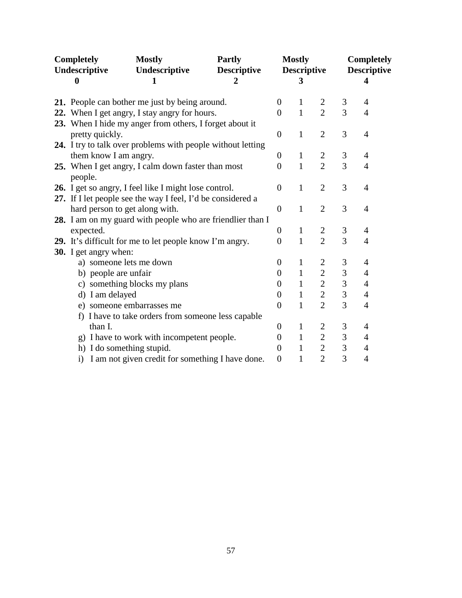| Completely |                                                                                                 | <b>Mostly</b>                                               | <b>Partly</b>      |                                  | <b>Mostly</b>      |                                  | <b>Completely</b>  |                |  |
|------------|-------------------------------------------------------------------------------------------------|-------------------------------------------------------------|--------------------|----------------------------------|--------------------|----------------------------------|--------------------|----------------|--|
|            | Undescriptive                                                                                   | Undescriptive                                               | <b>Descriptive</b> |                                  | <b>Descriptive</b> |                                  | <b>Descriptive</b> |                |  |
|            | 0                                                                                               | 1<br>2                                                      |                    |                                  |                    |                                  |                    | 4              |  |
|            |                                                                                                 |                                                             |                    | $\theta$                         | $\mathbf{1}$       | $\overline{2}$                   | 3                  | 4              |  |
|            | 21. People can bother me just by being around.<br>22. When I get angry, I stay angry for hours. |                                                             |                    |                                  |                    | $\overline{2}$                   | $\overline{3}$     | $\overline{4}$ |  |
|            |                                                                                                 | 23. When I hide my anger from others, I forget about it     |                    | $\overline{0}$                   | $\mathbf{1}$       |                                  |                    |                |  |
|            | pretty quickly.                                                                                 |                                                             |                    | $\theta$                         | $\mathbf{1}$       | $\overline{2}$                   | 3                  | $\overline{4}$ |  |
|            |                                                                                                 | 24. I try to talk over problems with people without letting |                    |                                  |                    |                                  |                    |                |  |
|            | them know I am angry.                                                                           |                                                             |                    | $\theta$                         | 1                  | $\overline{c}$                   | 3                  | 4              |  |
|            |                                                                                                 |                                                             |                    | $\theta$                         | $\mathbf{1}$       | $\overline{2}$                   | 3                  | 4              |  |
|            | people.                                                                                         | 25. When I get angry, I calm down faster than most          |                    |                                  |                    |                                  |                    |                |  |
|            |                                                                                                 | 26. I get so angry, I feel like I might lose control.       |                    | $\theta$                         | $\mathbf{1}$       | $\overline{2}$                   | 3                  | 4              |  |
|            |                                                                                                 | 27. If I let people see the way I feel, I'd be considered a |                    |                                  |                    |                                  |                    |                |  |
|            |                                                                                                 | hard person to get along with.                              |                    | $\overline{0}$                   | $\mathbf{1}$       | $\overline{2}$                   | 3                  | 4              |  |
|            |                                                                                                 |                                                             |                    |                                  |                    |                                  |                    |                |  |
|            | expected.                                                                                       | 28. I am on my guard with people who are friendlier than I  |                    | $\theta$                         | 1                  | $\overline{c}$                   | 3                  | 4              |  |
|            |                                                                                                 |                                                             |                    | $\overline{0}$                   | $\mathbf{1}$       | $\overline{2}$                   | 3                  | 4              |  |
|            |                                                                                                 | 29. It's difficult for me to let people know I'm angry.     |                    |                                  |                    |                                  |                    |                |  |
|            | 30. I get angry when:                                                                           |                                                             |                    |                                  |                    |                                  |                    | 4              |  |
|            |                                                                                                 | a) someone lets me down                                     |                    | $\overline{0}$<br>$\overline{0}$ | 1<br>$\mathbf{1}$  | $\overline{2}$<br>$\overline{2}$ | 3<br>3             |                |  |
|            | b) people are unfair                                                                            |                                                             |                    |                                  |                    |                                  |                    | 4              |  |
|            |                                                                                                 | c) something blocks my plans                                |                    | 0                                | $\mathbf 1$        | $\mathbf{2}$                     | $\mathfrak{Z}$     | 4              |  |
|            | d) I am delayed                                                                                 |                                                             |                    | $\overline{0}$                   | $\mathbf{1}$       | $\overline{2}$                   | 3                  | $\overline{4}$ |  |
|            |                                                                                                 | e) someone embarrasses me                                   |                    | $\overline{0}$                   | $\mathbf{1}$       | $\overline{2}$                   | 3                  | $\overline{4}$ |  |
|            |                                                                                                 | f) I have to take orders from someone less capable          |                    |                                  |                    |                                  |                    |                |  |
|            | than I.                                                                                         |                                                             |                    | $\overline{0}$                   | $\mathbf{1}$       | $\mathbf{2}$                     | $\mathfrak{Z}$     | 4              |  |
|            | g)                                                                                              | I have to work with incompetent people.                     |                    | $\theta$                         | $\mathbf{1}$       | $\overline{2}$                   | 3                  | 4              |  |
|            |                                                                                                 | h) I do something stupid.                                   |                    | 0                                | $\mathbf{1}$       | $\overline{2}$                   | 3                  | 4              |  |
|            |                                                                                                 | i) I am not given credit for something I have done.         |                    | $\overline{0}$                   | $\mathbf 1$        | $\overline{2}$                   | 3                  | $\overline{4}$ |  |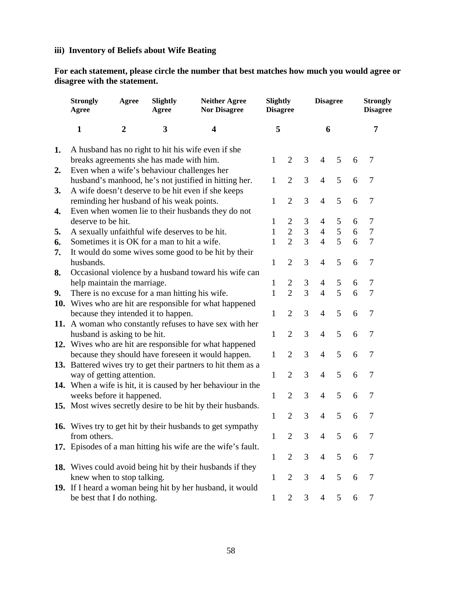### **iii) Inventory of Beliefs about Wife Beating**

**For each statement, please circle the number that best matches how much you would agree or disagree with the statement.**

|    | <b>Strongly</b><br>Agree                       | Agree                      | Slightly<br>Agree | <b>Neither Agree</b><br><b>Nor Disagree</b>                       |              | Slightly<br><b>Disagree</b> |   | <b>Disagree</b> |   |   | <b>Strongly</b><br><b>Disagree</b> |
|----|------------------------------------------------|----------------------------|-------------------|-------------------------------------------------------------------|--------------|-----------------------------|---|-----------------|---|---|------------------------------------|
|    | $\mathbf{1}$                                   | $\boldsymbol{2}$<br>3<br>4 |                   |                                                                   | 5            |                             |   | 6               |   |   | 7                                  |
| 1. |                                                |                            |                   | A husband has no right to hit his wife even if she                |              |                             |   |                 |   |   |                                    |
|    | breaks agreements she has made with him.       |                            |                   |                                                                   | 1            | 2                           | 3 | $\overline{4}$  | 5 | 6 | 7                                  |
| 2. | Even when a wife's behaviour challenges her    |                            |                   |                                                                   |              |                             |   |                 |   |   |                                    |
|    |                                                |                            |                   | husband's manhood, he's not justified in hitting her.             | 1            | $\overline{2}$              | 3 | $\overline{4}$  | 5 | 6 | 7                                  |
| 3. |                                                |                            |                   | A wife doesn't deserve to be hit even if she keeps                |              |                             |   |                 |   |   |                                    |
|    | reminding her husband of his weak points.      |                            |                   |                                                                   | 1            | $\overline{2}$              | 3 | $\overline{4}$  | 5 | 6 | 7                                  |
| 4. |                                                |                            |                   | Even when women lie to their husbands they do not                 |              |                             |   |                 |   |   |                                    |
|    | deserve to be hit.                             |                            |                   |                                                                   | 1            | $\overline{2}$              | 3 | $\overline{4}$  | 5 | 6 | 7                                  |
| 5. | A sexually unfaithful wife deserves to be hit. |                            |                   |                                                                   | 1            | $\overline{2}$              | 3 | $\overline{4}$  | 5 | 6 | $\tau$                             |
| 6. | Sometimes it is OK for a man to hit a wife.    |                            |                   |                                                                   | 1            | $\overline{2}$              | 3 | $\overline{4}$  | 5 | 6 | 7                                  |
| 7. |                                                |                            |                   | It would do some wives some good to be hit by their               |              |                             |   |                 |   |   |                                    |
|    | husbands.                                      |                            |                   |                                                                   | 1            | $\overline{2}$              | 3 | $\overline{4}$  | 5 | 6 | 7                                  |
| 8. |                                                |                            |                   | Occasional violence by a husband toward his wife can              |              |                             |   |                 |   |   |                                    |
|    | help maintain the marriage.                    |                            |                   |                                                                   | 1            | 2                           | 3 | $\overline{4}$  | 5 | 6 | 7                                  |
| 9. | There is no excuse for a man hitting his wife. |                            |                   |                                                                   | 1            | $\overline{2}$              | 3 | $\overline{4}$  | 5 | 6 | 7                                  |
|    |                                                |                            |                   | 10. Wives who are hit are responsible for what happened           |              |                             |   |                 |   |   |                                    |
|    | because they intended it to happen.            |                            |                   |                                                                   | 1            | $\overline{2}$              | 3 | $\overline{4}$  | 5 | 6 | $\tau$                             |
|    |                                                |                            |                   | 11. A woman who constantly refuses to have sex with her           |              |                             |   |                 |   |   |                                    |
|    | husband is asking to be hit.                   |                            |                   |                                                                   | 1            | $\overline{2}$              | 3 | $\overline{4}$  | 5 | 6 | 7                                  |
|    |                                                |                            |                   | 12. Wives who are hit are responsible for what happened           |              |                             |   |                 |   |   |                                    |
|    |                                                |                            |                   | because they should have foreseen it would happen.                | 1            | $\overline{2}$              | 3 | 4               | 5 | 6 | 7                                  |
|    |                                                |                            |                   | 13. Battered wives try to get their partners to hit them as a     |              |                             |   |                 |   |   |                                    |
|    | way of getting attention.                      |                            |                   |                                                                   | $\mathbf{1}$ | $\overline{2}$              | 3 | $\overline{4}$  | 5 | 6 | $\tau$                             |
|    |                                                |                            |                   | 14. When a wife is hit, it is caused by her behaviour in the      |              |                             |   |                 |   |   |                                    |
|    | weeks before it happened.                      |                            |                   |                                                                   | 1            | $\overline{2}$              | 3 | $\overline{4}$  | 5 | 6 | 7                                  |
|    |                                                |                            |                   | 15. Most wives secretly desire to be hit by their husbands.       |              |                             |   |                 |   |   |                                    |
|    |                                                |                            |                   |                                                                   | 1            | $\overline{2}$              | 3 | $\overline{4}$  | 5 | 6 | 7                                  |
|    |                                                |                            |                   | <b>16.</b> Wives try to get hit by their husbands to get sympathy |              |                             |   |                 |   |   |                                    |
|    | from others.                                   |                            |                   |                                                                   |              | 2                           | 3 | $\overline{4}$  | 5 | 6 | 7                                  |
|    |                                                |                            |                   | 17. Episodes of a man hitting his wife are the wife's fault.      |              |                             |   |                 |   |   |                                    |
|    |                                                |                            |                   |                                                                   | 1            | $\overline{2}$              | 3 | $\overline{4}$  | 5 | 6 | 7                                  |
|    |                                                |                            |                   | 18. Wives could avoid being hit by their husbands if they         |              |                             |   |                 |   |   |                                    |
|    | knew when to stop talking.                     |                            |                   |                                                                   | 1            | 2                           | 3 | $\overline{4}$  | 5 | 6 | 7                                  |
|    |                                                |                            |                   | 19. If I heard a woman being hit by her husband, it would         |              |                             |   |                 |   |   |                                    |
|    | be best that I do nothing.                     |                            |                   |                                                                   | $\mathbf{1}$ | 2                           | 3 | $\overline{4}$  | 5 | 6 | $\tau$                             |
|    |                                                |                            |                   |                                                                   |              |                             |   |                 |   |   |                                    |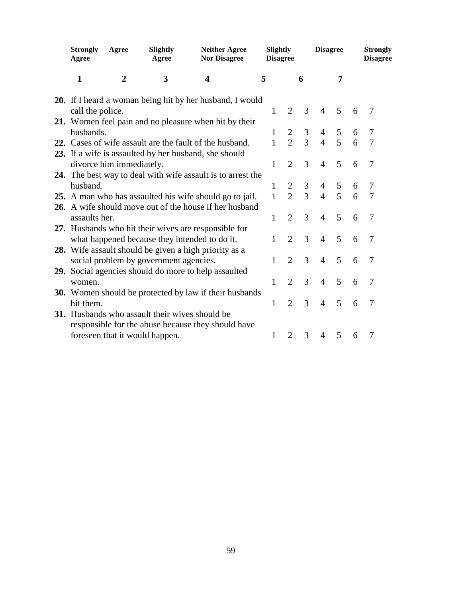| <b>Strongly</b><br>Agree | Agree                    | Slightly<br>Agree                              | <b>Neither Agree</b><br>Slightly<br><b>Nor Disagree</b><br><b>Disagree</b> |              |                |                | <b>Disagree</b> |   |   | <b>Strongly</b><br><b>Disagree</b> |
|--------------------------|--------------------------|------------------------------------------------|----------------------------------------------------------------------------|--------------|----------------|----------------|-----------------|---|---|------------------------------------|
| $\mathbf{1}$             | $\boldsymbol{2}$         | 3                                              | 4                                                                          | 5            |                |                | 7               |   |   |                                    |
|                          |                          |                                                | <b>20.</b> If I heard a woman being hit by her husband, I would            |              |                |                |                 |   |   |                                    |
| call the police.         |                          |                                                |                                                                            | 1            | $\overline{2}$ | 3              | $\overline{4}$  | 5 | 6 | 7                                  |
|                          |                          |                                                | 21. Women feel pain and no pleasure when hit by their                      |              |                |                |                 |   |   |                                    |
| husbands.                |                          |                                                |                                                                            | 1            | $\frac{2}{2}$  | 3              | $\overline{4}$  | 5 | 6 | 7                                  |
|                          |                          |                                                | 22. Cases of wife assault are the fault of the husband.                    | $\mathbf{1}$ |                | $\overline{3}$ | $\overline{4}$  | 5 | 6 | $\overline{7}$                     |
|                          |                          |                                                | 23. If a wife is assaulted by her husband, she should                      |              |                |                |                 |   |   |                                    |
|                          | divorce him immediately. |                                                |                                                                            | 1            | $\overline{2}$ | 3              | $\overline{4}$  | 5 | 6 | $\tau$                             |
|                          |                          |                                                | 24. The best way to deal with wife assault is to arrest the                |              |                |                |                 |   |   |                                    |
| husband.                 |                          |                                                |                                                                            | 1            | $\overline{2}$ | 3              | $\overline{4}$  | 5 | 6 | 7                                  |
|                          |                          |                                                | 25. A man who has assaulted his wife should go to jail.                    | 1            | $\overline{2}$ | 3              | $\overline{4}$  | 5 | 6 | 7                                  |
|                          |                          |                                                | 26. A wife should move out of the house if her husband                     |              |                |                |                 |   |   |                                    |
| assaults her.            |                          |                                                |                                                                            | 1            | $\overline{2}$ | 3              | $\overline{4}$  | 5 | 6 | 7                                  |
|                          |                          |                                                | 27. Husbands who hit their wives are responsible for                       |              |                |                |                 |   |   |                                    |
|                          |                          |                                                | what happened because they intended to do it.                              | 1            | $\overline{2}$ | 3              | $\overline{4}$  | 5 | 6 | 7                                  |
|                          |                          |                                                | 28. Wife assault should be given a high priority as a                      |              |                |                |                 |   |   |                                    |
|                          |                          | social problem by government agencies.         |                                                                            | 1            | $\overline{2}$ | 3              | $\overline{4}$  | 5 | 6 | 7                                  |
|                          |                          |                                                | 29. Social agencies should do more to help assaulted                       |              |                |                |                 |   |   |                                    |
| women.                   |                          |                                                |                                                                            | 1            | $\overline{2}$ | 3              | $\overline{4}$  | 5 | 6 | 7                                  |
|                          |                          |                                                | <b>30.</b> Women should be protected by law if their husbands              |              |                |                |                 |   |   |                                    |
| hit them.                |                          |                                                |                                                                            | 1            | $\overline{2}$ | 3              | $\overline{4}$  | 5 | 6 | $\overline{7}$                     |
|                          |                          | 31. Husbands who assault their wives should be |                                                                            |              |                |                |                 |   |   |                                    |
|                          |                          |                                                | responsible for the abuse because they should have                         |              |                |                |                 |   |   |                                    |
|                          |                          | foreseen that it would happen.                 |                                                                            | 1            | $\overline{2}$ | 3              | $\overline{4}$  | 5 | 6 | $\overline{7}$                     |
|                          |                          |                                                |                                                                            |              |                |                |                 |   |   |                                    |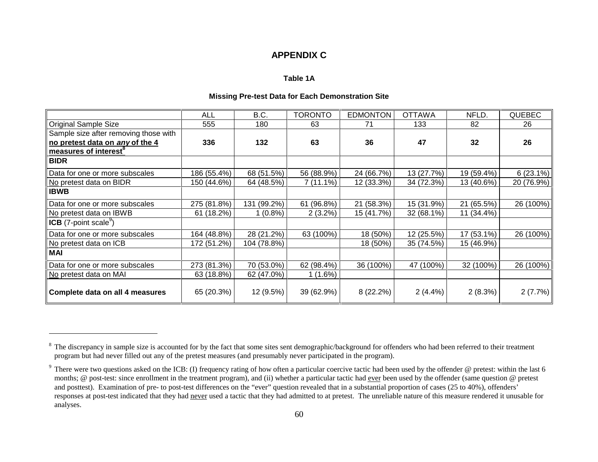# **APPENDIX C**

#### **Table 1A**

#### **Missing Pre-test Data for Each Demonstration Site**

|                                          | ALL         | B.C.        | <b>TORONTO</b> | <b>EDMONTON</b> | <b>OTTAWA</b> | NFLD.      | <b>QUEBEC</b> |
|------------------------------------------|-------------|-------------|----------------|-----------------|---------------|------------|---------------|
| <b>Original Sample Size</b>              | 555         | 180         | 63             | 71              | 133           | 82         | 26            |
| Sample size after removing those with    |             |             |                |                 |               |            |               |
| no pretest data on any of the 4          | 336         | 132         | 63             | 36              | 47            | 32         | 26            |
| measures of interest <sup>8</sup>        |             |             |                |                 |               |            |               |
| <b>BIDR</b>                              |             |             |                |                 |               |            |               |
| Data for one or more subscales           | 186 (55.4%) | 68 (51.5%)  | 56 (88.9%)     | 24 (66.7%)      | 13 (27.7%)    | 19 (59.4%) | $6(23.1\%)$   |
| No pretest data on BIDR                  | 150 (44.6%) | 64 (48.5%)  | $7(11.1\%)$    | 12 (33.3%)      | 34 (72.3%)    | 13 (40.6%) | 20 (76.9%)    |
| <b>IBWB</b>                              |             |             |                |                 |               |            |               |
| Data for one or more subscales           | 275 (81.8%) | 131 (99.2%) | 61 (96.8%)     | 21 (58.3%)      | 15 (31.9%)    | 21 (65.5%) | 26 (100%)     |
| No pretest data on IBWB                  | 61 (18.2%)  | $1(0.8\%)$  | $2(3.2\%)$     | 15 (41.7%)      | 32 (68.1%)    | 11 (34.4%) |               |
| <b>ICB</b> (7-point scale <sup>9</sup> ) |             |             |                |                 |               |            |               |
| Data for one or more subscales           | 164 (48.8%) | 28 (21.2%)  | 63 (100%)      | 18 (50%)        | 12 (25.5%)    | 17 (53.1%) | 26 (100%)     |
| No pretest data on ICB                   | 172 (51.2%) | 104 (78.8%) |                | 18 (50%)        | 35 (74.5%)    | 15 (46.9%) |               |
| <b>MAI</b>                               |             |             |                |                 |               |            |               |
| Data for one or more subscales           | 273 (81.3%) | 70 (53.0%)  | 62 (98.4%)     | 36 (100%)       | 47 (100%)     | 32 (100%)  | 26 (100%)     |
| No pretest data on MAI                   | 63 (18.8%)  | 62 (47.0%)  | 1(1.6%)        |                 |               |            |               |
| Complete data on all 4 measures          | 65 (20.3%)  | 12 (9.5%)   | 39 (62.9%)     | 8(22.2%)        | $2(4.4\%)$    | $2(8.3\%)$ | $2(7.7\%)$    |

<sup>&</sup>lt;sup>8</sup> The discrepancy in sample size is accounted for by the fact that some sites sent demographic/background for offenders who had been referred to their treatment program but had never filled out any of the pretest measures (and presumably never participated in the program).

<sup>&</sup>lt;sup>9</sup> There were two questions asked on the ICB: (I) frequency rating of how often a particular coercive tactic had been used by the offender @ pretest: within the last 6 months; @ post-test: since enrollment in the treatment program), and (ii) whether a particular tactic had ever been used by the offender (same question @ pretest and posttest). Examination of pre- to post-test differences on the "ever" question revealed that in a substantial proportion of cases (25 to 40%), offenders' responses at post-test indicated that they had never used a tactic that they had admitted to at pretest. The unreliable nature of this measure rendered it unusable for analyses.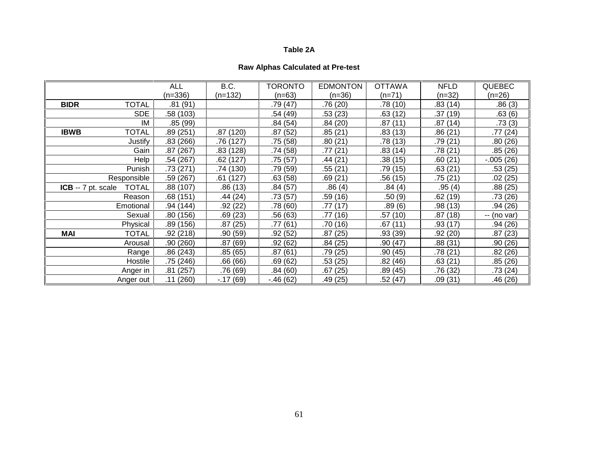#### **Table 2A**

# **Raw Alphas Calculated at Pre-test**

|                                    | <b>ALL</b>        | B.C.       | <b>TORONTO</b> | <b>EDMONTON</b> | <b>OTTAWA</b> | <b>NFLD</b> | <b>QUEBEC</b> |
|------------------------------------|-------------------|------------|----------------|-----------------|---------------|-------------|---------------|
| $(n=336)$                          |                   | (n=132)    | (n=63)         | $(n=36)$        | (n=71)        | $(n=32)$    | $(n=26)$      |
| <b>TOTAL</b><br><b>BIDR</b>        | .81(91)           |            | .79(47)        | .76 (20)        | .78(10)       | .83(14)     | .86(3)        |
|                                    | SDE<br>.58 (103)  |            | .54 (49)       | .53(23)         | .63(12)       | .37 (19)    | .63(6)        |
|                                    | IM<br>.85 (99)    |            | .84(54)        | .84(20)         | .87(11)       | .87(14)     | .73(3)        |
| <b>IBWB</b><br>TOTAL               | .89(251)          | .87 (120)  | .87(52)        | .85(21)         | .83(13)       | .86(21)     | .77(24)       |
| Justify                            | .83(266)          | .76 (127)  | .75 (58)       | .80(21)         | .78 (13)      | .79 (21)    | .80 (26)      |
|                                    | Gain<br>.87 (267) | .83 (128)  | .74 (58)       | .77 (21)        | .83(14)       | .78 (21)    | .85(26)       |
|                                    | Help<br>.54 (267) | .62 (127)  | .75(57)        | .44 (21)        | .38(15)       | .60 (21)    | $-0.005(26)$  |
| Punish                             | .73 (271)         | .74 (130)  | .79 (59)       | .55 (21)        | .79 (15)      | .63(21)     | .53 (25)      |
| Responsible                        | .59 (267)         | .61 (127)  | .63(58)        | .69 (21)        | .56 (15)      | .75 (21)    | .02(25)       |
| <b>TOTAL</b><br>ICB -- 7 pt. scale | .88 (107)         | .86(13)    | .84(57)        | .86(4)          | .84(4)        | .95(4)      | .88(25)       |
| Reason                             | .68(151)          | .44 (24)   | .73 (57)       | .59 (16)        | .50 (9)       | .62 (19)    | .73 (26)      |
| Emotional                          | .94 (144)         | .92(22)    | .78(60)        | .77(17)         | .89(6)        | .98 (13)    | .94(26)       |
| Sexual                             | .80(156)          | .69(23)    | .56(63)        | .77 (16)        | .57 (10)      | .87 (18)    | -- (no var)   |
| Physical                           | .89(156)          | .87(25)    | .77 (61)       | .70 (16)        | .67(11)       | .93 (17)    | .94 (26)      |
| <b>MAI</b><br><b>TOTAL</b>         | .92(218)          | .90(59)    | .92(52)        | .87 (25)        | .93 (39)      | .92 (20)    | .87(23)       |
| Arousal                            | .90(260)          | .87 (69)   | .92(62)        | .84(25)         | .90(47)       | .88 (31)    | .90(26)       |
| Range                              | .86 (243)         | .85 (65)   | .87(61)        | .79 (25)        | .90 (45)      | .78 (21)    | .82(26)       |
| Hostile                            | .75 (246)         | .66(66)    | .69(62)        | .53 (25)        | .82 (46)      | .63 (21)    | .85(26)       |
| Anger in                           | .81(257)          | .76 (69)   | .84(60)        | .67(25)         | .89 (45)      | .76 (32)    | .73 (24)      |
| Anger out                          | .11(260)          | $-.17(69)$ | $-46(62)$      | .49(25)         | .52 (47)      | .09 (31)    | .46 (26)      |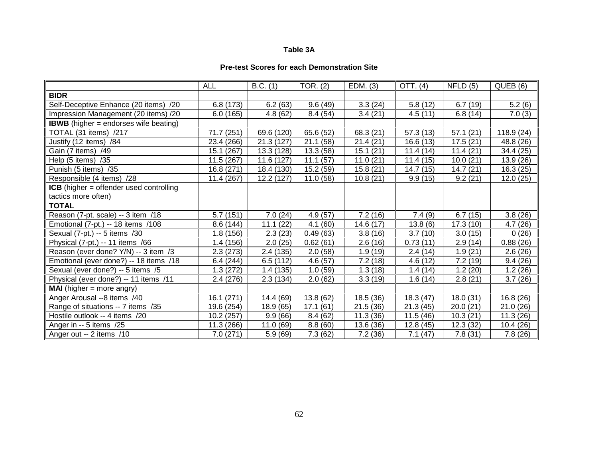### **Table 3A**

## **Pre-test Scores for each Demonstration Site**

|                                                | <b>ALL</b> | B.C. (1)   | TOR. (2)  | EDM. (3)  | OTT. (4) | NFLD(5)                | QUEB (6)   |
|------------------------------------------------|------------|------------|-----------|-----------|----------|------------------------|------------|
| <b>BIDR</b>                                    |            |            |           |           |          |                        |            |
| Self-Deceptive Enhance (20 items) /20          | 6.8(173)   | 6.2(63)    | 9.6(49)   | 3.3(24)   | 5.8(12)  | 6.7(19)                | 5.2(6)     |
| Impression Management (20 items) /20           | 6.0(165)   | 4.8(62)    | 8.4(54)   | 3.4(21)   | 4.5(11)  | 6.8(14)                | 7.0(3)     |
| <b>IBWB</b> (higher = endorses wife beating)   |            |            |           |           |          |                        |            |
| TOTAL (31 items) /217                          | 71.7 (251) | 69.6 (120) | 65.6 (52) | 68.3 (21) | 57.3(13) | 57.1(21)               | 118.9 (24) |
| Justify (12 items) /84                         | 23.4 (266) | 21.3(127)  | 21.1 (58) | 21.4(21)  | 16.6(13) | $\overline{17.5}$ (21) | 48.8 (26)  |
| Gain (7 items) /49                             | 15.1 (267) | 13.3 (128) | 13.3(58)  | 15.1(21)  | 11.4(14) | 11.4(21)               | 34.4 (25)  |
| Help (5 items) /35                             | 11.5 (267) | 11.6 (127) | 11.1(57)  | 11.0(21)  | 11.4(15) | 10.0(21)               | 13.9 (26)  |
| Punish (5 items) /35                           | 16.8(271)  | 18.4 (130) | 15.2(59)  | 15.8(21)  | 14.7(15) | 14.7(21)               | 16.3(25)   |
| Responsible (4 items) /28                      | 11.4 (267) | 12.2(127)  | 11.0(58)  | 10.8(21)  | 9.9(15)  | 9.2(21)                | 12.0(25)   |
| <b>ICB</b> (higher = offender used controlling |            |            |           |           |          |                        |            |
| tactics more often)                            |            |            |           |           |          |                        |            |
| <b>TOTAL</b>                                   |            |            |           |           |          |                        |            |
| Reason (7-pt. scale) -- 3 item /18             | 5.7(151)   | 7.0(24)    | 4.9(57)   | 7.2(16)   | 7.4(9)   | 6.7(15)                | 3.8(26)    |
| Emotional (7-pt.) -- 18 items /108             | 8.6 (144)  | 11.1(22)   | 4.1(60)   | 14.6 (17) | 13.8(6)  | 17.3(10)               | 4.7(26)    |
| Sexual (7-pt.) -- 5 items /30                  | 1.8(156)   | 2.3(23)    | 0.49(63)  | 3.8(16)   | 3.7(10)  | 3.0(15)                | 0(26)      |
| Physical (7-pt.) -- 11 items /66               | 1.4(156)   | 2.0(25)    | 0.62(61)  | 2.6(16)   | 0.73(11) | 2.9(14)                | 0.88(26)   |
| Reason (ever done? Y/N) -- 3 item /3           | 2.3(273)   | 2.4(135)   | 2.0(58)   | 1.9(19)   | 2.4(14)  | 1.9(21)                | 2.6(26)    |
| Emotional (ever done?) -- 18 items /18         | 6.4(244)   | 6.5(112)   | 4.6(57)   | 7.2(18)   | 4.6(12)  | 7.2(19)                | 9.4(26)    |
| Sexual (ever done?) -- 5 items /5              | 1.3(272)   | 1.4(135)   | 1.0(59)   | 1.3(18)   | 1.4(14)  | 1.2(20)                | 1.2(26)    |
| Physical (ever done?) -- 11 items /11          | 2.4 (276)  | 2.3(134)   | 2.0(62)   | 3.3(19)   | 1.6(14)  | 2.8(21)                | 3.7(26)    |
| <b>MAI</b> (higher $=$ more angry)             |            |            |           |           |          |                        |            |
| Anger Arousal --8 items /40                    | 16.1 (271) | 14.4 (69)  | 13.8 (62) | 18.5(36)  | 18.3(47) | 18.0(31)               | 16.8(26)   |
| Range of situations -- 7 items /35             | 19.6 (254) | 18.9 (65)  | 17.1(61)  | 21.5(36)  | 21.3(45) | 20.0(21)               | 21.0(26)   |
| Hostile outlook -- 4 items /20                 | 10.2 (257) | 9.9(66)    | 8.4(62)   | 11.3(36)  | 11.5(46) | 10.3(21)               | 11.3(26)   |
| Anger in -- 5 items /25                        | 11.3 (266) | 11.0(69)   | 8.8(60)   | 13.6 (36) | 12.8(45) | 12.3(32)               | 10.4(26)   |
| Anger out -- 2 items /10                       | 7.0(271)   | 5.9(69)    | 7.3(62)   | 7.2(36)   | 7.1(47)  | 7.8(31)                | 7.8(26)    |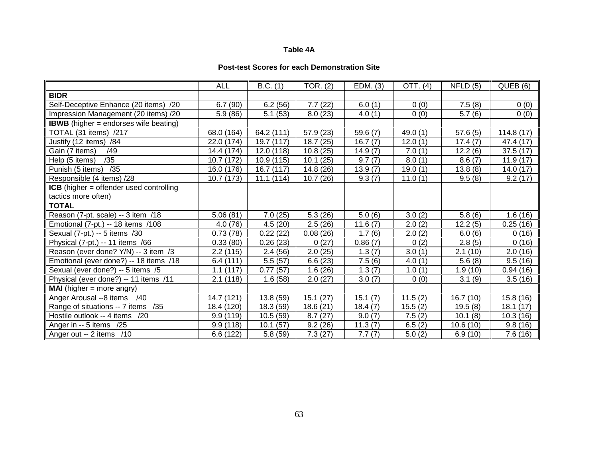### **Table 4A**

#### **Post-test Scores for each Demonstration Site**

|                                                | <b>ALL</b> | B.C. (1)               | TOR. $(2)$ | EDM. (3) | OTT. (4) | NFLD(5)  | QUEB (6)  |
|------------------------------------------------|------------|------------------------|------------|----------|----------|----------|-----------|
| <b>BIDR</b>                                    |            |                        |            |          |          |          |           |
| Self-Deceptive Enhance (20 items) /20          | 6.7(90)    | 6.2(56)                | 7.7(22)    | 6.0(1)   | 0(0)     | 7.5(8)   | 0(0)      |
| Impression Management (20 items) /20           | 5.9(86)    | 5.1(53)                | 8.0(23)    | 4.0(1)   | 0(0)     | 5.7(6)   | 0(0)      |
| <b>IBWB</b> (higher = endorses wife beating)   |            |                        |            |          |          |          |           |
| TOTAL (31 items) /217                          | 68.0 (164) | 64.2 (111)             | 57.9 (23)  | 59.6(7)  | 49.0 (1) | 57.6(5)  | 114.8(17) |
| Justify (12 items) /84                         | 22.0 (174) | 19.7 (117)             | 18.7 (25)  | 16.7(7)  | 12.0(1)  | 17.4(7)  | 47.4 (17) |
| Gain (7 items)<br>/49                          | 14.4 (174) | 12.0 (118)             | 10.8(25)   | 14.9(7)  | 7.0(1)   | 12.2(6)  | 37.5(17)  |
| /35<br>Help (5 items)                          | 10.7 (172) | 10.9 (115)             | 10.1(25)   | 9.7(7)   | 8.0(1)   | 8.6(7)   | 11.9(17)  |
| Punish (5 items)<br>/35                        | 16.0 (176) | 16.7 (117)             | 14.8 (26)  | 13.9(7)  | 19.0(1)  | 13.8(8)  | 14.0(17)  |
| Responsible (4 items) /28                      | 10.7 (173) | 11.1(114)              | 10.7(26)   | 9.3(7)   | 11.0(1)  | 9.5(8)   | 9.2(17)   |
| <b>ICB</b> (higher = offender used controlling |            |                        |            |          |          |          |           |
| tactics more often)                            |            |                        |            |          |          |          |           |
| <b>TOTAL</b>                                   |            |                        |            |          |          |          |           |
| Reason (7-pt. scale) -- 3 item /18             | 5.06(81)   | 7.0(25)                | 5.3(26)    | 5.0(6)   | 3.0(2)   | 5.8(6)   | 1.6(16)   |
| Emotional (7-pt.) -- 18 items /108             | 4.0(76)    | 4.5(20)                | 2.5(26)    | 11.6(7)  | 2.0(2)   | 12.2(5)  | 0.25(16)  |
| Sexual (7-pt.) -- 5 items /30                  | 0.73(78)   | 0.22(22)               | 0.08(26)   | 1.7(6)   | 2.0(2)   | 6.0(6)   | 0(16)     |
| Physical (7-pt.) -- 11 items /66               | 0.33(80)   | 0.26(23)               | 0(27)      | 0.86(7)  | 0(2)     | 2.8(5)   | 0(16)     |
| Reason (ever done? Y/N) -- 3 item /3           | 2.2(115)   | 2.4(56)                | 2.0(25)    | 1.3(7)   | 3.0(1)   | 2.1(10)  | 2.0(16)   |
| Emotional (ever done?) -- 18 items /18         | 6.4(111)   | 5.5(57)                | 6.6(23)    | 7.5(6)   | 4.0(1)   | 5.6(8)   | 9.5(16)   |
| Sexual (ever done?) -- 5 items /5              | 1.1(117)   | 0.77(57)               | 1.6(26)    | 1.3(7)   | 1.0(1)   | 1.9(10)  | 0.94(16)  |
| Physical (ever done?) -- 11 items /11          | 2.1(118)   | 1.6(58)                | 2.0(27)    | 3.0(7)   | 0(0)     | 3.1(9)   | 3.5(16)   |
| <b>MAI</b> (higher = more angry)               |            |                        |            |          |          |          |           |
| Anger Arousal --8 items /40                    | 14.7 (121) | 13.8 (59)              | 15.1(27)   | 15.1(7)  | 11.5(2)  | 16.7(10) | 15.8(16)  |
| Range of situations -- 7 items /35             | 18.4 (120) | 18.3 (59)              | 18.6(21)   | 18.4(7)  | 15.5(2)  | 19.5(8)  | 18.1(17)  |
| Hostile outlook -- 4 items /20                 | 9.9(119)   | $\overline{10.5}$ (59) | 8.7(27)    | 9.0(7)   | 7.5(2)   | 10.1(8)  | 10.3(16)  |
| Anger in -- 5 items /25                        | 9.9(118)   | 10.1(57)               | 9.2(26)    | 11.3(7)  | 6.5(2)   | 10.6(10) | 9.8(16)   |
| Anger out -- 2 items /10                       | 6.6 (122)  | 5.8(59)                | 7.3(27)    | 7.7(7)   | 5.0(2)   | 6.9(10)  | 7.6(16)   |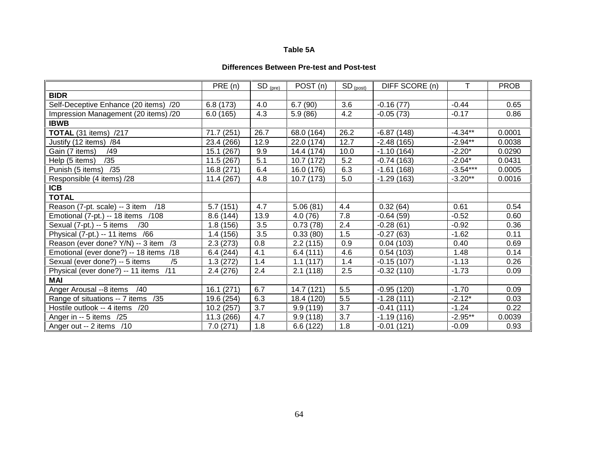### **Table 5A**

#### **Differences Between Pre-test and Post-test**

|                                          | PRE (n)    | $SD_{(pre)}$ | POST (n)   | $SD_{(post)}$ | DIFF SCORE (n) | т          | <b>PROB</b> |
|------------------------------------------|------------|--------------|------------|---------------|----------------|------------|-------------|
| <b>BIDR</b>                              |            |              |            |               |                |            |             |
| Self-Deceptive Enhance (20 items) /20    | 6.8(173)   | 4.0          | 6.7(90)    | 3.6           | $-0.16(77)$    | $-0.44$    | 0.65        |
| Impression Management (20 items) /20     | 6.0(165)   | 4.3          | 5.9(86)    | 4.2           | $-0.05(73)$    | $-0.17$    | 0.86        |
| <b>IBWB</b>                              |            |              |            |               |                |            |             |
| <b>TOTAL</b> (31 items) /217             | 71.7 (251) | 26.7         | 68.0 (164) | 26.2          | $-6.87(148)$   | $-4.34**$  | 0.0001      |
| Justify (12 items) /84                   | 23.4 (266) | 12.9         | 22.0 (174) | 12.7          | $-2.48(165)$   | $-2.94**$  | 0.0038      |
| Gain (7 items)<br>/49                    | 15.1 (267) | 9.9          | 14.4 (174) | 10.0          | $-1.10(164)$   | $-2.20*$   | 0.0290      |
| /35<br>Help (5 items)                    | 11.5 (267) | 5.1          | 10.7 (172) | 5.2           | $-0.74(163)$   | $-2.04*$   | 0.0431      |
| Punish (5 items) /35                     | 16.8 (271) | 6.4          | 16.0 (176) | 6.3           | $-1.61(168)$   | $-3.54***$ | 0.0005      |
| Responsible (4 items) /28                | 11.4 (267) | 4.8          | 10.7 (173) | 5.0           | $-1.29(163)$   | $-3.20**$  | 0.0016      |
| <b>ICB</b>                               |            |              |            |               |                |            |             |
| <b>TOTAL</b>                             |            |              |            |               |                |            |             |
| Reason (7-pt. scale) -- 3 item<br>/18    | 5.7(151)   | 4.7          | 5.06(81)   | 4.4           | 0.32(64)       | 0.61       | 0.54        |
| Emotional (7-pt.) -- 18 items /108       | 8.6(144)   | 13.9         | 4.0(76)    | 7.8           | $-0.64(59)$    | $-0.52$    | 0.60        |
| Sexual (7-pt.) -- 5 items<br>/30         | 1.8(156)   | 3.5          | 0.73(78)   | 2.4           | $-0.28(61)$    | $-0.92$    | 0.36        |
| Physical (7-pt.) -- 11 items /66         | 1.4(156)   | 3.5          | 0.33(80)   | 1.5           | $-0.27(63)$    | $-1.62$    | 0.11        |
| Reason (ever done? Y/N) -- 3 item /3     | 2.3(273)   | 0.8          | 2.2(115)   | 0.9           | 0.04(103)      | 0.40       | 0.69        |
| Emotional (ever done?) -- 18 items /18   | 6.4(244)   | 4.1          | 6.4(111)   | 4.6           | 0.54(103)      | 1.48       | 0.14        |
| Sexual (ever done?) -- 5 items<br>/5     | 1.3(272)   | 1.4          | 1.1(117)   | 1.4           | $-0.15(107)$   | $-1.13$    | 0.26        |
| Physical (ever done?) -- 11 items<br>/11 | 2.4(276)   | 2.4          | 2.1(118)   | 2.5           | $-0.32(110)$   | $-1.73$    | 0.09        |
| <b>MAI</b>                               |            |              |            |               |                |            |             |
| Anger Arousal --8 items<br>/40           | 16.1(271)  | 6.7          | 14.7 (121) | 5.5           | $-0.95(120)$   | $-1.70$    | 0.09        |
| Range of situations -- 7 items<br>/35    | 19.6 (254) | 6.3          | 18.4 (120) | 5.5           | $-1.28(111)$   | $-2.12*$   | 0.03        |
| Hostile outlook -- 4 items /20           | 10.2(257)  | 3.7          | 9.9(119)   | 3.7           | $-0.41(111)$   | $-1.24$    | 0.22        |
| Anger in -- 5 items /25                  | 11.3 (266) | 4.7          | 9.9(118)   | 3.7           | $-1.19(116)$   | $-2.95**$  | 0.0039      |
| Anger out -- 2 items /10                 | 7.0(271)   | 1.8          | 6.6(122)   | 1.8           | $-0.01(121)$   | $-0.09$    | 0.93        |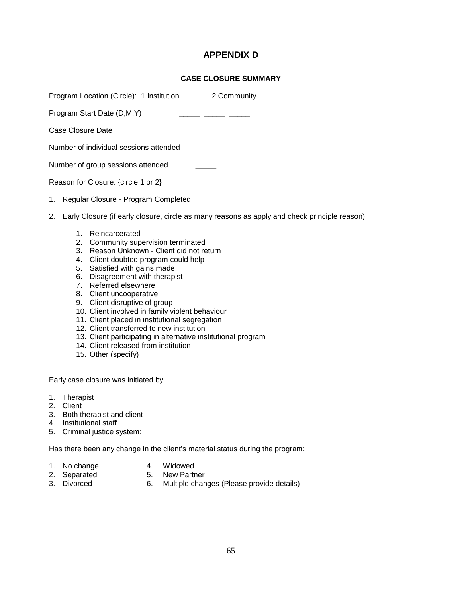# **APPENDIX D**

### **CASE CLOSURE SUMMARY**

check principle reason)

|                                     |                           | Program Location (Circle): 1 Institution<br>2 Community                                                                                                                                                                                                                                                                                                                                    |  |  |  |  |  |  |  |
|-------------------------------------|---------------------------|--------------------------------------------------------------------------------------------------------------------------------------------------------------------------------------------------------------------------------------------------------------------------------------------------------------------------------------------------------------------------------------------|--|--|--|--|--|--|--|
|                                     |                           | Program Start Date (D,M,Y)                                                                                                                                                                                                                                                                                                                                                                 |  |  |  |  |  |  |  |
|                                     | Case Closure Date         |                                                                                                                                                                                                                                                                                                                                                                                            |  |  |  |  |  |  |  |
|                                     |                           | Number of individual sessions attended                                                                                                                                                                                                                                                                                                                                                     |  |  |  |  |  |  |  |
|                                     |                           | Number of group sessions attended                                                                                                                                                                                                                                                                                                                                                          |  |  |  |  |  |  |  |
| Reason for Closure: {circle 1 or 2} |                           |                                                                                                                                                                                                                                                                                                                                                                                            |  |  |  |  |  |  |  |
| 1.                                  |                           | Regular Closure - Program Completed                                                                                                                                                                                                                                                                                                                                                        |  |  |  |  |  |  |  |
| 2.                                  |                           | Early Closure (if early closure, circle as many reasons as apply and                                                                                                                                                                                                                                                                                                                       |  |  |  |  |  |  |  |
|                                     | 1<br>2.<br>3.<br>5.<br>6. | Reincarcerated<br>Community supervision terminated<br>Reason Unknown - Client did not return<br>4. Client doubted program could help<br>Satisfied with gains made<br>Disagreement with therapist<br>7. Referred elsewhere<br>8. Client uncooperative<br>9. Client disruptive of group<br>10. Client involved in family violent behaviour<br>11. Client placed in institutional segregation |  |  |  |  |  |  |  |

- 12. Client transferred to new institution
- 13. Client participating in alternative institutional program
- 14. Client released from institution
- 15. Other (specify) \_\_\_\_\_\_\_\_\_\_\_\_\_\_\_\_\_\_\_\_\_\_\_\_\_\_\_\_\_\_\_\_\_\_\_\_\_\_\_\_\_\_\_\_\_\_\_\_\_\_\_\_\_\_\_\_

Early case closure was initiated by:

- 1. Therapist
- 2. Client
- 3. Both therapist and client
- 4. Institutional staff
- 5. Criminal justice system:

Has there been any change in the client's material status during the program:

- 1. No change<br>2. Separated<br>3. Divorced
- 
- 2. Separated 5. New Partner
- 
- 3. Divorced 6. Multiple changes (Please provide details)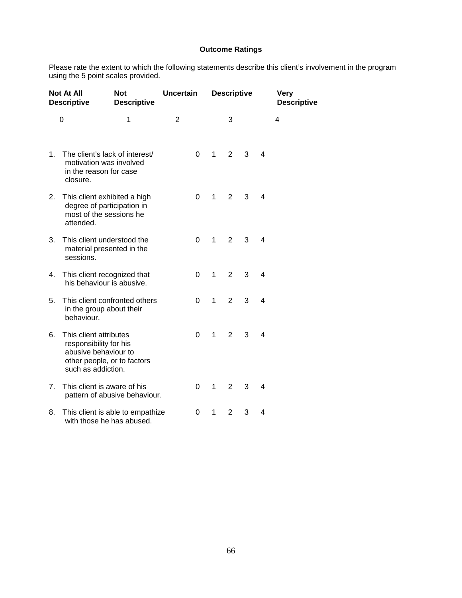## **Outcome Ratings**

Please rate the extent to which the following statements describe this client's involvement in the program using the 5 point scales provided.

| <b>Not At All</b><br><b>Descriptive</b> |                                                                                                                               | <b>Not</b><br><b>Descriptive</b> |                | <b>Uncertain</b> |   | <b>Descriptive</b> |   | <b>Very</b><br><b>Descriptive</b> |   |  |
|-----------------------------------------|-------------------------------------------------------------------------------------------------------------------------------|----------------------------------|----------------|------------------|---|--------------------|---|-----------------------------------|---|--|
|                                         | 0                                                                                                                             | $\mathbf{1}$                     | $\overline{2}$ |                  |   | 3                  |   |                                   | 4 |  |
| 1 <sub>1</sub>                          | The client's lack of interest/<br>motivation was involved<br>in the reason for case<br>closure.                               |                                  |                | $\Omega$         | 1 | $\overline{2}$     | 3 | 4                                 |   |  |
| 2.                                      | This client exhibited a high<br>degree of participation in<br>most of the sessions he<br>attended.                            |                                  |                | $\Omega$         | 1 | $\overline{2}$     | 3 | 4                                 |   |  |
| 3.                                      | This client understood the<br>material presented in the<br>sessions.                                                          |                                  |                | $\Omega$         | 1 | $\overline{2}$     | 3 | 4                                 |   |  |
| 4.                                      | This client recognized that<br>his behaviour is abusive.                                                                      |                                  |                | $\Omega$         | 1 | $\overline{2}$     | 3 | 4                                 |   |  |
| 5.                                      | This client confronted others<br>in the group about their<br>behaviour.                                                       |                                  |                | 0                | 1 | 2                  | 3 | $\overline{4}$                    |   |  |
| 6.                                      | This client attributes<br>responsibility for his<br>abusive behaviour to<br>other people, or to factors<br>such as addiction. |                                  |                | 0                | 1 | $\overline{2}$     | 3 | 4                                 |   |  |
| 7.                                      | This client is aware of his                                                                                                   | pattern of abusive behaviour.    |                | $\Omega$         | 1 | $\overline{2}$     | 3 | 4                                 |   |  |
| 8.                                      | with those he has abused.                                                                                                     | This client is able to empathize |                | 0                | 1 | 2                  | 3 | 4                                 |   |  |